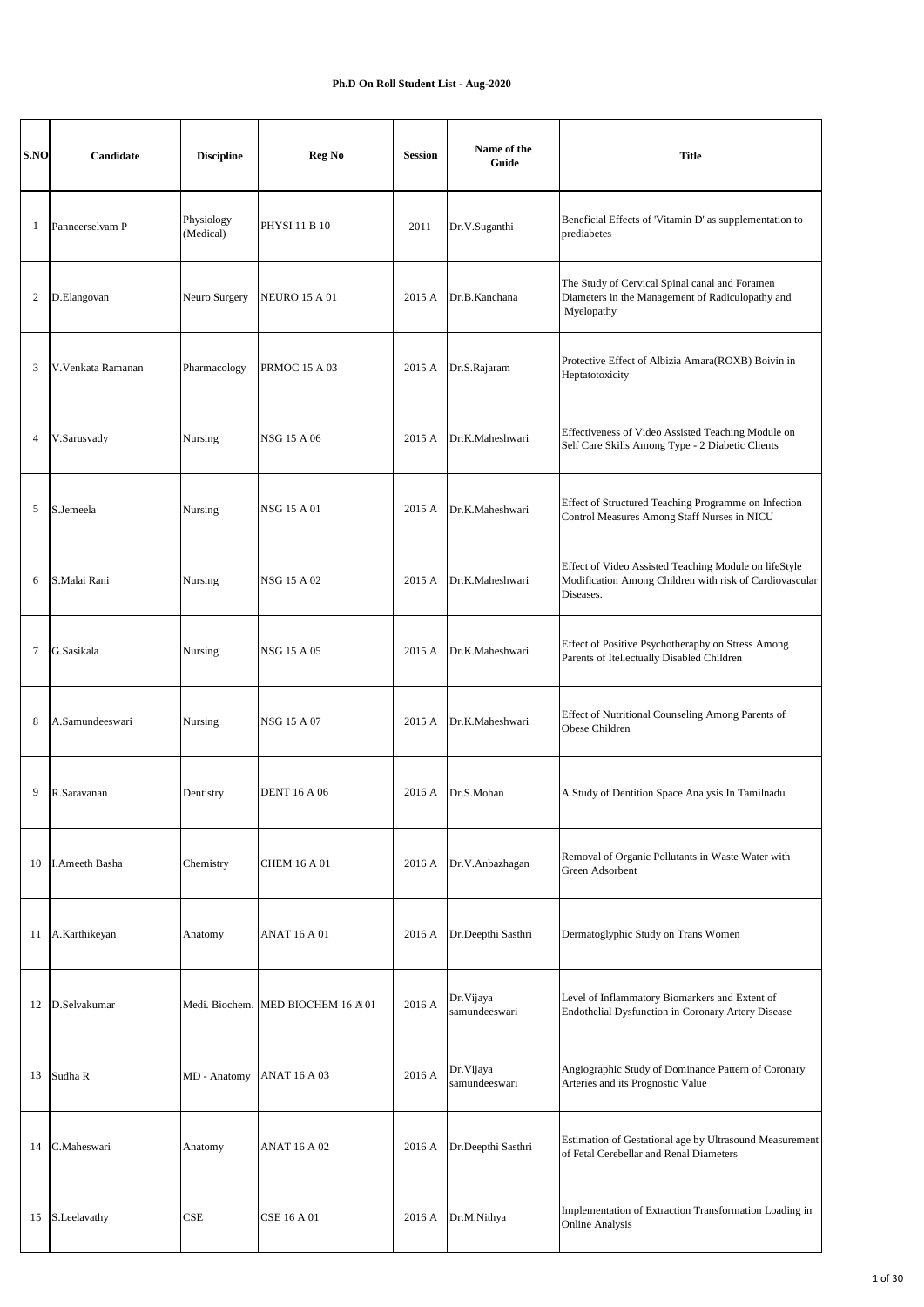## **Ph.D On Roll Student List - Aug-2020**

| S.NO           | Candidate             | <b>Discipline</b>       | Reg No                             | <b>Session</b> | Name of the<br>Guide        | <b>Title</b>                                                                                                                  |
|----------------|-----------------------|-------------------------|------------------------------------|----------------|-----------------------------|-------------------------------------------------------------------------------------------------------------------------------|
| 1              | Panneerselvam P       | Physiology<br>(Medical) | <b>PHYSI 11 B 10</b>               | 2011           | Dr.V.Suganthi               | Beneficial Effects of 'Vitamin D' as supplementation to<br>prediabetes                                                        |
| 2              | D.Elangovan           | Neuro Surgery           | <b>NEURO 15 A 01</b>               | 2015 A         | Dr.B.Kanchana               | The Study of Cervical Spinal canal and Foramen<br>Diameters in the Management of Radiculopathy and<br>Myelopathy              |
| 3              | V.Venkata Ramanan     | Pharmacology            | <b>PRMOC 15 A 03</b>               | 2015 A         | Dr.S.Rajaram                | Protective Effect of Albizia Amara(ROXB) Boivin in<br>Heptatotoxicity                                                         |
| $\overline{4}$ | V.Sarusvady           | Nursing                 | <b>NSG 15 A 06</b>                 | 2015 A         | Dr.K.Maheshwari             | Effectiveness of Video Assisted Teaching Module on<br>Self Care Skills Among Type - 2 Diabetic Clients                        |
| 5              | S.Jemeela             | Nursing                 | NSG 15 A 01                        | 2015 A         | Dr.K.Maheshwari             | Effect of Structured Teaching Programme on Infection<br>Control Measures Among Staff Nurses in NICU                           |
| 6              | S.Malai Rani          | Nursing                 | NSG 15 A 02                        | 2015 A         | Dr.K.Maheshwari             | Effect of Video Assisted Teaching Module on lifeStyle<br>Modification Among Children with risk of Cardiovascular<br>Diseases. |
| $\tau$         | G.Sasikala            | Nursing                 | NSG 15 A 05                        | 2015 A         | Dr.K.Maheshwari             | Effect of Positive Psychotheraphy on Stress Among<br>Parents of Itellectually Disabled Children                               |
| 8              | A.Samundeeswari       | Nursing                 | NSG 15 A 07                        | 2015 A         | Dr.K.Maheshwari             | Effect of Nutritional Counseling Among Parents of<br>Obese Children                                                           |
| 9              | R.Saravanan           | Dentistry               | <b>DENT 16 A 06</b>                | 2016 A         | Dr.S.Mohan                  | A Study of Dentition Space Analysis In Tamilnadu                                                                              |
| 10             | <b>I.Ameeth Basha</b> | Chemistry               | <b>CHEM 16 A 01</b>                | 2016 A         | Dr.V.Anbazhagan             | Removal of Organic Pollutants in Waste Water with<br>Green Adsorbent                                                          |
| 11             | A.Karthikeyan         | Anatomy                 | ANAT 16 A 01                       | 2016 A         | Dr.Deepthi Sasthri          | Dermatoglyphic Study on Trans Women                                                                                           |
| 12             | D.Selvakumar          |                         | Medi. Biochem. MED BIOCHEM 16 A 01 | 2016 A         | Dr. Vijaya<br>samundeeswari | Level of Inflammatory Biomarkers and Extent of<br>Endothelial Dysfunction in Coronary Artery Disease                          |
| 13             | Sudha R               | MD - Anatomy            | <b>ANAT 16 A 03</b>                | 2016 A         | Dr. Vijaya<br>samundeeswari | Angiographic Study of Dominance Pattern of Coronary<br>Arteries and its Prognostic Value                                      |
| 14             | C.Maheswari           | Anatomy                 | <b>ANAT 16 A 02</b>                | 2016 A         | Dr.Deepthi Sasthri          | Estimation of Gestational age by Ultrasound Measurement<br>of Fetal Cerebellar and Renal Diameters                            |
| 15             | S.Leelavathy          | CSE                     | <b>CSE 16 A 01</b>                 | 2016 A         | Dr.M.Nithya                 | Implementation of Extraction Transformation Loading in<br><b>Online Analysis</b>                                              |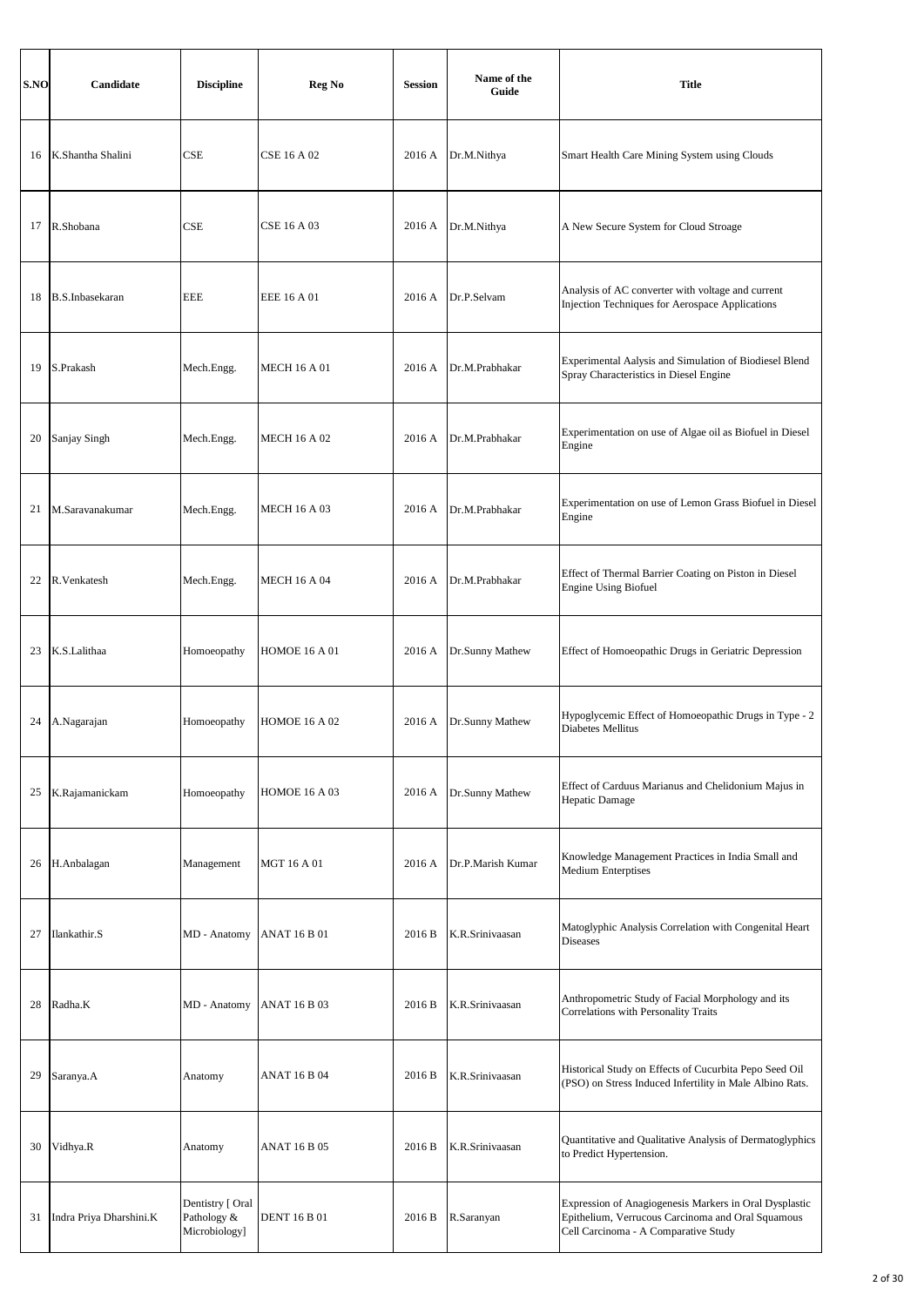| S.NO | Candidate               | <b>Discipline</b>                                | Reg No               | <b>Session</b> | Name of the<br>Guide | <b>Title</b>                                                                                                                                        |
|------|-------------------------|--------------------------------------------------|----------------------|----------------|----------------------|-----------------------------------------------------------------------------------------------------------------------------------------------------|
| 16   | K.Shantha Shalini       | CSE                                              | <b>CSE 16 A 02</b>   | 2016 A         | Dr.M.Nithya          | Smart Health Care Mining System using Clouds                                                                                                        |
| 17   | R.Shobana               | CSE                                              | <b>CSE 16 A 03</b>   | 2016 A         | Dr.M.Nithya          | A New Secure System for Cloud Stroage                                                                                                               |
| 18   | B.S.Inbasekaran         | <b>EEE</b>                                       | EEE 16 A 01          | 2016 A         | Dr.P.Selvam          | Analysis of AC converter with voltage and current<br>Injection Techniques for Aerospace Applications                                                |
| 19   | S.Prakash               | Mech.Engg.                                       | <b>MECH 16 A 01</b>  | 2016 A         | Dr.M.Prabhakar       | Experimental Aalysis and Simulation of Biodiesel Blend<br>Spray Characteristics in Diesel Engine                                                    |
| 20   | Sanjay Singh            | Mech.Engg.                                       | <b>MECH 16 A 02</b>  | 2016 A         | Dr.M.Prabhakar       | Experimentation on use of Algae oil as Biofuel in Diesel<br>Engine                                                                                  |
| 21   | M.Saravanakumar         | Mech.Engg.                                       | MECH 16 A 03         | 2016 A         | Dr.M.Prabhakar       | Experimentation on use of Lemon Grass Biofuel in Diesel<br>Engine                                                                                   |
| 22   | R. Venkatesh            | Mech.Engg.                                       | <b>MECH 16 A 04</b>  | 2016 A         | Dr.M.Prabhakar       | Effect of Thermal Barrier Coating on Piston in Diesel<br><b>Engine Using Biofuel</b>                                                                |
| 23   | K.S.Lalithaa            | Homoeopathy                                      | <b>HOMOE 16 A 01</b> | 2016 A         | Dr.Sunny Mathew      | Effect of Homoeopathic Drugs in Geriatric Depression                                                                                                |
| 24   | A.Nagarajan             | Homoeopathy                                      | <b>HOMOE 16 A 02</b> | 2016 A         | Dr.Sunny Mathew      | Hypoglycemic Effect of Homoeopathic Drugs in Type - 2<br>Diabetes Mellitus                                                                          |
| 25   | K.Rajamanickam          | Homoeopathy                                      | <b>HOMOE 16 A 03</b> | 2016 A         | Dr.Sunny Mathew      | Effect of Carduus Marianus and Chelidonium Majus in<br><b>Hepatic Damage</b>                                                                        |
| 26   | H.Anbalagan             | Management                                       | <b>MGT 16 A 01</b>   | 2016 A         | Dr.P.Marish Kumar    | Knowledge Management Practices in India Small and<br><b>Medium Enterptises</b>                                                                      |
| 27   | Ilankathir.S            | MD - Anatomy                                     | <b>ANAT 16 B 01</b>  | 2016 B         | K.R.Srinivaasan      | Matoglyphic Analysis Correlation with Congenital Heart<br><b>Diseases</b>                                                                           |
| 28   | Radha.K                 | MD - Anatomy                                     | <b>ANAT 16 B 03</b>  | 2016 B         | K.R.Srinivaasan      | Anthropometric Study of Facial Morphology and its<br>Correlations with Personality Traits                                                           |
| 29   | Saranya.A               | Anatomy                                          | <b>ANAT 16 B 04</b>  | 2016 B         | K.R.Srinivaasan      | Historical Study on Effects of Cucurbita Pepo Seed Oil<br>(PSO) on Stress Induced Infertility in Male Albino Rats.                                  |
| 30   | Vidhya.R                | Anatomy                                          | <b>ANAT 16 B 05</b>  | 2016 B         | K.R.Srinivaasan      | Quantitative and Qualitative Analysis of Dermatoglyphics<br>to Predict Hypertension.                                                                |
| 31   | Indra Priya Dharshini.K | Dentistry [ Oral<br>Pathology &<br>Microbiology] | <b>DENT 16 B 01</b>  | 2016 B         | R.Saranyan           | Expression of Anagiogenesis Markers in Oral Dysplastic<br>Epithelium, Verrucous Carcinoma and Oral Squamous<br>Cell Carcinoma - A Comparative Study |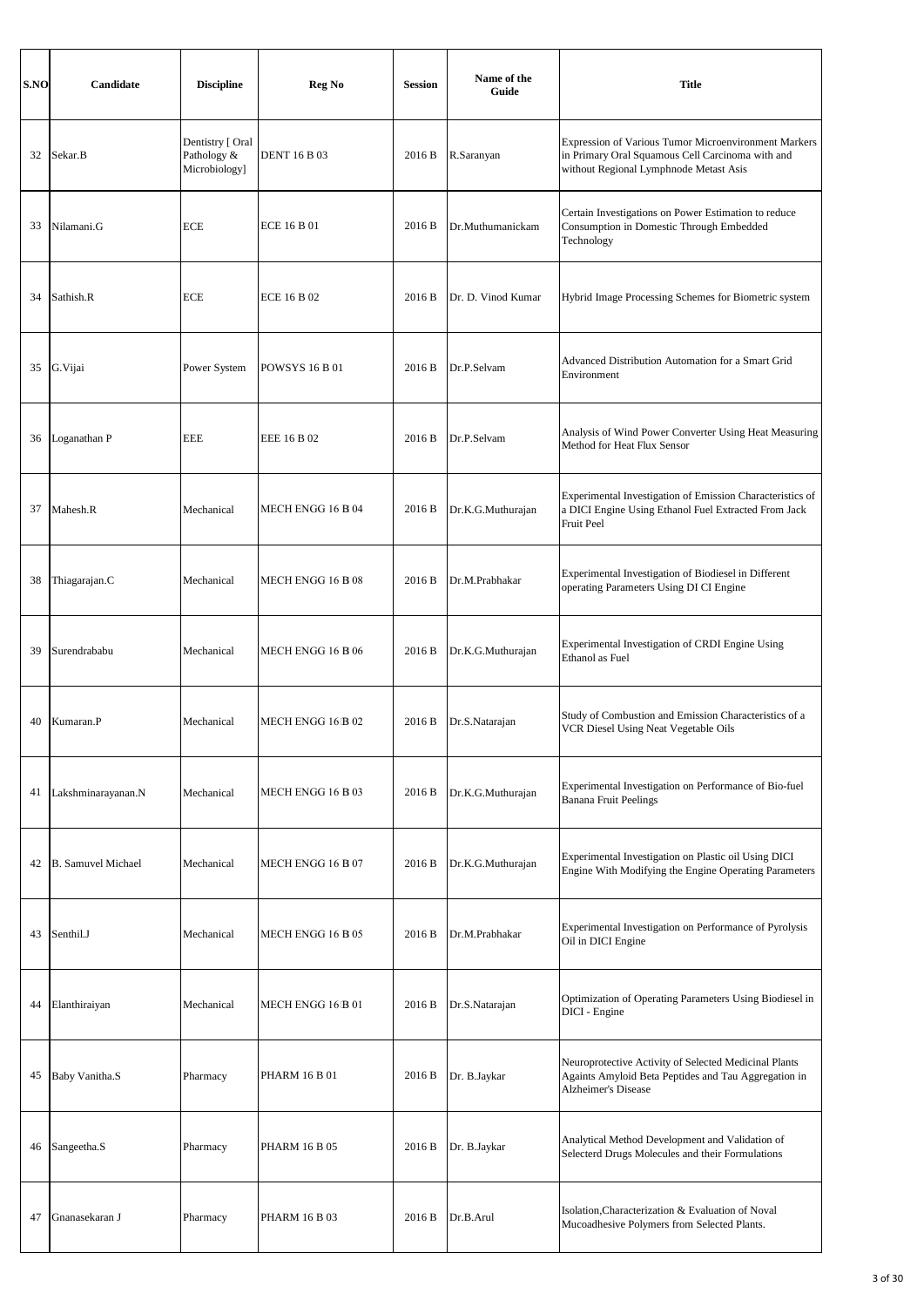| S.NO | Candidate                 | <b>Discipline</b>                                | Reg No                       | <b>Session</b> | Name of the<br>Guide | <b>Title</b>                                                                                                                                       |
|------|---------------------------|--------------------------------------------------|------------------------------|----------------|----------------------|----------------------------------------------------------------------------------------------------------------------------------------------------|
| 32   | Sekar.B                   | Dentistry [ Oral<br>Pathology &<br>Microbiology] | <b>DENT 16 B 03</b>          | 2016 B         | R.Saranyan           | Expression of Various Tumor Microenvironment Markers<br>in Primary Oral Squamous Cell Carcinoma with and<br>without Regional Lymphnode Metast Asis |
| 33   | Nilamani.G                | <b>ECE</b>                                       | <b>ECE 16 B 01</b>           | 2016 B         | Dr.Muthumanickam     | Certain Investigations on Power Estimation to reduce<br>Consumption in Domestic Through Embedded<br>Technology                                     |
| 34   | Sathish.R                 | <b>ECE</b>                                       | <b>ECE 16 B 02</b>           | 2016 B         | Dr. D. Vinod Kumar   | Hybrid Image Processing Schemes for Biometric system                                                                                               |
| 35   | G. Vijai                  | Power System                                     | <b>POWSYS 16 B 01</b>        | 2016 B         | Dr.P.Selvam          | Advanced Distribution Automation for a Smart Grid<br>Environment                                                                                   |
| 36   | Loganathan P              | <b>EEE</b>                                       | EEE 16 B 02                  | 2016 B         | Dr.P.Selvam          | Analysis of Wind Power Converter Using Heat Measuring<br>Method for Heat Flux Sensor                                                               |
| 37   | Mahesh.R                  | Mechanical                                       | MECH ENGG 16 B 04            | 2016 B         | Dr.K.G.Muthurajan    | Experimental Investigation of Emission Characteristics of<br>a DICI Engine Using Ethanol Fuel Extracted From Jack<br>Fruit Peel                    |
| 38   | Thiagarajan.C             | Mechanical                                       | MECH ENGG 16 B 08            | 2016 B         | Dr.M.Prabhakar       | Experimental Investigation of Biodiesel in Different<br>operating Parameters Using DI CI Engine                                                    |
| 39   | Surendrababu              | Mechanical                                       | MECH ENGG 16 B 06            | 2016 B         | Dr.K.G.Muthurajan    | Experimental Investigation of CRDI Engine Using<br>Ethanol as Fuel                                                                                 |
| 40   | Kumaran.P                 | Mechanical                                       | MECH ENGG 16 B 02            | 2016 B         | Dr.S.Natarajan       | Study of Combustion and Emission Characteristics of a<br>VCR Diesel Using Neat Vegetable Oils                                                      |
| 41   | Lakshminarayanan.N        | Mechanical                                       | MECH ENGG 16 B 03            | 2016 B         | Dr.K.G.Muthurajan    | Experimental Investigation on Performance of Bio-fuel<br><b>Banana Fruit Peelings</b>                                                              |
| 42   | <b>B.</b> Samuvel Michael | Mechanical                                       | MECH ENGG 16 B 07            | 2016 B         | Dr.K.G.Muthurajan    | Experimental Investigation on Plastic oil Using DICI<br>Engine With Modifying the Engine Operating Parameters                                      |
| 43   | Senthil.J                 | Mechanical                                       | MECH ENGG 16 B 05            | 2016 B         | Dr.M.Prabhakar       | Experimental Investigation on Performance of Pyrolysis<br>Oil in DICI Engine                                                                       |
| 44   | Elanthiraiyan             | Mechanical                                       | MECH ENGG 16 <sup>B</sup> 01 | 2016 B         | Dr.S.Natarajan       | Optimization of Operating Parameters Using Biodiesel in<br>DICI - Engine                                                                           |
| 45   | Baby Vanitha.S            | Pharmacy                                         | <b>PHARM 16 B 01</b>         | 2016 B         | Dr. B.Jaykar         | Neuroprotective Activity of Selected Medicinal Plants<br>Againts Amyloid Beta Peptides and Tau Aggregation in<br><b>Alzheimer's Disease</b>        |
| 46   | Sangeetha.S               | Pharmacy                                         | <b>PHARM 16 B 05</b>         | 2016 B         | Dr. B.Jaykar         | Analytical Method Development and Validation of<br>Selecterd Drugs Molecules and their Formulations                                                |
| 47   | Gnanasekaran J            | Pharmacy                                         | PHARM 16 B 03                | 2016 B         | Dr.B.Arul            | Isolation, Characterization & Evaluation of Noval<br>Mucoadhesive Polymers from Selected Plants.                                                   |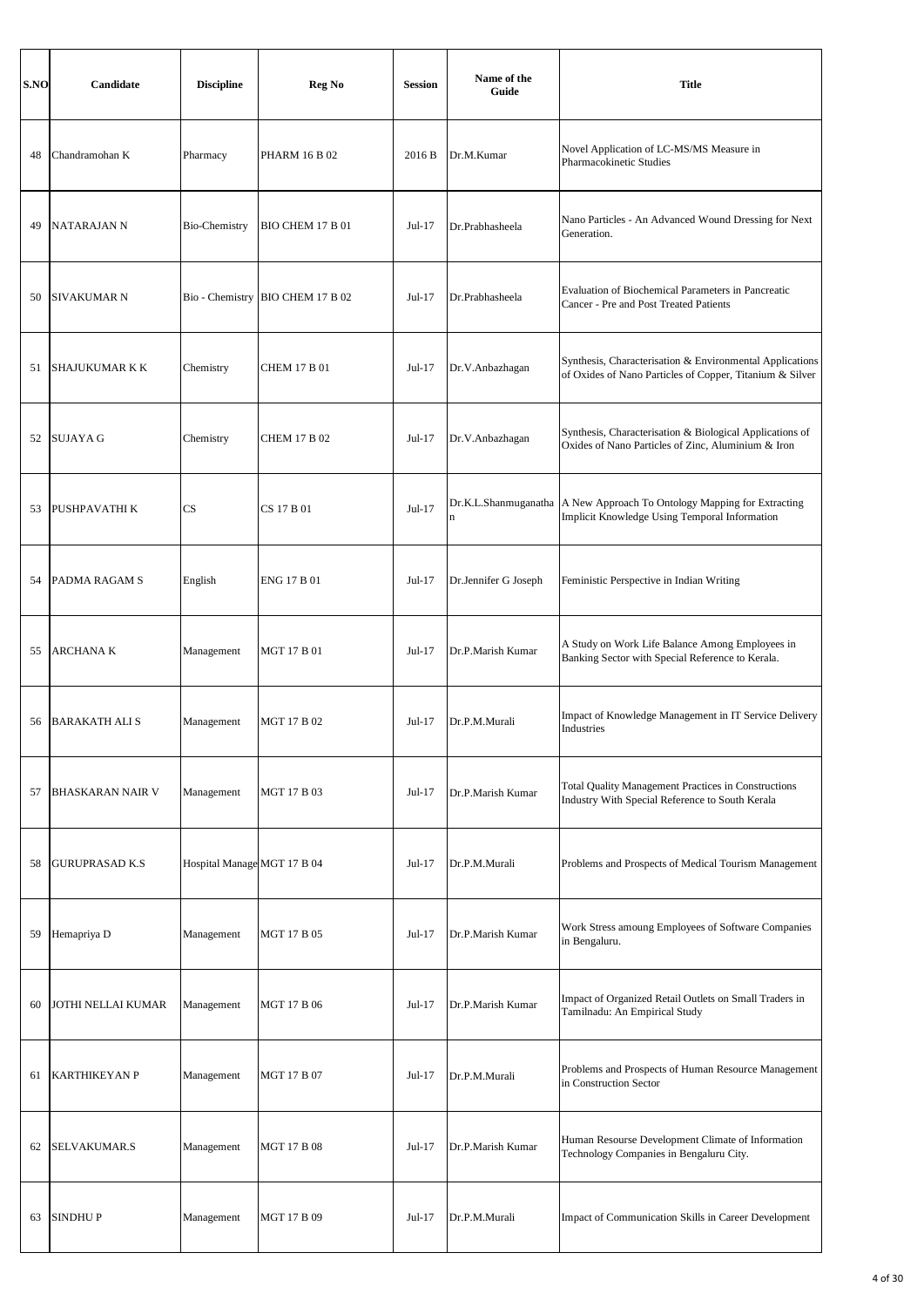| S.NO | Candidate               | <b>Discipline</b>           | Reg No                  | <b>Session</b> | Name of the<br>Guide                | <b>Title</b>                                                                                                         |
|------|-------------------------|-----------------------------|-------------------------|----------------|-------------------------------------|----------------------------------------------------------------------------------------------------------------------|
| 48   | Chandramohan K          | Pharmacy                    | <b>PHARM 16 B 02</b>    | 2016 B         | Dr.M.Kumar                          | Novel Application of LC-MS/MS Measure in<br>Pharmacokinetic Studies                                                  |
| 49   | <b>NATARAJAN N</b>      | Bio-Chemistry               | BIO CHEM 17 B 01        | Jul-17         | Dr.Prabhasheela                     | Nano Particles - An Advanced Wound Dressing for Next<br>Generation.                                                  |
| 50   | SIVAKUMAR N             | Bio - Chemistry             | <b>BIO CHEM 17 B 02</b> | $Jul-17$       | Dr.Prabhasheela                     | Evaluation of Biochemical Parameters in Pancreatic<br>Cancer - Pre and Post Treated Patients                         |
| 51   | SHAJUKUMAR K K          | Chemistry                   | CHEM 17 B 01            | $Jul-17$       | Dr.V.Anbazhagan                     | Synthesis, Characterisation & Environmental Applications<br>of Oxides of Nano Particles of Copper, Titanium & Silver |
| 52   | <b>SUJAYA G</b>         | Chemistry                   | <b>CHEM 17 B 02</b>     | $Jul-17$       | Dr.V.Anbazhagan                     | Synthesis, Characterisation & Biological Applications of<br>Oxides of Nano Particles of Zinc, Aluminium & Iron       |
| 53   | PUSHPAVATHI K           | CS                          | CS 17 B 01              | $Jul-17$       | Dr.K.L.Shanmuganatha<br>$\mathbf n$ | A New Approach To Ontology Mapping for Extracting<br>Implicit Knowledge Using Temporal Information                   |
| 54   | <b>PADMA RAGAM S</b>    | English                     | <b>ENG 17 B 01</b>      | Jul-17         | Dr.Jennifer G Joseph                | Feministic Perspective in Indian Writing                                                                             |
| 55   | <b>ARCHANAK</b>         | Management                  | <b>MGT 17 B 01</b>      | Jul-17         | Dr.P.Marish Kumar                   | A Study on Work Life Balance Among Employees in<br>Banking Sector with Special Reference to Kerala.                  |
| 56   | <b>BARAKATH ALI S</b>   | Management                  | <b>MGT 17 B 02</b>      | Jul-17         | Dr.P.M.Murali                       | Impact of Knowledge Management in IT Service Delivery<br>Industries                                                  |
| 57   | <b>BHASKARAN NAIR V</b> | Management                  | <b>MGT 17 B 03</b>      | $Jul-17$       | Dr.P.Marish Kumar                   | Total Quality Management Practices in Constructions<br>Industry With Special Reference to South Kerala               |
| 58   | <b>GURUPRASAD K.S</b>   | Hospital Manage MGT 17 B 04 |                         | $Jul-17$       | Dr.P.M.Murali                       | Problems and Prospects of Medical Tourism Management                                                                 |
| 59   | Hemapriya D             | Management                  | <b>MGT 17 B 05</b>      | Jul-17         | Dr.P.Marish Kumar                   | Work Stress amoung Employees of Software Companies<br>in Bengaluru.                                                  |
| 60   | JOTHI NELLAI KUMAR      | Management                  | <b>MGT 17 B 06</b>      | $Jul-17$       | Dr.P.Marish Kumar                   | Impact of Organized Retail Outlets on Small Traders in<br>Tamilnadu: An Empirical Study                              |
| 61   | <b>KARTHIKEYAN P</b>    | Management                  | <b>MGT 17 B 07</b>      | Jul-17         | Dr.P.M.Murali                       | Problems and Prospects of Human Resource Management<br>in Construction Sector                                        |
| 62   | SELVAKUMAR.S            | Management                  | <b>MGT 17 B 08</b>      | $Jul-17$       | Dr.P.Marish Kumar                   | Human Resourse Development Climate of Information<br>Technology Companies in Bengaluru City.                         |
| 63   | <b>SINDHUP</b>          | Management                  | <b>MGT 17 B 09</b>      | Jul-17         | Dr.P.M.Murali                       | Impact of Communication Skills in Career Development                                                                 |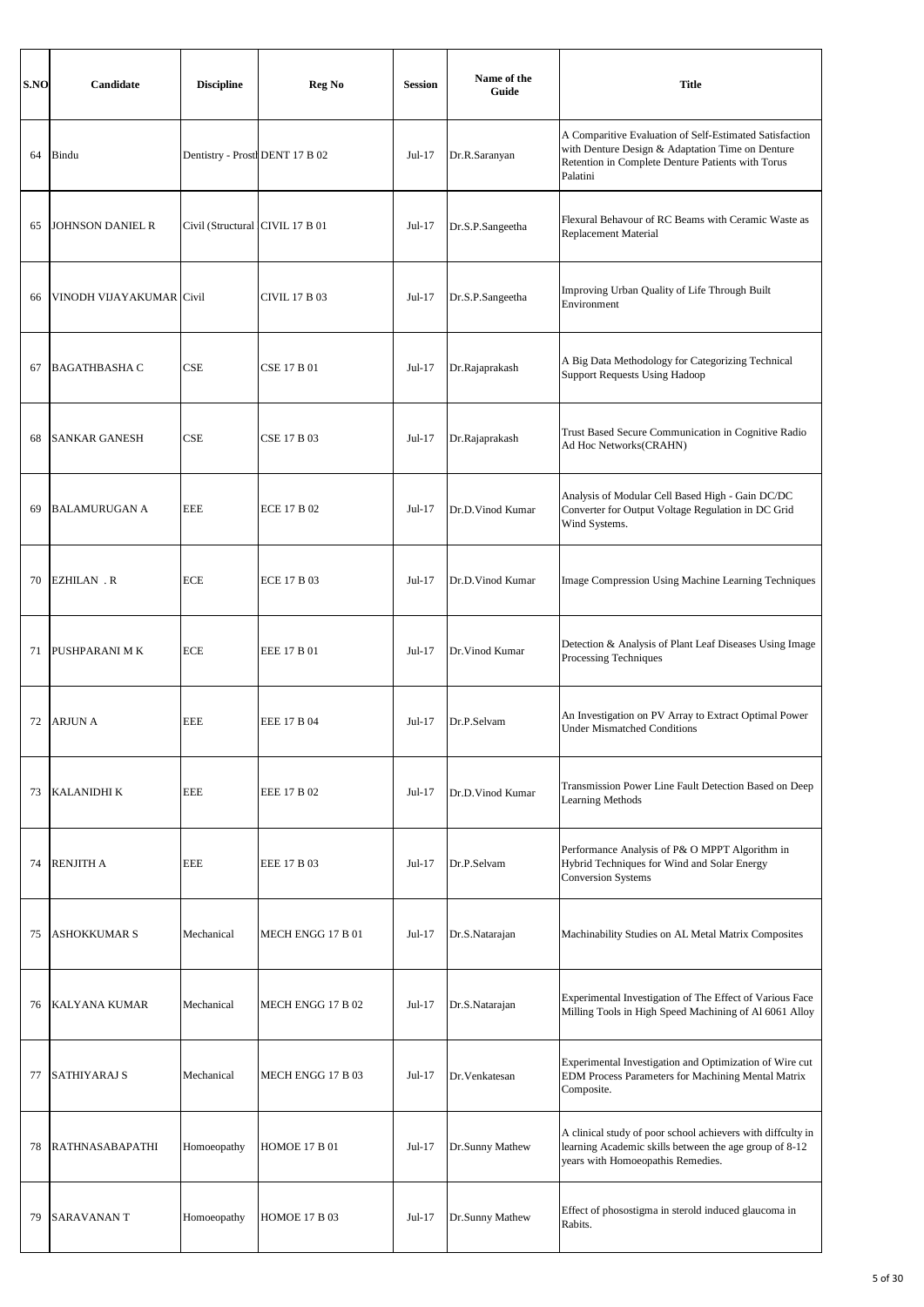| S.NO | Candidate                | <b>Discipline</b>                | Reg No               | <b>Session</b> | Name of the<br>Guide | <b>Title</b>                                                                                                                                                                 |
|------|--------------------------|----------------------------------|----------------------|----------------|----------------------|------------------------------------------------------------------------------------------------------------------------------------------------------------------------------|
| 64   | Bindu                    | Dentistry - Prostl DENT 17 B 02  |                      | Jul-17         | Dr.R.Saranyan        | A Comparitive Evaluation of Self-Estimated Satisfaction<br>with Denture Design & Adaptation Time on Denture<br>Retention in Complete Denture Patients with Torus<br>Palatini |
| 65   | <b>JOHNSON DANIEL R</b>  | Civil (Structural ICIVIL 17 B 01 |                      | Jul-17         | Dr.S.P.Sangeetha     | Flexural Behavour of RC Beams with Ceramic Waste as<br>Replacement Material                                                                                                  |
| 66   | VINODH VIJAYAKUMAR Civil |                                  | <b>CIVIL 17 B 03</b> | $Jul-17$       | Dr.S.P.Sangeetha     | Improving Urban Quality of Life Through Built<br>Environment                                                                                                                 |
| 67   | <b>BAGATHBASHA C</b>     | CSE                              | <b>CSE 17 B 01</b>   | $Jul-17$       | Dr.Rajaprakash       | A Big Data Methodology for Categorizing Technical<br><b>Support Requests Using Hadoop</b>                                                                                    |
| 68   | <b>SANKAR GANESH</b>     | CSE                              | <b>CSE 17 B 03</b>   | $Jul-17$       | Dr.Rajaprakash       | Trust Based Secure Communication in Cognitive Radio<br>Ad Hoc Networks(CRAHN)                                                                                                |
| 69   | <b>BALAMURUGAN A</b>     | EEE                              | ECE 17 B 02          | Jul-17         | Dr.D.Vinod Kumar     | Analysis of Modular Cell Based High - Gain DC/DC<br>Converter for Output Voltage Regulation in DC Grid<br>Wind Systems.                                                      |
| 70   | <b>EZHILAN.R</b>         | <b>ECE</b>                       | <b>ECE 17 B 03</b>   | Jul-17         | Dr.D.Vinod Kumar     | Image Compression Using Machine Learning Techniques                                                                                                                          |
| 71   | PUSHPARANI MK            | <b>ECE</b>                       | EEE 17 B 01          | Jul-17         | Dr.Vinod Kumar       | Detection & Analysis of Plant Leaf Diseases Using Image<br>Processing Techniques                                                                                             |
| 72   | <b>ARJUN A</b>           | EEE                              | EEE 17 B 04          | Jul-17         | Dr.P.Selvam          | An Investigation on PV Array to Extract Optimal Power<br><b>Under Mismatched Conditions</b>                                                                                  |
| 73   | <b>KALANIDHI K</b>       | <b>EEE</b>                       | EEE 17 B 02          | Jul-17         | Dr.D.Vinod Kumar     | Transmission Power Line Fault Detection Based on Deep<br><b>Learning Methods</b>                                                                                             |
| 74   | <b>RENJITH A</b>         | <b>EEE</b>                       | EEE 17 B 03          | Jul-17         | Dr.P.Selvam          | Performance Analysis of P& O MPPT Algorithm in<br>Hybrid Techniques for Wind and Solar Energy<br><b>Conversion Systems</b>                                                   |
| 75   | <b>ASHOKKUMAR S</b>      | Mechanical                       | MECH ENGG 17 B 01    | $Jul-17$       | Dr.S.Natarajan       | Machinability Studies on AL Metal Matrix Composites                                                                                                                          |
| 76   | KALYANA KUMAR            | Mechanical                       | MECH ENGG 17 B 02    | Jul-17         | Dr.S.Natarajan       | Experimental Investigation of The Effect of Various Face<br>Milling Tools in High Speed Machining of Al 6061 Alloy                                                           |
| 77   | SATHIYARAJ S             | Mechanical                       | MECH ENGG 17 B 03    | Jul-17         | Dr. Venkatesan       | Experimental Investigation and Optimization of Wire cut<br>EDM Process Parameters for Machining Mental Matrix<br>Composite.                                                  |
| 78   | <b>RATHNASABAPATHI</b>   | Homoeopathy                      | <b>HOMOE 17 B 01</b> | $Jul-17$       | Dr.Sunny Mathew      | A clinical study of poor school achievers with diffculty in<br>learning Academic skills between the age group of 8-12<br>years with Homoeopathis Remedies.                   |
| 79   | <b>SARAVANANT</b>        | Homoeopathy                      | <b>HOMOE 17 B 03</b> | $Jul-17$       | Dr.Sunny Mathew      | Effect of phosostigma in sterold induced glaucoma in<br>Rabits.                                                                                                              |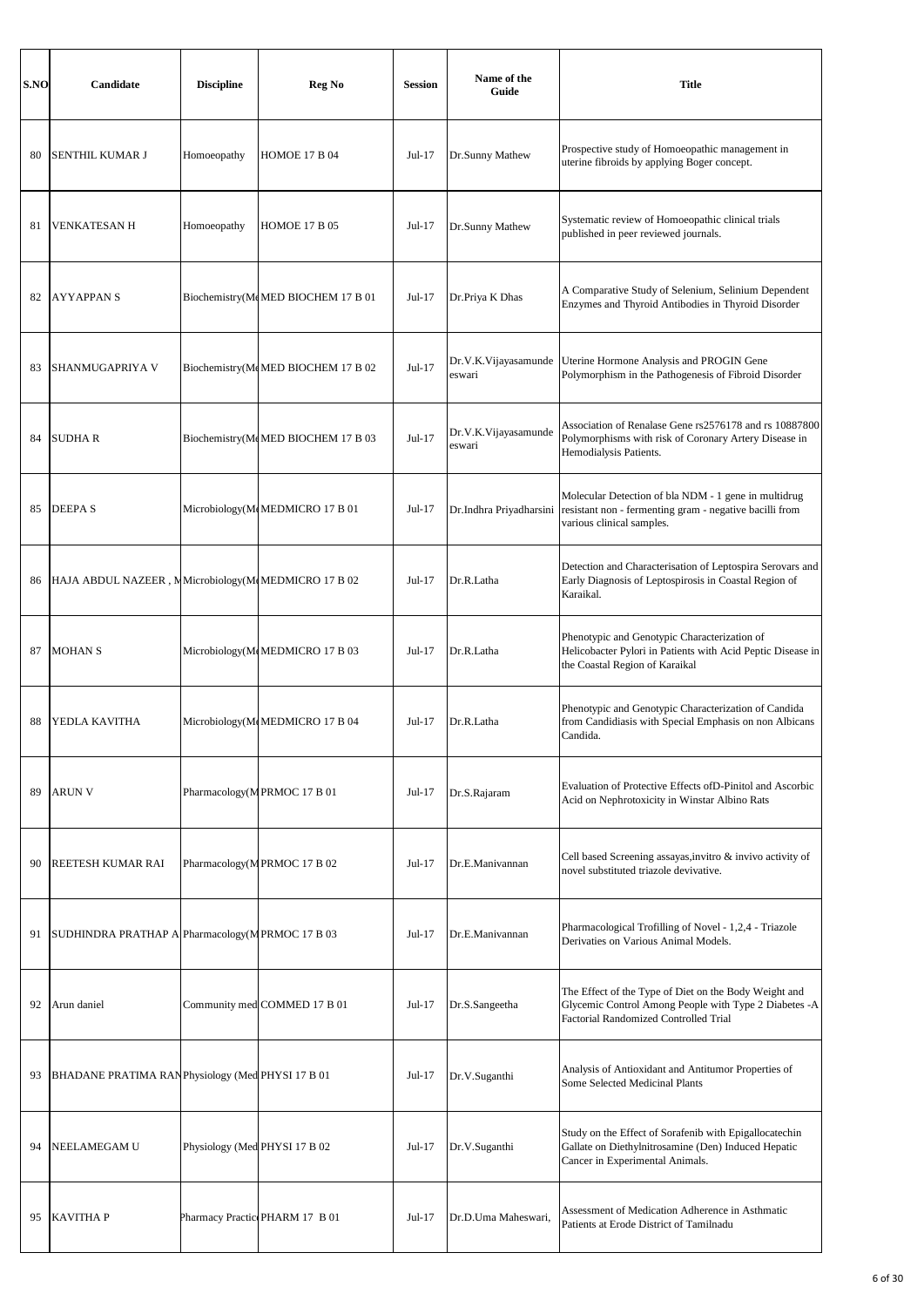| S.NO | Candidate                                           | <b>Discipline</b>             | Reg No                             | <b>Session</b> | Name of the<br>Guide           | <b>Title</b>                                                                                                                                                   |
|------|-----------------------------------------------------|-------------------------------|------------------------------------|----------------|--------------------------------|----------------------------------------------------------------------------------------------------------------------------------------------------------------|
| 80   | SENTHIL KUMAR J                                     | Homoeopathy                   | <b>HOMOE 17 B 04</b>               | $Jul-17$       | Dr.Sunny Mathew                | Prospective study of Homoeopathic management in<br>uterine fibroids by applying Boger concept.                                                                 |
| 81   | <b>VENKATESAN H</b>                                 | Homoeopathy                   | <b>HOMOE 17 B 05</b>               | $Jul-17$       | Dr.Sunny Mathew                | Systematic review of Homoeopathic clinical trials<br>published in peer reviewed journals.                                                                      |
| 82   | <b>AYYAPPANS</b>                                    |                               | Biochemistry(McMED BIOCHEM 17 B 01 | $Jul-17$       | Dr.Priya K Dhas                | A Comparative Study of Selenium, Selinium Dependent<br>Enzymes and Thyroid Antibodies in Thyroid Disorder                                                      |
| 83   | SHANMUGAPRIYA V                                     |                               | Biochemistry(McMED BIOCHEM 17 B 02 | Jul-17         | Dr.V.K.Vijayasamunde<br>eswari | Uterine Hormone Analysis and PROGIN Gene<br>Polymorphism in the Pathogenesis of Fibroid Disorder                                                               |
| 84   | <b>SUDHAR</b>                                       |                               | Biochemistry(McMED BIOCHEM 17 B 03 | $Jul-17$       | Dr.V.K.Vijayasamunde<br>eswari | Association of Renalase Gene rs2576178 and rs 10887800<br>Polymorphisms with risk of Coronary Artery Disease in<br>Hemodialysis Patients.                      |
| 85   | <b>DEEPAS</b>                                       |                               | Microbiology(McMEDMICRO 17 B 01    | $Jul-17$       | Dr.Indhra Priyadharsini        | Molecular Detection of bla NDM - 1 gene in multidrug<br>resistant non - fermenting gram - negative bacilli from<br>various clinical samples.                   |
| 86   | HAJA ABDUL NAZEER, MMicrobiology(McMEDMICRO 17 B 02 |                               |                                    | $Jul-17$       | Dr.R.Latha                     | Detection and Characterisation of Leptospira Serovars and<br>Early Diagnosis of Leptospirosis in Coastal Region of<br>Karaikal.                                |
| 87   | <b>MOHAN S</b>                                      |                               | Microbiology(McMEDMICRO 17 B 03    | $Jul-17$       | Dr.R.Latha                     | Phenotypic and Genotypic Characterization of<br>Helicobacter Pylori in Patients with Acid Peptic Disease in<br>the Coastal Region of Karaikal                  |
| 88   | YEDLA KAVITHA                                       |                               | Microbiology(McMEDMICRO 17 B 04    | $Jul-17$       | Dr.R.Latha                     | Phenotypic and Genotypic Characterization of Candida<br>from Candidiasis with Special Emphasis on non Albicans<br>Candida.                                     |
| 89   | <b>ARUN V</b>                                       |                               | Pharmacology(MPRMOC 17 B 01        | $Jul-17$       | Dr.S.Rajaram                   | Evaluation of Protective Effects of D-Pinitol and Ascorbic<br>Acid on Nephrotoxicity in Winstar Albino Rats                                                    |
| 90   | REETESH KUMAR RAI                                   |                               | Pharmacology(MPRMOC 17 B 02        | $Jul-17$       | Dr.E.Manivannan                | Cell based Screening assayas, invitro & invivo activity of<br>novel substituted triazole devivative.                                                           |
| 91   | SUDHINDRA PRATHAP A Pharmacology (MPRMOC 17 B 03    |                               |                                    | $Jul-17$       | Dr.E.Manivannan                | Pharmacological Trofilling of Novel - 1,2,4 - Triazole<br>Derivaties on Various Animal Models.                                                                 |
| 92   | Arun daniel                                         |                               | Community med COMMED 17 B 01       | $Jul-17$       | Dr.S.Sangeetha                 | The Effect of the Type of Diet on the Body Weight and<br>Glycemic Control Among People with Type 2 Diabetes -A<br><b>Factorial Randomized Controlled Trial</b> |
| 93   | BHADANE PRATIMA RANPhysiology (Med PHYSI 17 B 01    |                               |                                    | $Jul-17$       | Dr.V.Suganthi                  | Analysis of Antioxidant and Antitumor Properties of<br>Some Selected Medicinal Plants                                                                          |
| 94   | NEELAMEGAM U                                        | Physiology (Med PHYSI 17 B 02 |                                    | $Jul-17$       | Dr.V.Suganthi                  | Study on the Effect of Sorafenib with Epigallocatechin<br>Gallate on Diethylnitrosamine (Den) Induced Hepatic<br>Cancer in Experimental Animals.               |
| 95   | <b>KAVITHAP</b>                                     |                               | Pharmacy Practic PHARM 17 B 01     | $Jul-17$       | Dr.D.Uma Maheswari,            | Assessment of Medication Adherence in Asthmatic<br>Patients at Erode District of Tamilnadu                                                                     |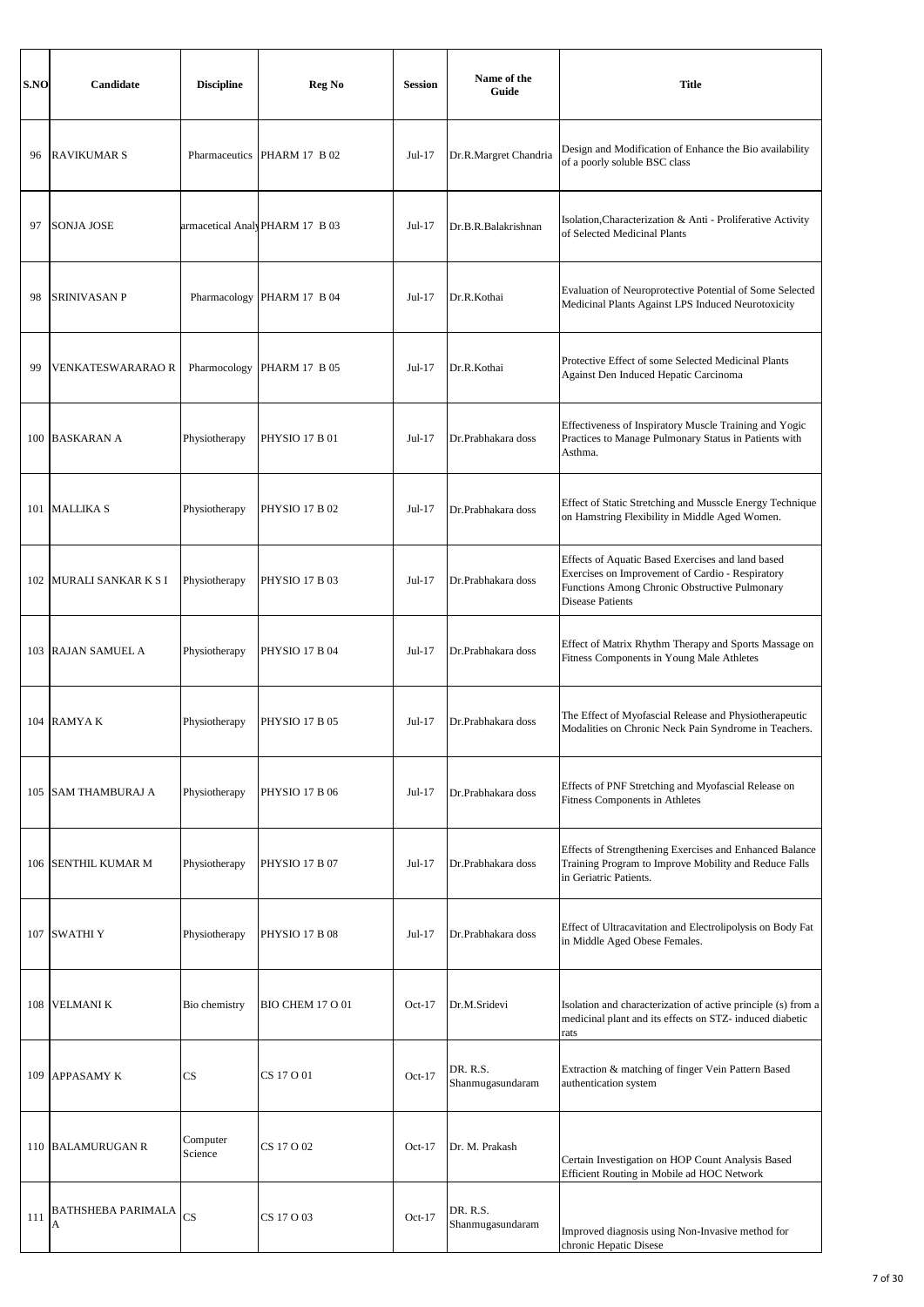| S.NO | Candidate                | <b>Discipline</b>   | Reg No                         | <b>Session</b> | Name of the<br>Guide         | <b>Title</b>                                                                                                                                                                      |
|------|--------------------------|---------------------|--------------------------------|----------------|------------------------------|-----------------------------------------------------------------------------------------------------------------------------------------------------------------------------------|
| 96   | <b>RAVIKUMAR S</b>       |                     | Pharmaceutics PHARM 17 B 02    | Jul-17         | Dr.R.Margret Chandria        | Design and Modification of Enhance the Bio availability<br>of a poorly soluble BSC class                                                                                          |
| 97   | <b>SONJA JOSE</b>        |                     | armacetical AnalyPHARM 17 B 03 | $Jul-17$       | Dr.B.R.Balakrishnan          | Isolation, Characterization & Anti - Proliferative Activity<br>of Selected Medicinal Plants                                                                                       |
| 98   | <b>SRINIVASAN P</b>      | Pharmacology        | <b>PHARM 17 B 04</b>           | Jul-17         | Dr.R.Kothai                  | Evaluation of Neuroprotective Potential of Some Selected<br>Medicinal Plants Against LPS Induced Neurotoxicity                                                                    |
| 99   | <b>VENKATESWARARAO R</b> | Pharmocology        | PHARM 17 B 05                  | $Jul-17$       | Dr.R.Kothai                  | Protective Effect of some Selected Medicinal Plants<br><b>Against Den Induced Hepatic Carcinoma</b>                                                                               |
|      | 100 BASKARAN A           | Physiotherapy       | <b>PHYSIO 17 B 01</b>          | $Jul-17$       | Dr.Prabhakara doss           | Effectiveness of Inspiratory Muscle Training and Yogic<br>Practices to Manage Pulmonary Status in Patients with<br>Asthma.                                                        |
|      | 101 MALLIKA S            | Physiotherapy       | <b>PHYSIO 17 B 02</b>          | $Jul-17$       | Dr.Prabhakara doss           | Effect of Static Stretching and Musscle Energy Technique<br>on Hamstring Flexibility in Middle Aged Women.                                                                        |
|      | 102 MURALI SANKAR K S I  | Physiotherapy       | <b>PHYSIO 17 B 03</b>          | Jul-17         | Dr.Prabhakara doss           | Effects of Aquatic Based Exercises and land based<br>Exercises on Improvement of Cardio - Respiratory<br>Functions Among Chronic Obstructive Pulmonary<br><b>Disease Patients</b> |
|      | 103 RAJAN SAMUEL A       | Physiotherapy       | PHYSIO 17 B 04                 | Jul-17         | Dr.Prabhakara doss           | Effect of Matrix Rhythm Therapy and Sports Massage on<br>Fitness Components in Young Male Athletes                                                                                |
|      | 104 RAMYAK               | Physiotherapy       | <b>PHYSIO 17 B 05</b>          | $Jul-17$       | Dr.Prabhakara doss           | The Effect of Myofascial Release and Physiotherapeutic<br>Modalities on Chronic Neck Pain Syndrome in Teachers.                                                                   |
| 105  | SAM THAMBURAJ A          | Physiotherapy       | <b>PHYSIO 17 B 06</b>          | Jul-17         | Dr.Prabhakara doss           | Effects of PNF Stretching and Myofascial Release on<br>Fitness Components in Athletes                                                                                             |
| 106  | SENTHIL KUMAR M          | Physiotherapy       | <b>PHYSIO 17 B 07</b>          | $Jul-17$       | Dr.Prabhakara doss           | Effects of Strengthening Exercises and Enhanced Balance<br>Training Program to Improve Mobility and Reduce Falls<br>in Geriatric Patients.                                        |
|      | 107 SWATHIY              | Physiotherapy       | <b>PHYSIO 17 B 08</b>          | $Jul-17$       | Dr.Prabhakara doss           | Effect of Ultracavitation and Electrolipolysis on Body Fat<br>in Middle Aged Obese Females.                                                                                       |
| 108  | <b>VELMANIK</b>          | Bio chemistry       | BIO CHEM 17 O 01               | $Oct-17$       | Dr.M.Sridevi                 | Isolation and characterization of active principle (s) from a<br>medicinal plant and its effects on STZ- induced diabetic<br>rats                                                 |
| 109  | APPASAMY K               | CS                  | CS 17 O 01                     | $Oct-17$       | DR. R.S.<br>Shanmugasundaram | Extraction & matching of finger Vein Pattern Based<br>authentication system                                                                                                       |
| 110  | <b>BALAMURUGAN R</b>     | Computer<br>Science | CS 17 O 02                     | $Oct-17$       | Dr. M. Prakash               | Certain Investigation on HOP Count Analysis Based<br>Efficient Routing in Mobile ad HOC Network                                                                                   |
| 111  | BATHSHEBA PARIMALA<br>Α  | <b>CS</b>           | CS 17 O 03                     | $Oct-17$       | DR. R.S.<br>Shanmugasundaram | Improved diagnosis using Non-Invasive method for<br>chronic Hepatic Disese                                                                                                        |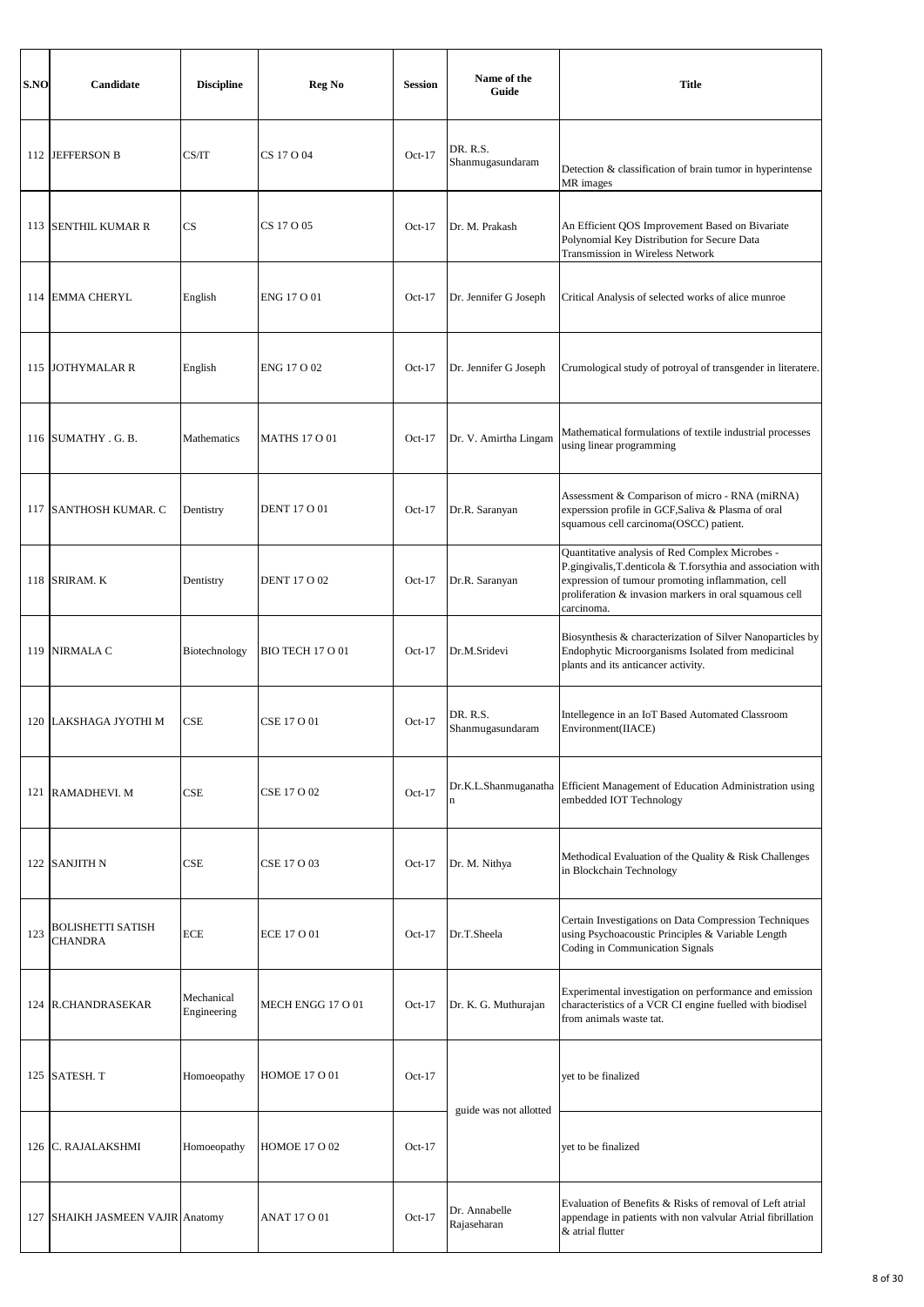| S.NO | Candidate                                  | <b>Discipline</b>         | Reg No                  | <b>Session</b> | Name of the<br>Guide         | <b>Title</b>                                                                                                                                                                                                                                 |
|------|--------------------------------------------|---------------------------|-------------------------|----------------|------------------------------|----------------------------------------------------------------------------------------------------------------------------------------------------------------------------------------------------------------------------------------------|
|      | 112 JEFFERSON B                            | CS/IT                     | CS 17 O 04              | $Oct-17$       | DR. R.S.<br>Shanmugasundaram | Detection & classification of brain tumor in hyperintense<br>MR images                                                                                                                                                                       |
|      | 113 SENTHIL KUMAR R                        | CS                        | CS 17 O 05              | $Oct-17$       | Dr. M. Prakash               | An Efficient QOS Improvement Based on Bivariate<br>Polynomial Key Distribution for Secure Data<br>Transmission in Wireless Network                                                                                                           |
| 114  | <b>EMMA CHERYL</b>                         | English                   | ENG 17 O 01             | $Oct-17$       | Dr. Jennifer G Joseph        | Critical Analysis of selected works of alice munroe                                                                                                                                                                                          |
|      | 115 JOTHYMALAR R                           | English                   | ENG 17 O 02             | $Oct-17$       | Dr. Jennifer G Joseph        | Crumological study of potroyal of transgender in literatere.                                                                                                                                                                                 |
|      | 116 SUMATHY . G. B.                        | Mathematics               | <b>MATHS 17 O 01</b>    | $Oct-17$       | Dr. V. Amirtha Lingam        | Mathematical formulations of textile industrial processes<br>using linear programming                                                                                                                                                        |
|      | 117 SANTHOSH KUMAR. C                      | Dentistry                 | <b>DENT 17 O 01</b>     | $Oct-17$       | Dr.R. Saranyan               | Assessment & Comparison of micro - RNA (miRNA)<br>experssion profile in GCF, Saliva & Plasma of oral<br>squamous cell carcinoma(OSCC) patient.                                                                                               |
|      | 118 SRIRAM. K                              | Dentistry                 | <b>DENT 17 O 02</b>     | $Oct-17$       | Dr.R. Saranyan               | Quantitative analysis of Red Complex Microbes -<br>P.gingivalis, T.denticola & T.forsythia and association with<br>expression of tumour promoting inflammation, cell<br>proliferation & invasion markers in oral squamous cell<br>carcinoma. |
|      | 119 NIRMALA C                              | Biotechnology             | <b>BIO TECH 17 O 01</b> | $Oct-17$       | Dr.M.Sridevi                 | Biosynthesis & characterization of Silver Nanoparticles by<br>Endophytic Microorganisms Isolated from medicinal<br>plants and its anticancer activity.                                                                                       |
|      | 120 LAKSHAGA JYOTHI M                      | CSE                       | CSE 17 O 01             | $Oct-17$       | DR. R.S.<br>Shanmugasundaram | Intellegence in an IoT Based Automated Classroom<br>Environment(IIACE)                                                                                                                                                                       |
|      | 121 RAMADHEVI. M                           | <b>CSE</b>                | CSE 17 O 02             | $Oct-17$       | Dr.K.L.Shanmuganatha<br>n    | Efficient Management of Education Administration using<br>embedded IOT Technology                                                                                                                                                            |
|      | 122 SANJITH N                              | CSE                       | CSE 17 O 03             | $Oct-17$       | Dr. M. Nithya                | Methodical Evaluation of the Quality & Risk Challenges<br>in Blockchain Technology                                                                                                                                                           |
| 123  | <b>BOLISHETTI SATISH</b><br><b>CHANDRA</b> | <b>ECE</b>                | <b>ECE 17 O 01</b>      | $Oct-17$       | Dr.T.Sheela                  | Certain Investigations on Data Compression Techniques<br>using Psychoacoustic Principles & Variable Length<br>Coding in Communication Signals                                                                                                |
|      | 124 R.CHANDRASEKAR                         | Mechanical<br>Engineering | MECH ENGG 17 O 01       | $Oct-17$       | Dr. K. G. Muthurajan         | Experimental investigation on performance and emission<br>characteristics of a VCR CI engine fuelled with biodisel<br>from animals waste tat.                                                                                                |
|      | 125 SATESH. T                              | Homoeopathy               | <b>HOMOE 17 O 01</b>    | $Oct-17$       | guide was not allotted       | yet to be finalized                                                                                                                                                                                                                          |
|      | 126 C. RAJALAKSHMI                         | Homoeopathy               | HOMOE 17 O 02           | $Oct-17$       |                              | yet to be finalized                                                                                                                                                                                                                          |
| 127  | SHAIKH JASMEEN VAJIR Anatomy               |                           | <b>ANAT 17 O 01</b>     | $Oct-17$       | Dr. Annabelle<br>Rajaseharan | Evaluation of Benefits & Risks of removal of Left atrial<br>appendage in patients with non valvular Atrial fibrillation<br>& atrial flutter                                                                                                  |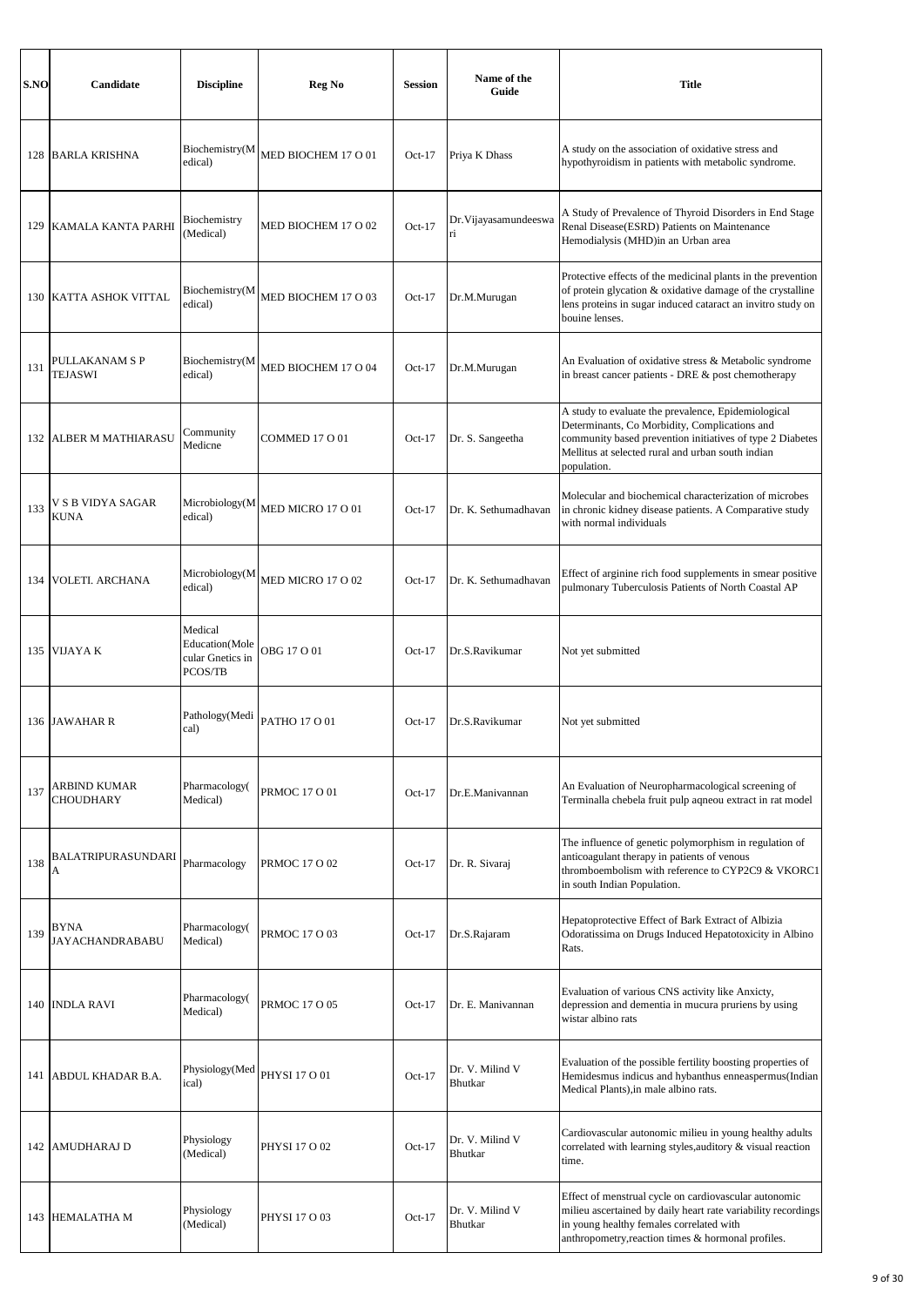| S.NO | Candidate                             | <b>Discipline</b>                                        | Reg No               | <b>Session</b> | Name of the<br>Guide        | <b>Title</b>                                                                                                                                                                                                                          |
|------|---------------------------------------|----------------------------------------------------------|----------------------|----------------|-----------------------------|---------------------------------------------------------------------------------------------------------------------------------------------------------------------------------------------------------------------------------------|
| 128  | <b>BARLA KRISHNA</b>                  | Biochemistry(M<br>edical)                                | MED BIOCHEM 17 O 01  | $Oct-17$       | Priya K Dhass               | A study on the association of oxidative stress and<br>hypothyroidism in patients with metabolic syndrome.                                                                                                                             |
| 129  | KAMALA KANTA PARHI                    | Biochemistry<br>(Medical)                                | MED BIOCHEM 17 O 02  | $Oct-17$       | Dr. Vijayasamundeeswa<br>ri | A Study of Prevalence of Thyroid Disorders in End Stage<br>Renal Disease(ESRD) Patients on Maintenance<br>Hemodialysis (MHD)in an Urban area                                                                                          |
| 130  | KATTA ASHOK VITTAL                    | Biochemistry(M<br>edical)                                | MED BIOCHEM 17 O 03  | $Oct-17$       | Dr.M.Murugan                | Protective effects of the medicinal plants in the prevention<br>of protein glycation & oxidative damage of the crystalline<br>lens proteins in sugar induced cataract an invitro study on<br>bouine lenses.                           |
| 131  | PULLAKANAM S P<br><b>TEJASWI</b>      | Biochemistry(M<br>edical)                                | MED BIOCHEM 17 O 04  | $Oct-17$       | Dr.M.Murugan                | An Evaluation of oxidative stress & Metabolic syndrome<br>in breast cancer patients - DRE & post chemotherapy                                                                                                                         |
| 132  | <b>ALBER M MATHIARASU</b>             | Community<br>Medicne                                     | COMMED 17 O 01       | $Oct-17$       | Dr. S. Sangeetha            | A study to evaluate the prevalence, Epidemiological<br>Determinants, Co Morbidity, Complications and<br>community based prevention initiatives of type 2 Diabetes<br>Mellitus at selected rural and urban south indian<br>population. |
| 133  | V S B VIDYA SAGAR<br><b>KUNA</b>      | Microbiology(M<br>edical)                                | MED MICRO 17 O 01    | $Oct-17$       | Dr. K. Sethumadhavan        | Molecular and biochemical characterization of microbes<br>in chronic kidney disease patients. A Comparative study<br>with normal individuals                                                                                          |
| 134  | VOLETI. ARCHANA                       | Microbiology(M<br>edical)                                | MED MICRO 17 O 02    | $Oct-17$       | Dr. K. Sethumadhavan        | Effect of arginine rich food supplements in smear positive<br>pulmonary Tuberculosis Patients of North Coastal AP                                                                                                                     |
| 135  | <b>VIJAYAK</b>                        | Medical<br>Education(Mole<br>cular Gnetics in<br>PCOS/TB | OBG 17 O 01          | $Oct-17$       | Dr.S.Ravikumar              | Not yet submitted                                                                                                                                                                                                                     |
| 136  | <b>JAWAHAR R</b>                      | Pathology(Medi<br>cal)                                   | PATHO 17 O 01        | $Oct-17$       | Dr.S.Ravikumar              | Not yet submitted                                                                                                                                                                                                                     |
| 137  | ARBIND KUMAR<br><b>CHOUDHARY</b>      | Pharmacology(<br>Medical)                                | <b>PRMOC 17 O 01</b> | $Oct-17$       | Dr.E.Manivannan             | An Evaluation of Neuropharmacological screening of<br>Terminalla chebela fruit pulp aqneou extract in rat model                                                                                                                       |
| 138  | BALATRIPURASUNDARI<br>A               | Pharmacology                                             | PRMOC 17 O 02        | $Oct-17$       | Dr. R. Sivaraj              | The influence of genetic polymorphism in regulation of<br>anticoagulant therapy in patients of venous<br>thromboembolism with reference to CYP2C9 & VKORC1<br>in south Indian Population.                                             |
| 139  | <b>BYNA</b><br><b>JAYACHANDRABABU</b> | Pharmacology(<br>Medical)                                | <b>PRMOC 17 O 03</b> | $Oct-17$       | Dr.S.Rajaram                | Hepatoprotective Effect of Bark Extract of Albizia<br>Odoratissima on Drugs Induced Hepatotoxicity in Albino<br>Rats.                                                                                                                 |
| 140  | <b>INDLA RAVI</b>                     | Pharmacology(<br>Medical)                                | <b>PRMOC 17 O 05</b> | $Oct-17$       | Dr. E. Manivannan           | Evaluation of various CNS activity like Anxicty,<br>depression and dementia in mucura pruriens by using<br>wistar albino rats                                                                                                         |
| 141  | ABDUL KHADAR B.A.                     | Physiology(Med<br>ical)                                  | PHYSI 17 O 01        | $Oct-17$       | Dr. V. Milind V<br>Bhutkar  | Evaluation of the possible fertility boosting properties of<br>Hemidesmus indicus and hybanthus enneaspermus(Indian<br>Medical Plants), in male albino rats.                                                                          |
| 142  | <b>AMUDHARAJ D</b>                    | Physiology<br>(Medical)                                  | PHYSI 17 O 02        | $Oct-17$       | Dr. V. Milind V<br>Bhutkar  | Cardiovascular autonomic milieu in young healthy adults<br>correlated with learning styles, auditory & visual reaction<br>time.                                                                                                       |
| 143  | <b>HEMALATHA M</b>                    | Physiology<br>(Medical)                                  | PHYSI 17 O 03        | $Oct-17$       | Dr. V. Milind V<br>Bhutkar  | Effect of menstrual cycle on cardiovascular autonomic<br>milieu ascertained by daily heart rate variability recordings<br>in young healthy females correlated with<br>anthropometry, reaction times & hormonal profiles.              |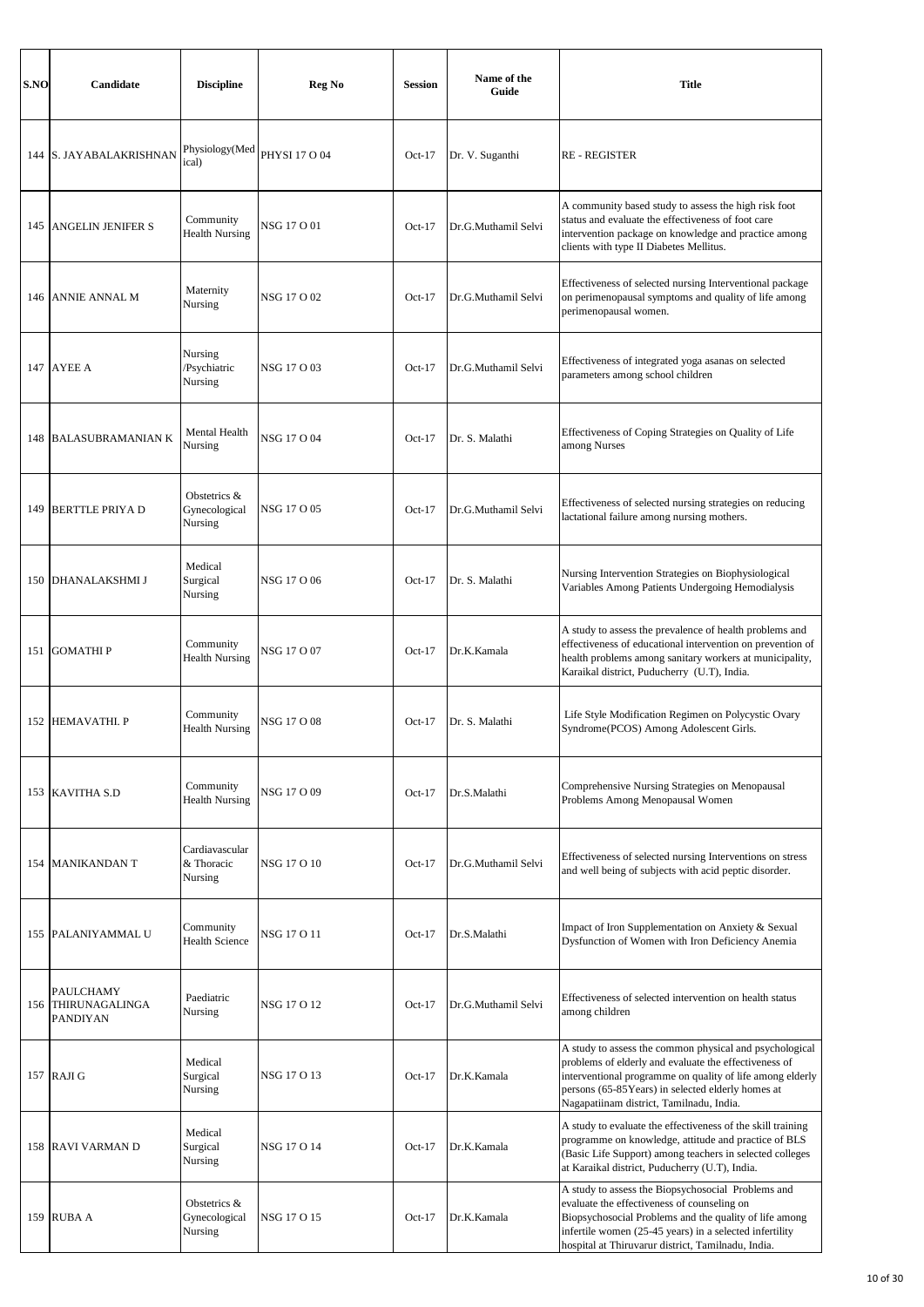| S.NO | Candidate                                                 | <b>Discipline</b>                        | Reg No        | <b>Session</b> | Name of the<br>Guide | <b>Title</b>                                                                                                                                                                                                                                                                   |
|------|-----------------------------------------------------------|------------------------------------------|---------------|----------------|----------------------|--------------------------------------------------------------------------------------------------------------------------------------------------------------------------------------------------------------------------------------------------------------------------------|
|      | 144 S. JAYABALAKRISHNAN                                   | Physiology(Med<br>ical)                  | PHYSI 17 O 04 | $Oct-17$       | Dr. V. Suganthi      | <b>RE-REGISTER</b>                                                                                                                                                                                                                                                             |
| 145  | <b>ANGELIN JENIFER S</b>                                  | Community<br><b>Health Nursing</b>       | NSG 17 O 01   | $Oct-17$       | Dr.G.Muthamil Selvi  | A community based study to assess the high risk foot<br>status and evaluate the effectiveness of foot care<br>intervention package on knowledge and practice among<br>clients with type II Diabetes Mellitus.                                                                  |
| 146  | ANNIE ANNAL M                                             | Maternity<br>Nursing                     | NSG 17 O 02   | $Oct-17$       | Dr.G.Muthamil Selvi  | Effectiveness of selected nursing Interventional package<br>on perimenopausal symptoms and quality of life among<br>perimenopausal women.                                                                                                                                      |
|      | <b>147 AYEE A</b>                                         | Nursing<br>/Psychiatric<br>Nursing       | NSG 17 O 03   | $Oct-17$       | Dr.G.Muthamil Selvi  | Effectiveness of integrated yoga asanas on selected<br>parameters among school children                                                                                                                                                                                        |
|      | <b>148 BALASUBRAMANIAN K</b>                              | Mental Health<br>Nursing                 | NSG 17 O 04   | $Oct-17$       | Dr. S. Malathi       | Effectiveness of Coping Strategies on Quality of Life<br>among Nurses                                                                                                                                                                                                          |
|      | 149 BERTTLE PRIYA D                                       | Obstetrics &<br>Gynecological<br>Nursing | NSG 17 O 05   | $Oct-17$       | Dr.G.Muthamil Selvi  | Effectiveness of selected nursing strategies on reducing<br>lactational failure among nursing mothers.                                                                                                                                                                         |
|      | 150 DHANALAKSHMI J                                        | Medical<br>Surgical<br>Nursing           | NSG 17 O 06   | $Oct-17$       | Dr. S. Malathi       | Nursing Intervention Strategies on Biophysiological<br>Variables Among Patients Undergoing Hemodialysis                                                                                                                                                                        |
|      | 151 GOMATHI P                                             | Community<br><b>Health Nursing</b>       | NSG 17 O 07   | $Oct-17$       | Dr.K.Kamala          | A study to assess the prevalence of health problems and<br>effectiveness of educational intervention on prevention of<br>health problems among sanitary workers at municipality,<br>Karaikal district, Puducherry (U.T), India.                                                |
|      | 152 HEMAVATHI, P                                          | Community<br><b>Health Nursing</b>       | NSG 17 O 08   | $Oct-17$       | Dr. S. Malathi       | Life Style Modification Regimen on Polycystic Ovary<br>Syndrome(PCOS) Among Adolescent Girls.                                                                                                                                                                                  |
|      | 153 KAVITHA S.D                                           | Community<br><b>Health Nursing</b>       | NSG 17 O 09   | $Oct-17$       | Dr.S.Malathi         | Comprehensive Nursing Strategies on Menopausal<br>Problems Among Menopausal Women                                                                                                                                                                                              |
|      | 154 MANIKANDAN T                                          | Cardiavascular<br>& Thoracic<br>Nursing  | NSG 17 O 10   | $Oct-17$       | Dr.G.Muthamil Selvi  | Effectiveness of selected nursing Interventions on stress<br>and well being of subjects with acid peptic disorder.                                                                                                                                                             |
|      | 155 PALANIYAMMAL U                                        | Community<br><b>Health Science</b>       | NSG 17 O 11   | $Oct-17$       | Dr.S.Malathi         | Impact of Iron Supplementation on Anxiety & Sexual<br>Dysfunction of Women with Iron Deficiency Anemia                                                                                                                                                                         |
|      | <b>PAULCHAMY</b><br>156 THIRUNAGALINGA<br><b>PANDIYAN</b> | Paediatric<br>Nursing                    | NSG 17 O 12   | $Oct-17$       | Dr.G.Muthamil Selvi  | Effectiveness of selected intervention on health status<br>among children                                                                                                                                                                                                      |
|      | 157 RAJI G                                                | Medical<br>Surgical<br>Nursing           | NSG 17 O 13   | $Oct-17$       | Dr.K.Kamala          | A study to assess the common physical and psychological<br>problems of elderly and evaluate the effectiveness of<br>interventional programme on quality of life among elderly<br>persons (65-85Years) in selected elderly homes at<br>Nagapatiinam district, Tamilnadu, India. |
| 158  | <b>RAVI VARMAN D</b>                                      | Medical<br>Surgical<br>Nursing           | NSG 17 O 14   | $Oct-17$       | Dr.K.Kamala          | A study to evaluate the effectiveness of the skill training<br>programme on knowledge, attitude and practice of BLS<br>(Basic Life Support) among teachers in selected colleges<br>at Karaikal district, Puducherry (U.T), India.                                              |
|      | 159 RUBA A                                                | Obstetrics &<br>Gynecological<br>Nursing | NSG 17 O 15   | $Oct-17$       | Dr.K.Kamala          | A study to assess the Biopsychosocial Problems and<br>evaluate the effectiveness of counseling on<br>Biopsychosocial Problems and the quality of life among<br>infertile women (25-45 years) in a selected infertility<br>hospital at Thiruvarur district, Tamilnadu, India.   |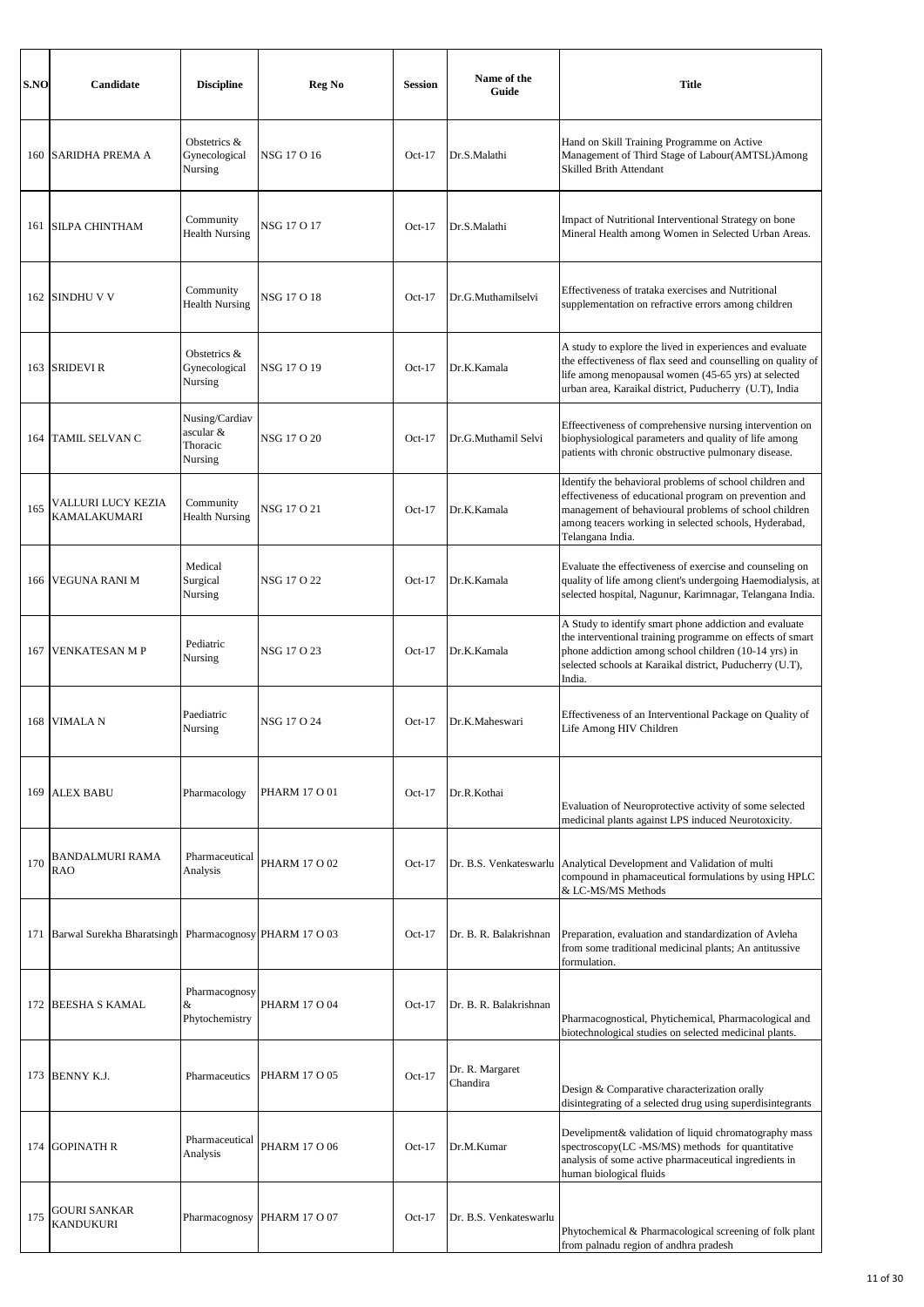| S.NO | <b>Candidate</b>                                       | <b>Discipline</b>                                  | Reg No               | <b>Session</b> | Name of the<br>Guide        | <b>Title</b>                                                                                                                                                                                                                                            |
|------|--------------------------------------------------------|----------------------------------------------------|----------------------|----------------|-----------------------------|---------------------------------------------------------------------------------------------------------------------------------------------------------------------------------------------------------------------------------------------------------|
| 160  | SARIDHA PREMA A                                        | Obstetrics &<br>Gynecological<br>Nursing           | NSG 17 O 16          | $Oct-17$       | Dr.S.Malathi                | Hand on Skill Training Programme on Active<br>Management of Third Stage of Labour(AMTSL)Among<br>Skilled Brith Attendant                                                                                                                                |
| 161  | <b>SILPA CHINTHAM</b>                                  | Community<br><b>Health Nursing</b>                 | NSG 17 O 17          | $Oct-17$       | Dr.S.Malathi                | Impact of Nutritional Interventional Strategy on bone<br>Mineral Health among Women in Selected Urban Areas.                                                                                                                                            |
| 162  | <b>SINDHU V V</b>                                      | Community<br><b>Health Nursing</b>                 | NSG 17 O 18          | $Oct-17$       | Dr.G.Muthamilselvi          | Effectiveness of trataka exercises and Nutritional<br>supplementation on refractive errors among children                                                                                                                                               |
| 163  | <b>SRIDEVI R</b>                                       | Obstetrics &<br>Gynecological<br>Nursing           | NSG 17 O 19          | $Oct-17$       | Dr.K.Kamala                 | A study to explore the lived in experiences and evaluate<br>the effectiveness of flax seed and counselling on quality of<br>life among menopausal women (45-65 yrs) at selected<br>urban area, Karaikal district, Puducherry (U.T), India               |
| 164  | TAMIL SELVAN C                                         | Nusing/Cardiav<br>ascular &<br>Thoracic<br>Nursing | NSG 17 O 20          | $Oct-17$       | Dr.G.Muthamil Selvi         | Effeectiveness of comprehensive nursing intervention on<br>biophysiological parameters and quality of life among<br>patients with chronic obstructive pulmonary disease.                                                                                |
| 165  | VALLURI LUCY KEZIA<br><b>KAMALAKUMARI</b>              | Community<br><b>Health Nursing</b>                 | NSG 17 O 21          | $Oct-17$       | Dr.K.Kamala                 | Identify the behavioral problems of school children and<br>effectiveness of educational program on prevention and<br>management of behavioural problems of school children<br>among teacers working in selected schools, Hyderabad,<br>Telangana India. |
| 166  | <b>VEGUNA RANI M</b>                                   | Medical<br>Surgical<br>Nursing                     | NSG 17 O 22          | $Oct-17$       | Dr.K.Kamala                 | Evaluate the effectiveness of exercise and counseling on<br>quality of life among client's undergoing Haemodialysis, at<br>selected hospital, Nagunur, Karimnagar, Telangana India.                                                                     |
| 167  | <b>VENKATESAN M P</b>                                  | Pediatric<br>Nursing                               | NSG 17 O 23          | $Oct-17$       | Dr.K.Kamala                 | A Study to identify smart phone addiction and evaluate<br>the interventional training programme on effects of smart<br>phone addiction among school children (10-14 yrs) in<br>selected schools at Karaikal district, Puducherry (U.T),<br>India.       |
| 168  | <b>VIMALA N</b>                                        | Paediatric<br>Nursing                              | NSG 17 O 24          | $Oct-17$       | Dr.K.Maheswari              | Effectiveness of an Interventional Package on Quality of<br>Life Among HIV Children                                                                                                                                                                     |
| 169  | <b>ALEX BABU</b>                                       | Pharmacology                                       | <b>PHARM 17 O 01</b> | $Oct-17$       | Dr.R.Kothai                 | Evaluation of Neuroprotective activity of some selected<br>medicinal plants against LPS induced Neurotoxicity.                                                                                                                                          |
| 170  | <b>BANDALMURI RAMA</b><br><b>RAO</b>                   | Pharmaceutical<br>Analysis                         | PHARM 17 O 02        | $Oct-17$       | Dr. B.S. Venkateswarlu      | Analytical Development and Validation of multi<br>compound in phamaceutical formulations by using HPLC<br>& LC-MS/MS Methods                                                                                                                            |
| 171  | Barwal Surekha Bharatsingh Pharmacognosy PHARM 17 O 03 |                                                    |                      | $Oct-17$       | Dr. B. R. Balakrishnan      | Preparation, evaluation and standardization of Avleha<br>from some traditional medicinal plants; An antitussive<br>formulation.                                                                                                                         |
| 172  | <b>BEESHA S KAMAL</b>                                  | Pharmacognosy<br>&<br>Phytochemistry               | <b>PHARM 17 O 04</b> | $Oct-17$       | Dr. B. R. Balakrishnan      | Pharmacognostical, Phytichemical, Pharmacological and<br>biotechnological studies on selected medicinal plants.                                                                                                                                         |
| 173  | <b>BENNY K.J.</b>                                      | Pharmaceutics                                      | PHARM 17 O 05        | $Oct-17$       | Dr. R. Margaret<br>Chandira | Design & Comparative characterization orally<br>disintegrating of a selected drug using superdisintegrants                                                                                                                                              |
| 174  | <b>GOPINATH R</b>                                      | Pharmaceutical<br>Analysis                         | PHARM 17 O 06        | $Oct-17$       | Dr.M.Kumar                  | Develipment& validation of liquid chromatography mass<br>spectroscopy(LC -MS/MS) methods for quantitative<br>analysis of some active pharmaceutical ingredients in<br>human biological fluids                                                           |
| 175  | <b>GOURI SANKAR</b><br><b>KANDUKURI</b>                | Pharmacognosy                                      | <b>PHARM 17 O 07</b> | $Oct-17$       | Dr. B.S. Venkateswarlu      | Phytochemical & Pharmacological screening of folk plant<br>from palnadu region of andhra pradesh                                                                                                                                                        |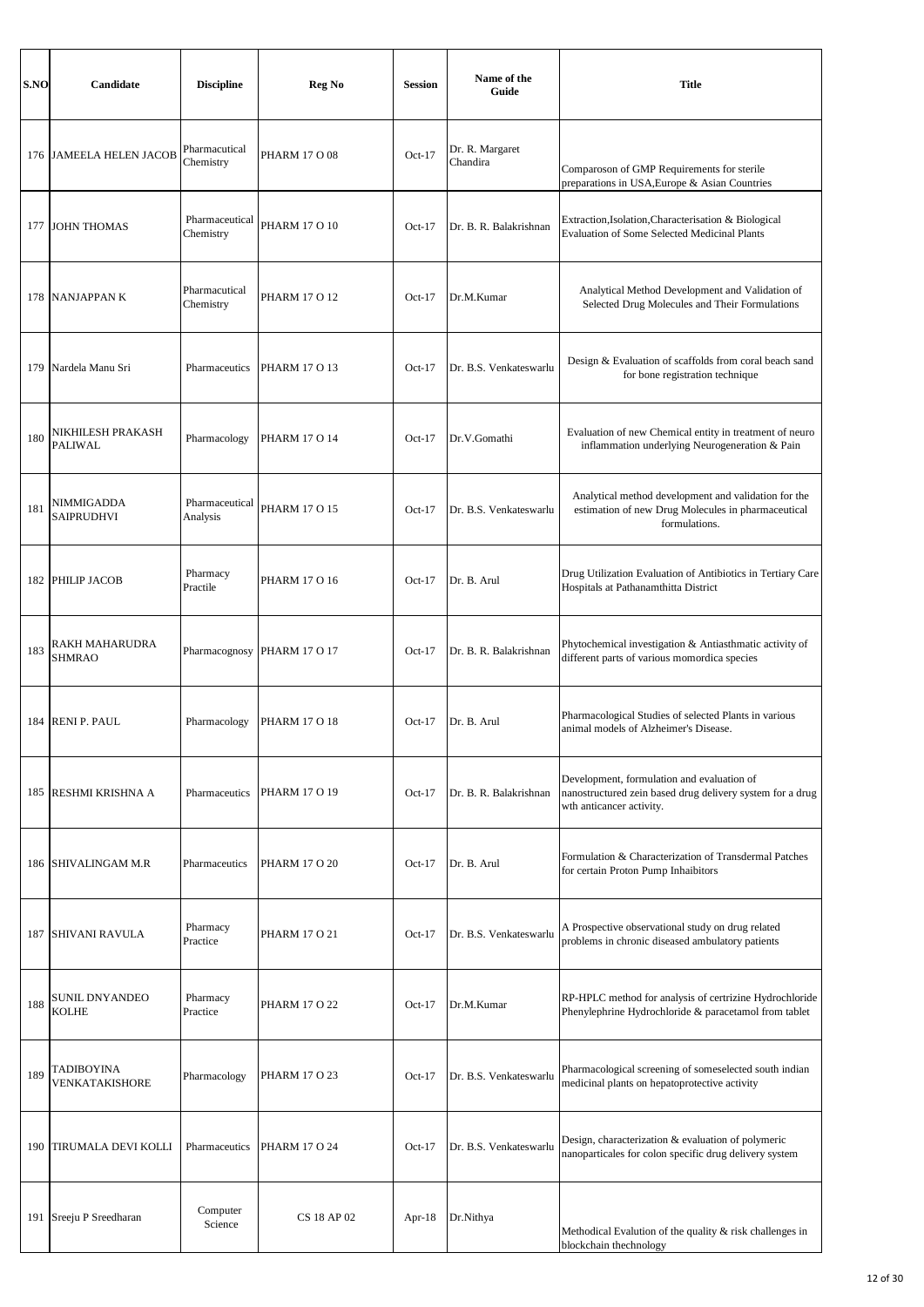| S.NO | Candidate                       | <b>Discipline</b>           | Reg No               | <b>Session</b> | Name of the<br>Guide        | <b>Title</b>                                                                                                                        |
|------|---------------------------------|-----------------------------|----------------------|----------------|-----------------------------|-------------------------------------------------------------------------------------------------------------------------------------|
|      | 176 JAMEELA HELEN JACOB         | Pharmacutical<br>Chemistry  | PHARM 17 O 08        | $Oct-17$       | Dr. R. Margaret<br>Chandira | Comparoson of GMP Requirements for sterile<br>preparations in USA, Europe & Asian Countries                                         |
|      | 177 JOHN THOMAS                 | Pharmaceutical<br>Chemistry | <b>PHARM 17 O 10</b> | $Oct-17$       | Dr. B. R. Balakrishnan      | Extraction, Isolation, Characterisation & Biological<br><b>Evaluation of Some Selected Medicinal Plants</b>                         |
|      | 178 NANJAPPANK                  | Pharmacutical<br>Chemistry  | PHARM 17 O 12        | $Oct-17$       | Dr.M.Kumar                  | Analytical Method Development and Validation of<br>Selected Drug Molecules and Their Formulations                                   |
|      | 179 Nardela Manu Sri            | Pharmaceutics               | <b>PHARM 17 O 13</b> | $Oct-17$       | Dr. B.S. Venkateswarlu      | Design & Evaluation of scaffolds from coral beach sand<br>for bone registration technique                                           |
| 180  | NIKHILESH PRAKASH<br>PALIWAL    | Pharmacology                | <b>PHARM 17 O 14</b> | $Oct-17$       | Dr.V.Gomathi                | Evaluation of new Chemical entity in treatment of neuro<br>inflammation underlying Neurogeneration & Pain                           |
| 181  | NIMMIGADDA<br><b>SAIPRUDHVI</b> | Pharmaceutical<br>Analysis  | <b>PHARM 17 O 15</b> | $Oct-17$       | Dr. B.S. Venkateswarlu      | Analytical method development and validation for the<br>estimation of new Drug Molecules in pharmaceutical<br>formulations.         |
|      | 182 PHILIP JACOB                | Pharmacy<br>Practile        | <b>PHARM 17 O 16</b> | $Oct-17$       | Dr. B. Arul                 | Drug Utilization Evaluation of Antibiotics in Tertiary Care<br>Hospitals at Pathanamthitta District                                 |
| 183  | RAKH MAHARUDRA<br><b>SHMRAO</b> | Pharmacognosy               | <b>PHARM 17 O 17</b> | $Oct-17$       | Dr. B. R. Balakrishnan      | Phytochemical investigation & Antiasthmatic activity of<br>different parts of various momordica species                             |
|      | 184 RENI P. PAUL                | Pharmacology                | PHARM 17 O 18        | $Oct-17$       | Dr. B. Arul                 | Pharmacological Studies of selected Plants in various<br>animal models of Alzheimer's Disease.                                      |
| 185  | RESHMI KRISHNA A                | Pharmaceutics               | PHARM 17 O 19        | $Oct-17$       | Dr. B. R. Balakrishnan      | Development, formulation and evaluation of<br>nanostructured zein based drug delivery system for a drug<br>wth anticancer activity. |
|      | 186 SHIVALINGAM M.R             | Pharmaceutics               | <b>PHARM 17 O 20</b> | $Oct-17$       | Dr. B. Arul                 | Formulation & Characterization of Transdermal Patches<br>for certain Proton Pump Inhaibitors                                        |
|      | <b>187 SHIVANI RAVULA</b>       | Pharmacy<br>Practice        | <b>PHARM 17 O 21</b> | $Oct-17$       | Dr. B.S. Venkateswarlu      | A Prospective observational study on drug related<br>problems in chronic diseased ambulatory patients                               |
| 188  | SUNIL DNYANDEO<br><b>KOLHE</b>  | Pharmacy<br>Practice        | <b>PHARM 17 O 22</b> | $Oct-17$       | Dr.M.Kumar                  | RP-HPLC method for analysis of certrizine Hydrochloride<br>Phenylephrine Hydrochloride & paracetamol from tablet                    |
| 189  | TADIBOYINA<br>VENKATAKISHORE    | Pharmacology                | <b>PHARM 17 O 23</b> | $Oct-17$       | Dr. B.S. Venkateswarlu      | Pharmacological screening of someselected south indian<br>medicinal plants on hepatoprotective activity                             |
| 190  | <b>TIRUMALA DEVI KOLLI</b>      | Pharmaceutics               | PHARM 17 O 24        | $Oct-17$       | Dr. B.S. Venkateswarlu      | Design, characterization & evaluation of polymeric<br>nanoparticales for colon specific drug delivery system                        |
| 191  | Sreeju P Sreedharan             | Computer<br>Science         | CS 18 AP 02          | Apr- $18$      | Dr.Nithya                   | Methodical Evalution of the quality & risk challenges in<br>blockchain thechnology                                                  |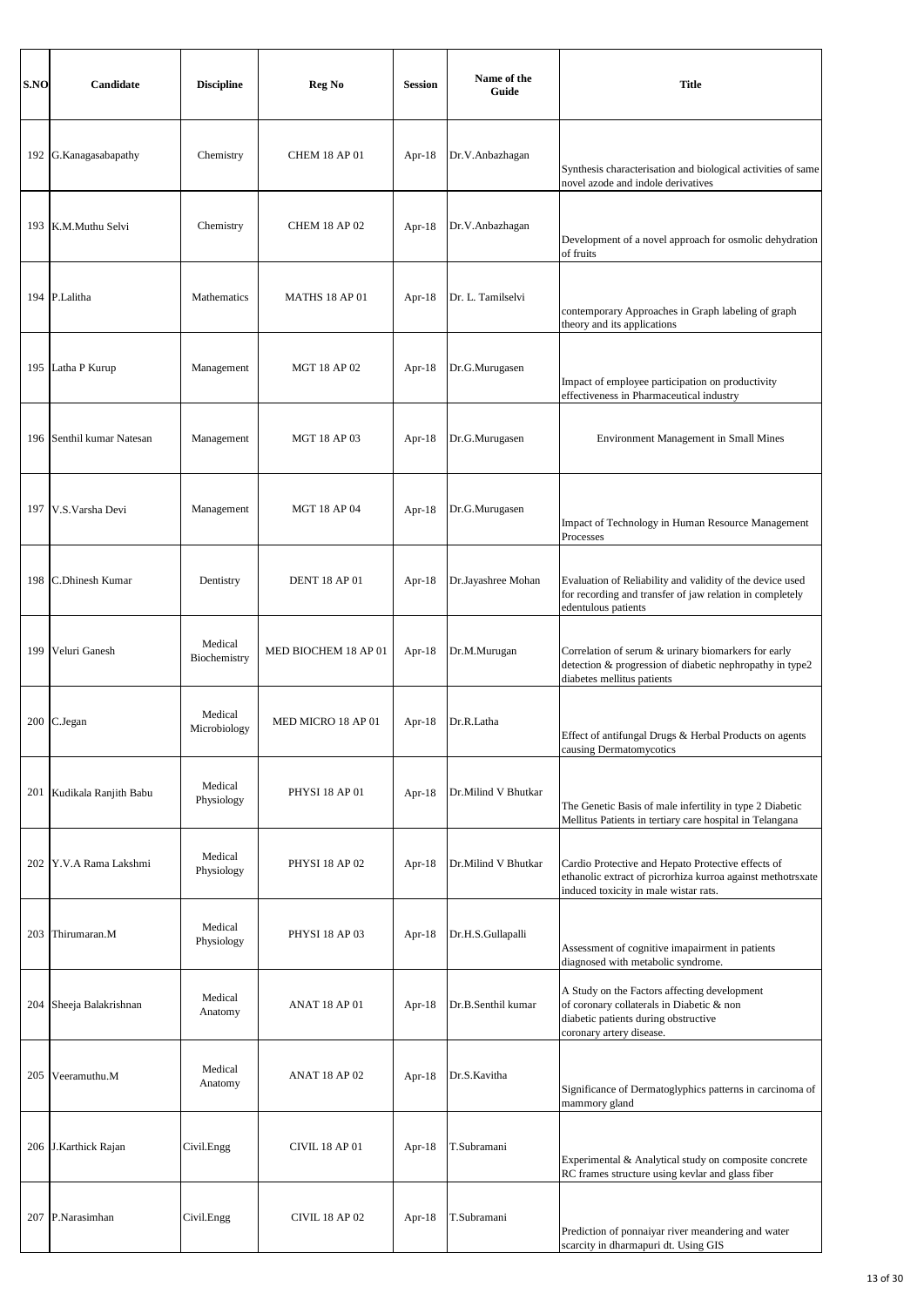| S.NO  | Candidate             | <b>Discipline</b>       | Reg No                | <b>Session</b> | Name of the<br>Guide | <b>Title</b>                                                                                                                                                  |
|-------|-----------------------|-------------------------|-----------------------|----------------|----------------------|---------------------------------------------------------------------------------------------------------------------------------------------------------------|
|       | 192 G.Kanagasabapathy | Chemistry               | <b>CHEM 18 AP 01</b>  | Apr- $18$      | Dr.V.Anbazhagan      | Synthesis characterisation and biological activities of same<br>novel azode and indole derivatives                                                            |
|       | 193 K.M.Muthu Selvi   | Chemistry               | <b>CHEM 18 AP 02</b>  | Apr- $18$      | Dr.V.Anbazhagan      | Development of a novel approach for osmolic dehydration<br>of fruits                                                                                          |
|       | 194 P.Lalitha         | Mathematics             | MATHS 18 AP 01        | Apr- $18$      | Dr. L. Tamilselvi    | contemporary Approaches in Graph labeling of graph<br>theory and its applications                                                                             |
|       | 195 Latha P Kurup     | Management              | <b>MGT 18 AP 02</b>   | Apr- $18$      | Dr.G.Murugasen       | Impact of employee participation on productivity<br>effectiveness in Pharmaceutical industry                                                                  |
| 196   | Senthil kumar Natesan | Management              | <b>MGT 18 AP 03</b>   | Apr- $18$      | Dr.G.Murugasen       | Environment Management in Small Mines                                                                                                                         |
|       | 197 V.S. Varsha Devi  | Management              | <b>MGT 18 AP 04</b>   | Apr- $18$      | Dr.G.Murugasen       | Impact of Technology in Human Resource Management<br>Processes                                                                                                |
| 198   | C.Dhinesh Kumar       | Dentistry               | <b>DENT 18 AP 01</b>  | Apr- $18$      | Dr.Jayashree Mohan   | Evaluation of Reliability and validity of the device used<br>for recording and transfer of jaw relation in completely<br>edentulous patients                  |
| 199   | Veluri Ganesh         | Medical<br>Biochemistry | MED BIOCHEM 18 AP 01  | Apr- $18$      | Dr.M.Murugan         | Correlation of serum & urinary biomarkers for early<br>detection & progression of diabetic nephropathy in type2<br>diabetes mellitus patients                 |
|       | 200 C.Jegan           | Medical<br>Microbiology | MED MICRO 18 AP 01    | Apr- $18$      | Dr.R.Latha           | Effect of antifungal Drugs & Herbal Products on agents<br>causing Dermatomycotics                                                                             |
| 201   | Kudikala Ranjith Babu | Medical<br>Physiology   | PHYSI 18 AP 01        | Apr- $18$      | Dr.Milind V Bhutkar  | The Genetic Basis of male infertility in type 2 Diabetic<br>Mellitus Patients in tertiary care hospital in Telangana                                          |
| 202 l | Y.V.A Rama Lakshmi    | Medical<br>Physiology   | PHYSI 18 AP 02        | Apr- $18$      | Dr.Milind V Bhutkar  | Cardio Protective and Hepato Protective effects of<br>ethanolic extract of picrorhiza kurroa against methotrsxate<br>induced toxicity in male wistar rats.    |
|       | 203 Thirumaran.M      | Medical<br>Physiology   | <b>PHYSI 18 AP 03</b> | Apr- $18$      | Dr.H.S.Gullapalli    | Assessment of cognitive imapairment in patients<br>diagnosed with metabolic syndrome.                                                                         |
| 204   | Sheeja Balakrishnan   | Medical<br>Anatomy      | <b>ANAT 18 AP 01</b>  | Apr- $18$      | Dr.B.Senthil kumar   | A Study on the Factors affecting development<br>of coronary collaterals in Diabetic & non<br>diabetic patients during obstructive<br>coronary artery disease. |
| 205   | Veeramuthu.M          | Medical<br>Anatomy      | <b>ANAT 18 AP 02</b>  | Apr- $18$      | Dr.S.Kavitha         | Significance of Dermatoglyphics patterns in carcinoma of<br>mammory gland                                                                                     |
|       | 206 J.Karthick Rajan  | Civil.Engg              | <b>CIVIL 18 AP 01</b> | Apr- $18$      | T.Subramani          | Experimental & Analytical study on composite concrete<br>RC frames structure using kevlar and glass fiber                                                     |
| 207   | P.Narasimhan          | Civil.Engg              | <b>CIVIL 18 AP 02</b> | Apr- $18$      | T.Subramani          | Prediction of ponnaiyar river meandering and water<br>scarcity in dharmapuri dt. Using GIS                                                                    |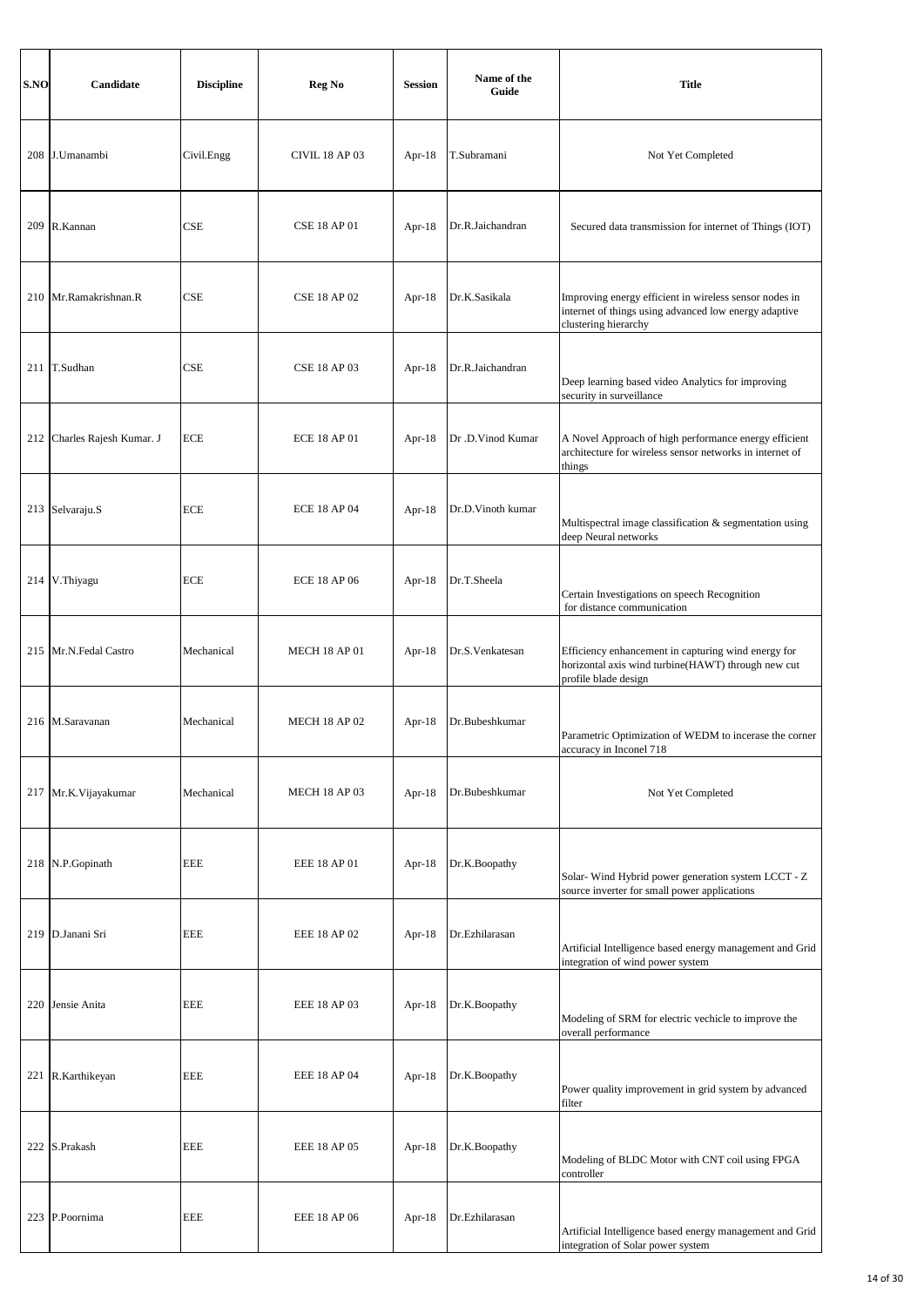| S.NO | Candidate                   | <b>Discipline</b> | Reg No               | <b>Session</b> | Name of the<br>Guide | <b>Title</b>                                                                                                                            |
|------|-----------------------------|-------------------|----------------------|----------------|----------------------|-----------------------------------------------------------------------------------------------------------------------------------------|
|      | 208 J.Umanambi              | Civil.Engg        | CIVIL 18 AP 03       | Apr- $18$      | T.Subramani          | Not Yet Completed                                                                                                                       |
|      | 209 R.Kannan                | <b>CSE</b>        | <b>CSE 18 AP 01</b>  | Apr- $18$      | Dr.R.Jaichandran     | Secured data transmission for internet of Things (IOT)                                                                                  |
| 210  | Mr.Ramakrishnan.R           | CSE               | <b>CSE 18 AP 02</b>  | Apr- $18$      | Dr.K.Sasikala        | Improving energy efficient in wireless sensor nodes in<br>internet of things using advanced low energy adaptive<br>clustering hierarchy |
|      | 211 T.Sudhan                | CSE               | <b>CSE 18 AP 03</b>  | Apr- $18$      | Dr.R.Jaichandran     | Deep learning based video Analytics for improving<br>security in surveillance                                                           |
|      | 212 Charles Rajesh Kumar. J | <b>ECE</b>        | <b>ECE 18 AP 01</b>  | Apr- $18$      | Dr .D. Vinod Kumar   | A Novel Approach of high performance energy efficient<br>architecture for wireless sensor networks in internet of<br>things             |
|      | 213 Selvaraju.S             | <b>ECE</b>        | <b>ECE 18 AP 04</b>  | Apr- $18$      | Dr.D.Vinoth kumar    | Multispectral image classification & segmentation using<br>deep Neural networks                                                         |
|      | 214 V.Thiyagu               | <b>ECE</b>        | <b>ECE 18 AP 06</b>  | Apr- $18$      | Dr.T.Sheela          | Certain Investigations on speech Recognition<br>for distance communication                                                              |
|      | 215 Mr.N.Fedal Castro       | Mechanical        | <b>MECH 18 AP 01</b> | Apr- $18$      | Dr.S.Venkatesan      | Efficiency enhancement in capturing wind energy for<br>horizontal axis wind turbine(HAWT) through new cut<br>profile blade design       |
|      | 216 M.Saravanan             | Mechanical        | <b>MECH 18 AP 02</b> | Apr- $18$      | Dr.Bubeshkumar       | Parametric Optimization of WEDM to incerase the corner<br>accuracy in Inconel 718                                                       |
|      | 217 Mr.K.Vijayakumar        | Mechanical        | <b>MECH 18 AP 03</b> | Apr-18         | Dr.Bubeshkumar       | Not Yet Completed                                                                                                                       |
|      | 218 N.P.Gopinath            | <b>EEE</b>        | EEE 18 AP 01         | Apr- $18$      | Dr.K.Boopathy        | Solar-Wind Hybrid power generation system LCCT - Z<br>source inverter for small power applications                                      |
|      | 219 D.Janani Sri            | <b>EEE</b>        | <b>EEE 18 AP 02</b>  | Apr- $18$      | Dr.Ezhilarasan       | Artificial Intelligence based energy management and Grid<br>integration of wind power system                                            |
|      | 220 Jensie Anita            | EEE               | EEE 18 AP 03         | Apr- $18$      | Dr.K.Boopathy        | Modeling of SRM for electric vechicle to improve the<br>overall performance                                                             |
|      | 221 R.Karthikeyan           | <b>EEE</b>        | EEE 18 AP 04         | Apr- $18$      | Dr.K.Boopathy        | Power quality improvement in grid system by advanced<br>filter                                                                          |
|      | 222 S.Prakash               | <b>EEE</b>        | EEE 18 AP 05         | Apr- $18$      | Dr.K.Boopathy        | Modeling of BLDC Motor with CNT coil using FPGA<br>controller                                                                           |
| 223  | P.Poornima                  | EEE               | EEE 18 AP 06         | Apr- $18$      | Dr.Ezhilarasan       | Artificial Intelligence based energy management and Grid<br>integration of Solar power system                                           |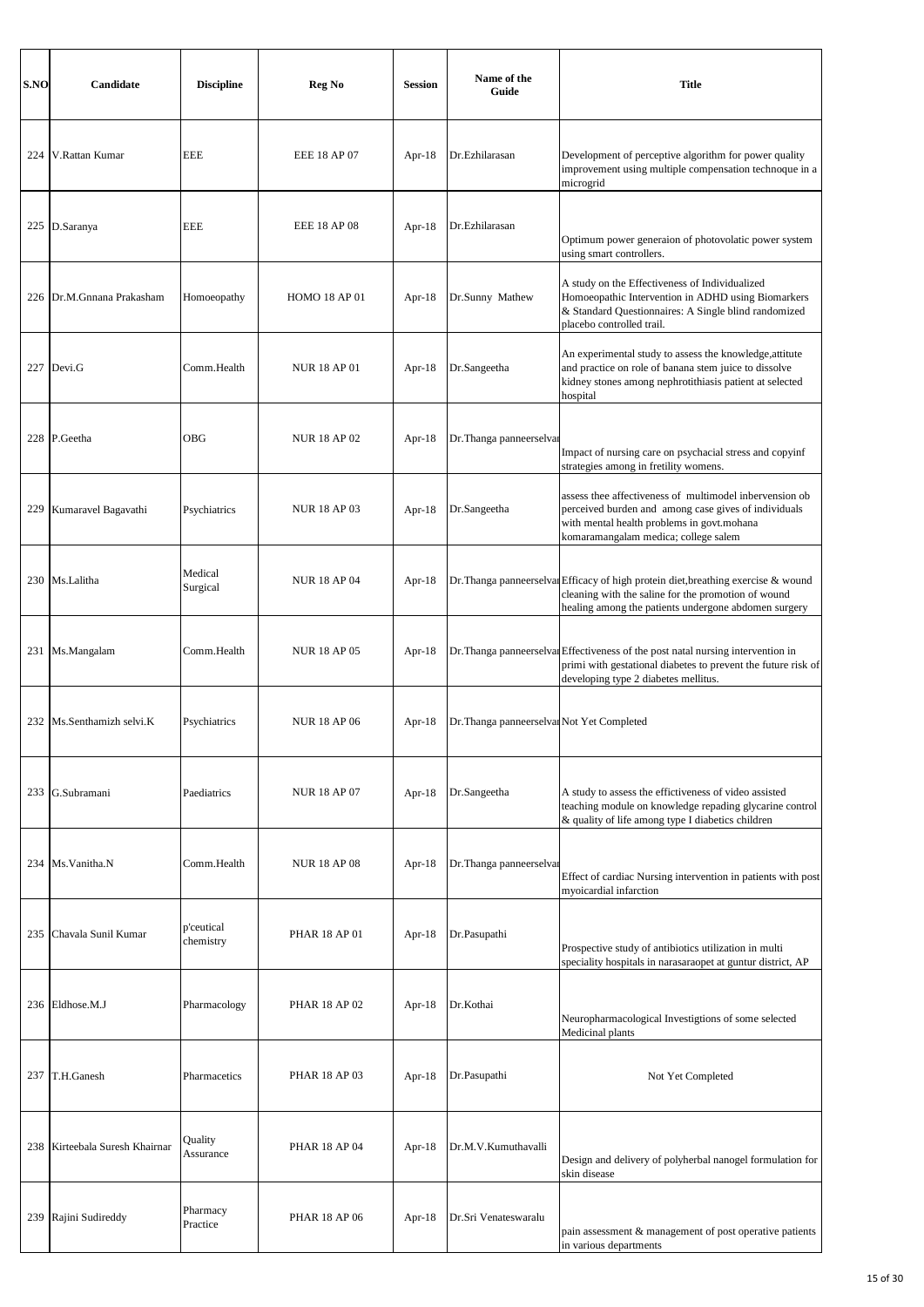| S.NO | Candidate                  | <b>Discipline</b>       | Reg No               | <b>Session</b> | Name of the<br>Guide                       | <b>Title</b>                                                                                                                                                                                          |
|------|----------------------------|-------------------------|----------------------|----------------|--------------------------------------------|-------------------------------------------------------------------------------------------------------------------------------------------------------------------------------------------------------|
| 224  | V.Rattan Kumar             | <b>EEE</b>              | <b>EEE 18 AP 07</b>  | Apr- $18$      | Dr.Ezhilarasan                             | Development of perceptive algorithm for power quality<br>improvement using multiple compensation technoque in a<br>microgrid                                                                          |
|      | 225 D.Saranya              | <b>EEE</b>              | <b>EEE 18 AP 08</b>  | Apr- $18$      | Dr.Ezhilarasan                             | Optimum power generaion of photovolatic power system<br>using smart controllers.                                                                                                                      |
| 226  | Dr.M.Gnnana Prakasham      | Homoeopathy             | <b>HOMO 18 AP 01</b> | Apr- $18$      | Dr.Sunny Mathew                            | A study on the Effectiveness of Individualized<br>Homoeopathic Intervention in ADHD using Biomarkers<br>& Standard Questionnaires: A Single blind randomized<br>placebo controlled trail.             |
|      | 227 Devi.G                 | Comm.Health             | <b>NUR 18 AP 01</b>  | Apr- $18$      | Dr.Sangeetha                               | An experimental study to assess the knowledge, attitute<br>and practice on role of banana stem juice to dissolve<br>kidney stones among nephrotithiasis patient at selected<br>hospital               |
|      | 228 P.Geetha               | OBG                     | <b>NUR 18 AP 02</b>  | Apr- $18$      | Dr. Thanga panneerselvar                   | Impact of nursing care on psychacial stress and copyinf<br>strategies among in fretility womens.                                                                                                      |
| 229  | Kumaravel Bagavathi        | Psychiatrics            | <b>NUR 18 AP 03</b>  | Apr- $18$      | Dr.Sangeetha                               | assess thee affectiveness of multimodel inbervension ob<br>perceived burden and among case gives of individuals<br>with mental health problems in govt.mohana<br>komaramangalam medica; college salem |
|      | 230 Ms.Lalitha             | Medical<br>Surgical     | <b>NUR 18 AP 04</b>  | Apr- $18$      |                                            | Dr. Thanga panneerselval Efficacy of high protein diet, breathing exercise & wound<br>cleaning with the saline for the promotion of wound<br>healing among the patients undergone abdomen surgery     |
| 231  | Ms.Mangalam                | Comm.Health             | <b>NUR 18 AP 05</b>  | Apr- $18$      |                                            | Dr. Thanga panneerselval Effectiveness of the post natal nursing intervention in<br>primi with gestational diabetes to prevent the future risk of<br>developing type 2 diabetes mellitus.             |
|      | 232 Ms.Senthamizh selvi.K  | Psychiatrics            | <b>NUR18 AP06</b>    | Apr- $18$      | Dr. Thanga panneerselvan Not Yet Completed |                                                                                                                                                                                                       |
| 233  | G.Subramani                | Paediatrics             | <b>NUR 18 AP 07</b>  | Apr- $18$      | Dr.Sangeetha                               | A study to assess the effictiveness of video assisted<br>teaching module on knowledge repading glycarine control<br>& quality of life among type I diabetics children                                 |
|      | 234 Ms. Vanitha.N          | Comm.Health             | <b>NUR 18 AP 08</b>  | Apr- $18$      | Dr. Thanga panneerselvar                   | Effect of cardiac Nursing intervention in patients with post<br>myoicardial infarction                                                                                                                |
| 235  | Chavala Sunil Kumar        | p'ceutical<br>chemistry | <b>PHAR 18 AP 01</b> | Apr- $18$      | Dr.Pasupathi                               | Prospective study of antibiotics utilization in multi<br>speciality hospitals in narasaraopet at guntur district, AP                                                                                  |
| 236  | Eldhose.M.J                | Pharmacology            | PHAR 18 AP 02        | Apr- $18$      | Dr.Kothai                                  | Neuropharmacological Investigtions of some selected<br>Medicinal plants                                                                                                                               |
| 237  | T.H.Ganesh                 | Pharmacetics            | PHAR 18 AP 03        | Apr- $18$      | Dr.Pasupathi                               | Not Yet Completed                                                                                                                                                                                     |
| 238  | Kirteebala Suresh Khairnar | Quality<br>Assurance    | PHAR 18 AP 04        | Apr- $18$      | Dr.M.V.Kumuthavalli                        | Design and delivery of polyherbal nanogel formulation for<br>skin disease                                                                                                                             |
| 239  | Rajini Sudireddy           | Pharmacy<br>Practice    | <b>PHAR 18 AP 06</b> | Apr- $18$      | Dr.Sri Venateswaralu                       | pain assessment & management of post operative patients<br>in various departments                                                                                                                     |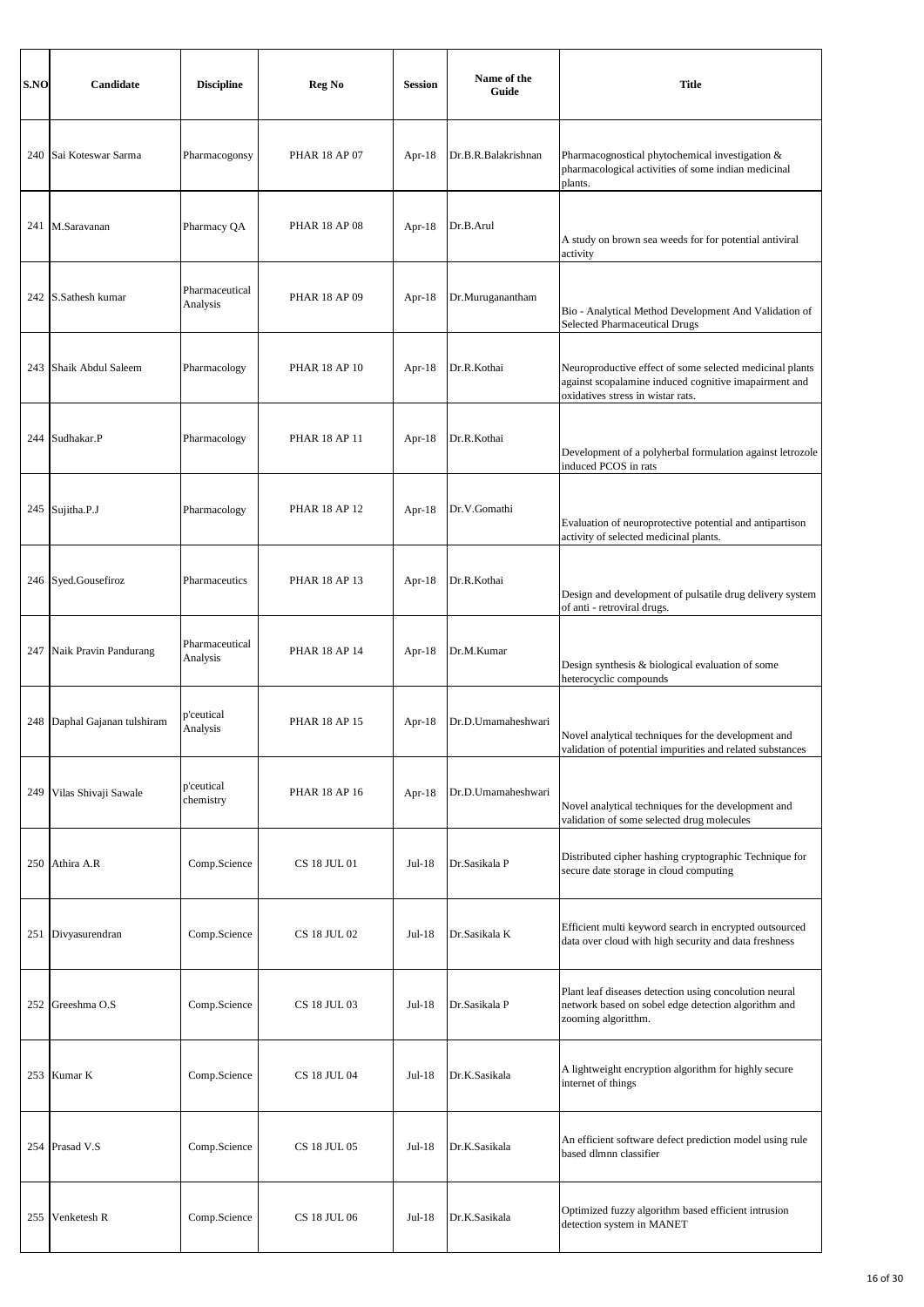| S.NO | Candidate                    | <b>Discipline</b>          | Reg No               | <b>Session</b> | Name of the<br>Guide | <b>Title</b>                                                                                                                                           |
|------|------------------------------|----------------------------|----------------------|----------------|----------------------|--------------------------------------------------------------------------------------------------------------------------------------------------------|
|      | 240 Sai Koteswar Sarma       | Pharmacogonsy              | PHAR 18 AP 07        | Apr- $18$      | Dr.B.R.Balakrishnan  | Pharmacognostical phytochemical investigation &<br>pharmacological activities of some indian medicinal<br>plants.                                      |
|      | 241 M.Saravanan              | Pharmacy QA                | <b>PHAR 18 AP 08</b> | Apr- $18$      | Dr.B.Arul            | A study on brown sea weeds for for potential antiviral<br>activity                                                                                     |
| 242  | S.Sathesh kumar              | Pharmaceutical<br>Analysis | PHAR 18 AP 09        | Apr- $18$      | Dr.Muruganantham     | Bio - Analytical Method Development And Validation of<br><b>Selected Pharmaceutical Drugs</b>                                                          |
| 243  | Shaik Abdul Saleem           | Pharmacology               | <b>PHAR 18 AP 10</b> | Apr- $18$      | Dr.R.Kothai          | Neuroproductive effect of some selected medicinal plants<br>against scopalamine induced cognitive imapairment and<br>oxidatives stress in wistar rats. |
|      | 244 Sudhakar.P               | Pharmacology               | <b>PHAR 18 AP 11</b> | Apr- $18$      | Dr.R.Kothai          | Development of a polyherbal formulation against letrozole<br>induced PCOS in rats                                                                      |
|      | 245 Sujitha.P.J              | Pharmacology               | <b>PHAR 18 AP 12</b> | Apr- $18$      | Dr.V.Gomathi         | Evaluation of neuroprotective potential and antipartison<br>activity of selected medicinal plants.                                                     |
|      | 246 Syed.Gousefiroz          | Pharmaceutics              | <b>PHAR 18 AP 13</b> | Apr- $18$      | Dr.R.Kothai          | Design and development of pulsatile drug delivery system<br>of anti - retroviral drugs.                                                                |
| 247  | Naik Pravin Pandurang        | Pharmaceutical<br>Analysis | <b>PHAR 18 AP 14</b> | Apr- $18$      | Dr.M.Kumar           | Design synthesis & biological evaluation of some<br>heterocyclic compounds                                                                             |
|      | 248 Daphal Gajanan tulshiram | p'ceutical<br>Analysis     | <b>PHAR 18 AP 15</b> | Apr- $18$      | Dr.D.Umamaheshwari   | Novel analytical techniques for the development and<br>validation of potential impurities and related substances                                       |
| 249  | Vilas Shivaji Sawale         | p'ceutical<br>chemistry    | PHAR 18 AP 16        | Apr-18         | Dr.D.Umamaheshwari   | Novel analytical techniques for the development and<br>validation of some selected drug molecules                                                      |
|      | 250 Athira A.R               | Comp.Science               | CS 18 JUL 01         | Jul-18         | Dr.Sasikala P        | Distributed cipher hashing cryptographic Technique for<br>secure date storage in cloud computing                                                       |
|      | 251 Divyasurendran           | Comp.Science               | <b>CS 18 JUL 02</b>  | Jul-18         | Dr.Sasikala K        | Efficient multi keyword search in encrypted outsourced<br>data over cloud with high security and data freshness                                        |
|      | 252 Greeshma O.S             | Comp.Science               | CS 18 JUL 03         | Jul-18         | Dr.Sasikala P        | Plant leaf diseases detection using concolution neural<br>network based on sobel edge detection algorithm and<br>zooming algoritthm.                   |
|      | 253 Kumar K                  | Comp.Science               | CS 18 JUL 04         | Jul-18         | Dr.K.Sasikala        | A lightweight encryption algorithm for highly secure<br>internet of things                                                                             |
|      | 254 Prasad V.S               | Comp.Science               | CS 18 JUL 05         | $Jul-18$       | Dr.K.Sasikala        | An efficient software defect prediction model using rule<br>based dlmnn classifier                                                                     |
| 255  | Venketesh R                  | Comp.Science               | CS 18 JUL 06         | Jul-18         | Dr.K.Sasikala        | Optimized fuzzy algorithm based efficient intrusion<br>detection system in MANET                                                                       |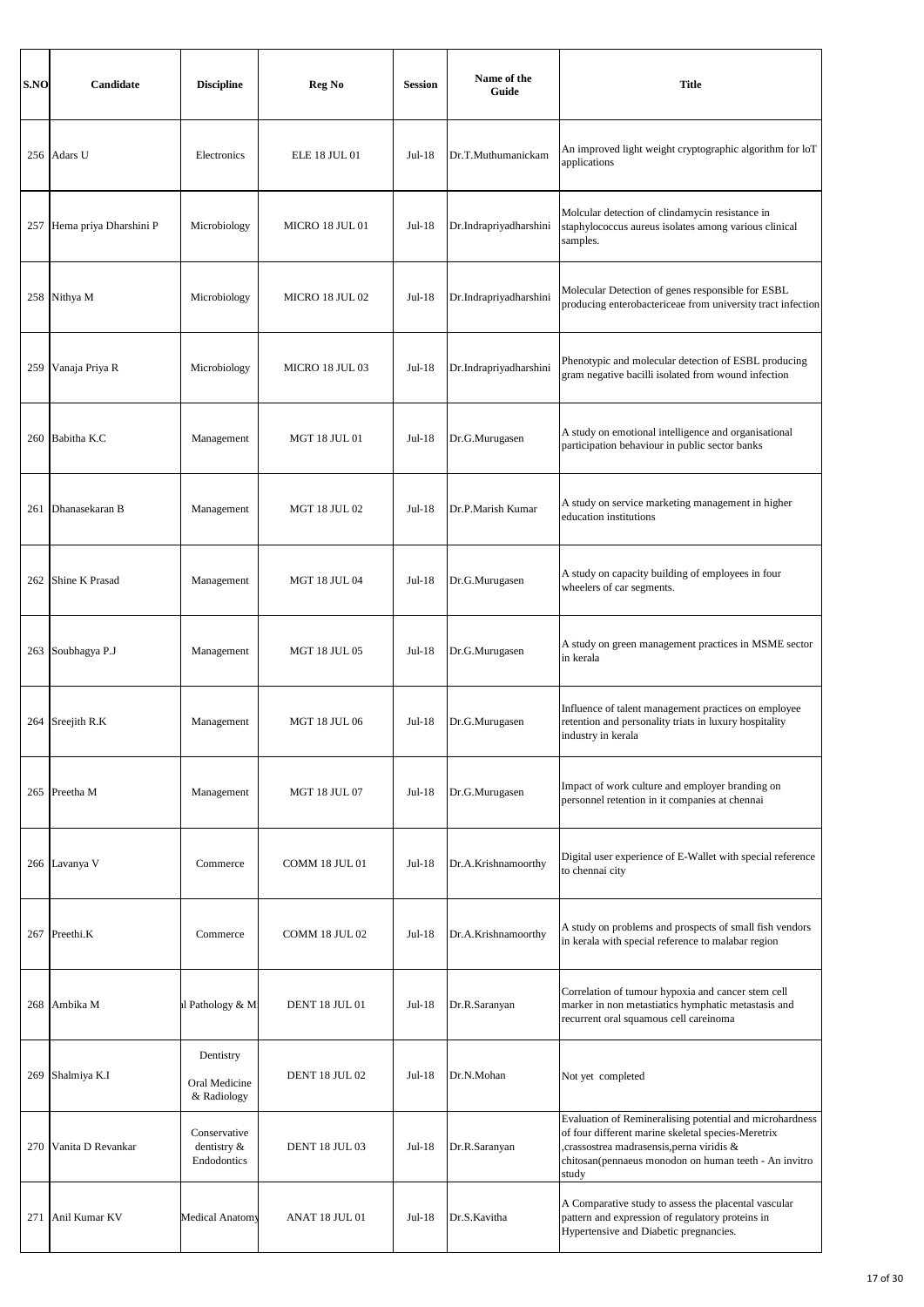| S.NO | Candidate              | <b>Discipline</b>                          | Reg No                | <b>Session</b> | Name of the<br>Guide   | <b>Title</b>                                                                                                                                                                                                                 |
|------|------------------------|--------------------------------------------|-----------------------|----------------|------------------------|------------------------------------------------------------------------------------------------------------------------------------------------------------------------------------------------------------------------------|
|      | 256 Adars U            | Electronics                                | <b>ELE 18 JUL 01</b>  | $Jul-18$       | Dr.T.Muthumanickam     | An improved light weight cryptographic algorithm for loT<br>applications                                                                                                                                                     |
| 257  | Hema priya Dharshini P | Microbiology                               | MICRO 18 JUL 01       | Jul-18         | Dr.Indrapriyadharshini | Molcular detection of clindamycin resistance in<br>staphylococcus aureus isolates among various clinical<br>samples.                                                                                                         |
|      | 258 Nithya M           | Microbiology                               | MICRO 18 JUL 02       | Jul-18         | Dr.Indrapriyadharshini | Molecular Detection of genes responsible for ESBL<br>producing enterobactericeae from university tract infection                                                                                                             |
| 259  | Vanaja Priya R         | Microbiology                               | MICRO 18 JUL 03       | $Jul-18$       | Dr.Indrapriyadharshini | Phenotypic and molecular detection of ESBL producing<br>gram negative bacilli isolated from wound infection                                                                                                                  |
|      | 260 Babitha K.C        | Management                                 | <b>MGT 18 JUL 01</b>  | Jul-18         | Dr.G.Murugasen         | A study on emotional intelligence and organisational<br>participation behaviour in public sector banks                                                                                                                       |
| 261  | Dhanasekaran B         | Management                                 | <b>MGT 18 JUL 02</b>  | $Jul-18$       | Dr.P.Marish Kumar      | A study on service marketing management in higher<br>education institutions                                                                                                                                                  |
| 262  | Shine K Prasad         | Management                                 | <b>MGT 18 JUL 04</b>  | $Jul-18$       | Dr.G.Murugasen         | A study on capacity building of employees in four<br>wheelers of car segments.                                                                                                                                               |
| 263  | Soubhagya P.J          | Management                                 | <b>MGT 18 JUL 05</b>  | Jul-18         | Dr.G.Murugasen         | A study on green management practices in MSME sector<br>in kerala                                                                                                                                                            |
|      | 264 Sreejith R.K       | Management                                 | <b>MGT 18 JUL 06</b>  | $Jul-18$       | Dr.G.Murugasen         | Influence of talent management practices on employee<br>retention and personality triats in luxury hospitality<br>industry in kerala                                                                                         |
|      | 265 Preetha M          | Management                                 | <b>MGT 18 JUL 07</b>  | $Jul-18$       | Dr.G.Murugasen         | Impact of work culture and employer branding on<br>personnel retention in it companies at chennai                                                                                                                            |
|      | 266 Lavanya V          | Commerce                                   | <b>COMM 18 JUL 01</b> | Jul-18         | Dr.A.Krishnamoorthy    | Digital user experience of E-Wallet with special reference<br>to chennai city                                                                                                                                                |
|      | 267 Preethi.K          | Commerce                                   | COMM 18 JUL 02        | $Jul-18$       | Dr.A.Krishnamoorthy    | A study on problems and prospects of small fish vendors<br>in kerala with special reference to malabar region                                                                                                                |
|      | 268 Ambika M           | d Pathology & Mi                           | <b>DENT 18 JUL 01</b> | $Jul-18$       | Dr.R.Saranyan          | Correlation of tumour hypoxia and cancer stem cell<br>marker in non metastiatics hymphatic metastasis and<br>recurrent oral squamous cell careinoma                                                                          |
|      | 269 Shalmiya K.I       | Dentistry<br>Oral Medicine<br>& Radiology  | DENT 18 JUL 02        | $Jul-18$       | Dr.N.Mohan             | Not yet completed                                                                                                                                                                                                            |
| 270  | Vanita D Revankar      | Conservative<br>dentistry &<br>Endodontics | <b>DENT 18 JUL 03</b> | $Jul-18$       | Dr.R.Saranyan          | Evaluation of Remineralising potential and microhardness<br>of four different marine skeletal species-Meretrix<br>crassostrea madrasensis, perna viridis &<br>chitosan(pennaeus monodon on human teeth - An invitro<br>study |
| 271  | Anil Kumar KV          | <b>Medical Anatomy</b>                     | ANAT 18 JUL 01        | $Jul-18$       | Dr.S.Kavitha           | A Comparative study to assess the placental vascular<br>pattern and expression of regulatory proteins in<br>Hypertensive and Diabetic pregnancies.                                                                           |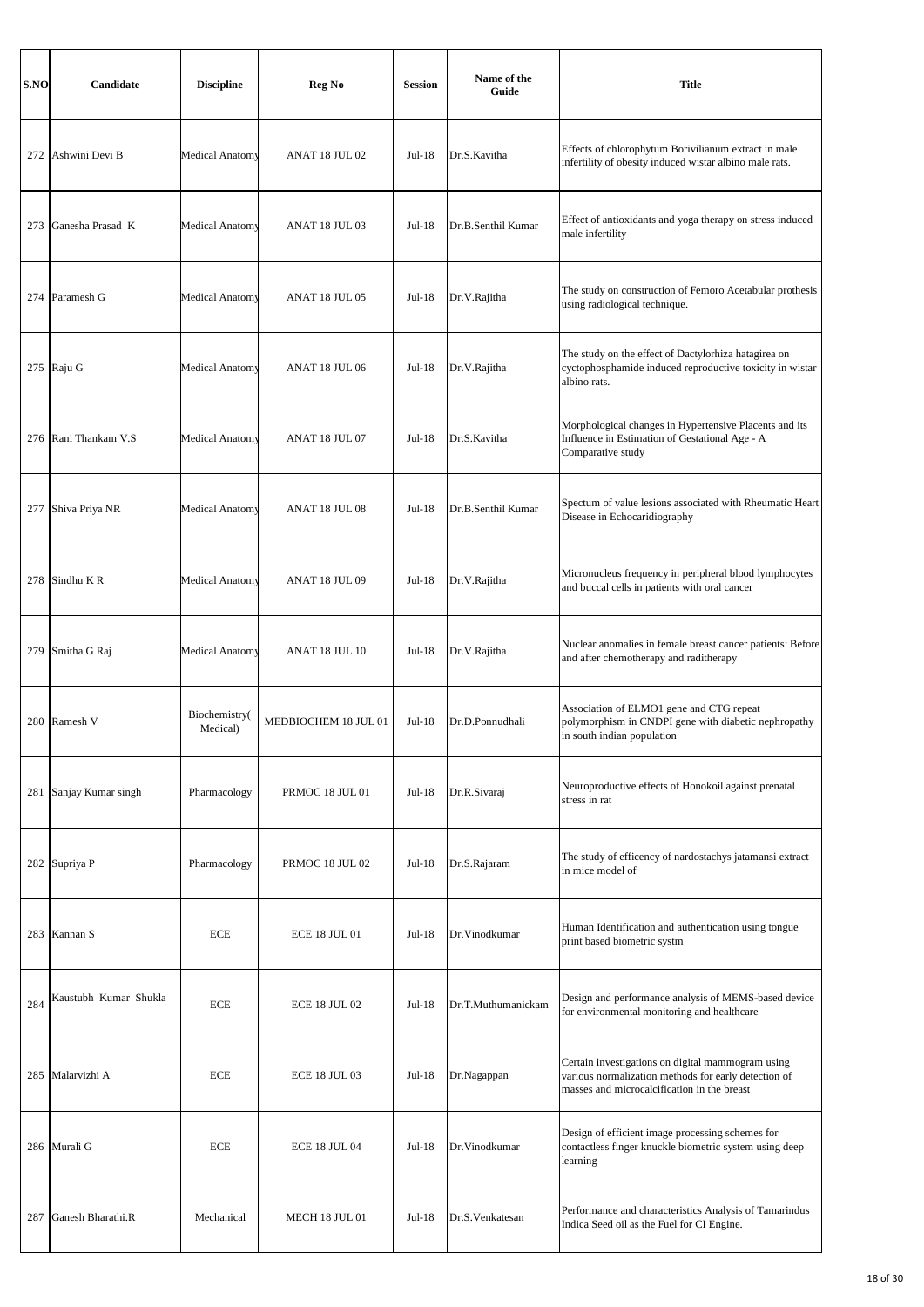| S.NO | Candidate             | <b>Discipline</b>         | Reg No               | <b>Session</b> | Name of the<br>Guide | <b>Title</b>                                                                                                                                             |
|------|-----------------------|---------------------------|----------------------|----------------|----------------------|----------------------------------------------------------------------------------------------------------------------------------------------------------|
| 272  | Ashwini Devi B        | Medical Anatomy           | ANAT 18 JUL 02       | $Jul-18$       | Dr.S.Kavitha         | Effects of chlorophytum Borivilianum extract in male<br>infertility of obesity induced wistar albino male rats.                                          |
| 273  | Ganesha Prasad K      | Medical Anatomy           | ANAT 18 JUL 03       | $Jul-18$       | Dr.B.Senthil Kumar   | Effect of antioxidants and yoga therapy on stress induced<br>male infertility                                                                            |
| 274  | Paramesh G            | <b>Medical Anatomy</b>    | ANAT 18 JUL 05       | Jul-18         | Dr.V.Rajitha         | The study on construction of Femoro Acetabular prothesis<br>using radiological technique.                                                                |
|      | 275 Raju G            | Medical Anatomy           | ANAT 18 JUL 06       | $Jul-18$       | Dr.V.Rajitha         | The study on the effect of Dactylorhiza hatagirea on<br>cyctophosphamide induced reproductive toxicity in wistar<br>albino rats.                         |
|      | 276 Rani Thankam V.S  | Medical Anatomy           | ANAT 18 JUL 07       | $Jul-18$       | Dr.S.Kavitha         | Morphological changes in Hypertensive Placents and its<br>Influence in Estimation of Gestational Age - A<br>Comparative study                            |
| 277  | Shiva Priya NR        | Medical Anatomy           | ANAT 18 JUL 08       | $Jul-18$       | Dr.B.Senthil Kumar   | Spectum of value lesions associated with Rheumatic Heart<br>Disease in Echocaridiography                                                                 |
| 278  | Sindhu KR             | Medical Anatomy           | ANAT 18 JUL 09       | $Jul-18$       | Dr.V.Rajitha         | Micronucleus frequency in peripheral blood lymphocytes<br>and buccal cells in patients with oral cancer                                                  |
| 279  | Smitha G Raj          | <b>Medical Anatomy</b>    | ANAT 18 JUL 10       | $Jul-18$       | Dr.V.Rajitha         | Nuclear anomalies in female breast cancer patients: Before<br>and after chemotherapy and raditherapy                                                     |
| 280  | Ramesh V              | Biochemistry(<br>Medical) | MEDBIOCHEM 18 JUL 01 | $Jul-18$       | Dr.D.Ponnudhali      | Association of ELMO1 gene and CTG repeat<br>polymorphism in CNDPI gene with diabetic nephropathy<br>in south indian population                           |
| 281  | Sanjay Kumar singh    | Pharmacology              | PRMOC 18 JUL 01      | $Jul-18$       | Dr.R.Sivaraj         | Neuroproductive effects of Honokoil against prenatal<br>stress in rat                                                                                    |
| 282  | Supriya P             | Pharmacology              | PRMOC 18 JUL 02      | $Jul-18$       | Dr.S.Rajaram         | The study of efficency of nardostachys jatamansi extract<br>in mice model of                                                                             |
| 283  | Kannan S              | <b>ECE</b>                | <b>ECE 18 JUL 01</b> | $Jul-18$       | Dr. Vinodkumar       | Human Identification and authentication using tongue<br>print based biometric systm                                                                      |
| 284  | Kaustubh Kumar Shukla | <b>ECE</b>                | <b>ECE 18 JUL 02</b> | $Jul-18$       | Dr.T.Muthumanickam   | Design and performance analysis of MEMS-based device<br>for environmental monitoring and healthcare                                                      |
| 285  | Malarvizhi A          | <b>ECE</b>                | <b>ECE 18 JUL 03</b> | $Jul-18$       | Dr.Nagappan          | Certain investigations on digital mammogram using<br>various normalization methods for early detection of<br>masses and microcalcification in the breast |
|      | 286 Murali G          | <b>ECE</b>                | <b>ECE 18 JUL 04</b> | $Jul-18$       | Dr.Vinodkumar        | Design of efficient image processing schemes for<br>contactless finger knuckle biometric system using deep<br>learning                                   |
| 287  | Ganesh Bharathi.R     | Mechanical                | MECH 18 JUL 01       | $Jul-18$       | Dr.S.Venkatesan      | Performance and characteristics Analysis of Tamarindus<br>Indica Seed oil as the Fuel for CI Engine.                                                     |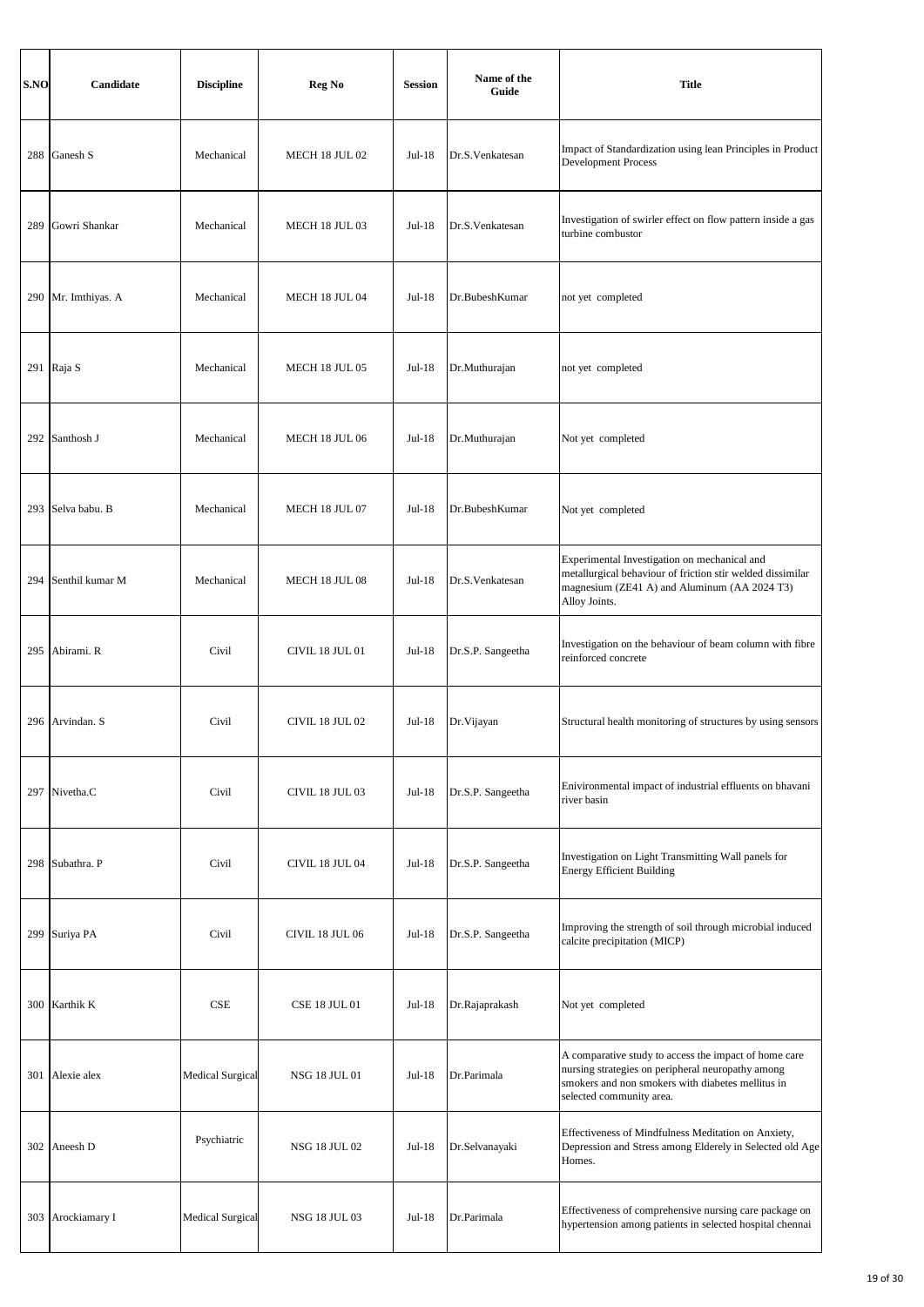| S.NO | Candidate         | <b>Discipline</b>       | Reg No                 | <b>Session</b> | Name of the<br>Guide | <b>Title</b>                                                                                                                                                                                |
|------|-------------------|-------------------------|------------------------|----------------|----------------------|---------------------------------------------------------------------------------------------------------------------------------------------------------------------------------------------|
|      | 288 Ganesh S      | Mechanical              | MECH 18 JUL 02         | Jul-18         | Dr.S.Venkatesan      | Impact of Standardization using lean Principles in Product<br><b>Development Process</b>                                                                                                    |
| 289  | Gowri Shankar     | Mechanical              | MECH 18 JUL 03         | Jul-18         | Dr.S.Venkatesan      | Investigation of swirler effect on flow pattern inside a gas<br>turbine combustor                                                                                                           |
| 290  | Mr. Imthiyas. A   | Mechanical              | MECH 18 JUL 04         | Jul-18         | Dr.BubeshKumar       | not yet completed                                                                                                                                                                           |
|      | 291 Raja S        | Mechanical              | MECH 18 JUL 05         | Jul-18         | Dr.Muthurajan        | not yet completed                                                                                                                                                                           |
|      | 292 Santhosh J    | Mechanical              | MECH 18 JUL 06         | $Jul-18$       | Dr.Muthurajan        | Not yet completed                                                                                                                                                                           |
|      | 293 Selva babu. B | Mechanical              | MECH 18 JUL 07         | Jul-18         | Dr.BubeshKumar       | Not yet completed                                                                                                                                                                           |
| 294  | Senthil kumar M   | Mechanical              | MECH 18 JUL 08         | $Jul-18$       | Dr.S. Venkatesan     | Experimental Investigation on mechanical and<br>metallurgical behaviour of friction stir welded dissimilar<br>magnesium (ZE41 A) and Aluminum (AA 2024 T3)<br>Alloy Joints.                 |
| 295  | Abirami. R        | Civil                   | <b>CIVIL 18 JUL 01</b> | $Jul-18$       | Dr.S.P. Sangeetha    | Investigation on the behaviour of beam column with fibre<br>reinforced concrete                                                                                                             |
|      | 296 Arvindan. S   | Civil                   | <b>CIVIL 18 JUL 02</b> | Jul-18         | Dr. Vijayan          | Structural health monitoring of structures by using sensors                                                                                                                                 |
|      | 297 Nivetha.C     | Civil                   | CIVIL 18 JUL 03        | $Jul-18$       | Dr.S.P. Sangeetha    | Enivironmental impact of industrial effluents on bhavani<br>river basin                                                                                                                     |
|      | 298 Subathra. P   | Civil                   | CIVIL 18 JUL 04        | $Jul-18$       | Dr.S.P. Sangeetha    | Investigation on Light Transmitting Wall panels for<br><b>Energy Efficient Building</b>                                                                                                     |
|      | 299 Suriya PA     | Civil                   | <b>CIVIL 18 JUL 06</b> | Jul-18         | Dr.S.P. Sangeetha    | Improving the strength of soil through microbial induced<br>calcite precipitation (MICP)                                                                                                    |
|      | 300 Karthik K     | CSE                     | <b>CSE 18 JUL 01</b>   | $Jul-18$       | Dr.Rajaprakash       | Not yet completed                                                                                                                                                                           |
|      | 301 Alexie alex   | <b>Medical Surgical</b> | NSG 18 JUL 01          | Jul-18         | Dr.Parimala          | A comparative study to access the impact of home care<br>nursing strategies on peripheral neuropathy among<br>smokers and non smokers with diabetes mellitus in<br>selected community area. |
|      | 302 Aneesh D      | Psychiatric             | <b>NSG 18 JUL 02</b>   | $Jul-18$       | Dr.Selvanayaki       | Effectiveness of Mindfulness Meditation on Anxiety,<br>Depression and Stress among Elderely in Selected old Age<br>Homes.                                                                   |
| 303  | Arockiamary I     | <b>Medical Surgical</b> | <b>NSG 18 JUL 03</b>   | Jul-18         | Dr.Parimala          | Effectiveness of comprehensive nursing care package on<br>hypertension among patients in selected hospital chennai                                                                          |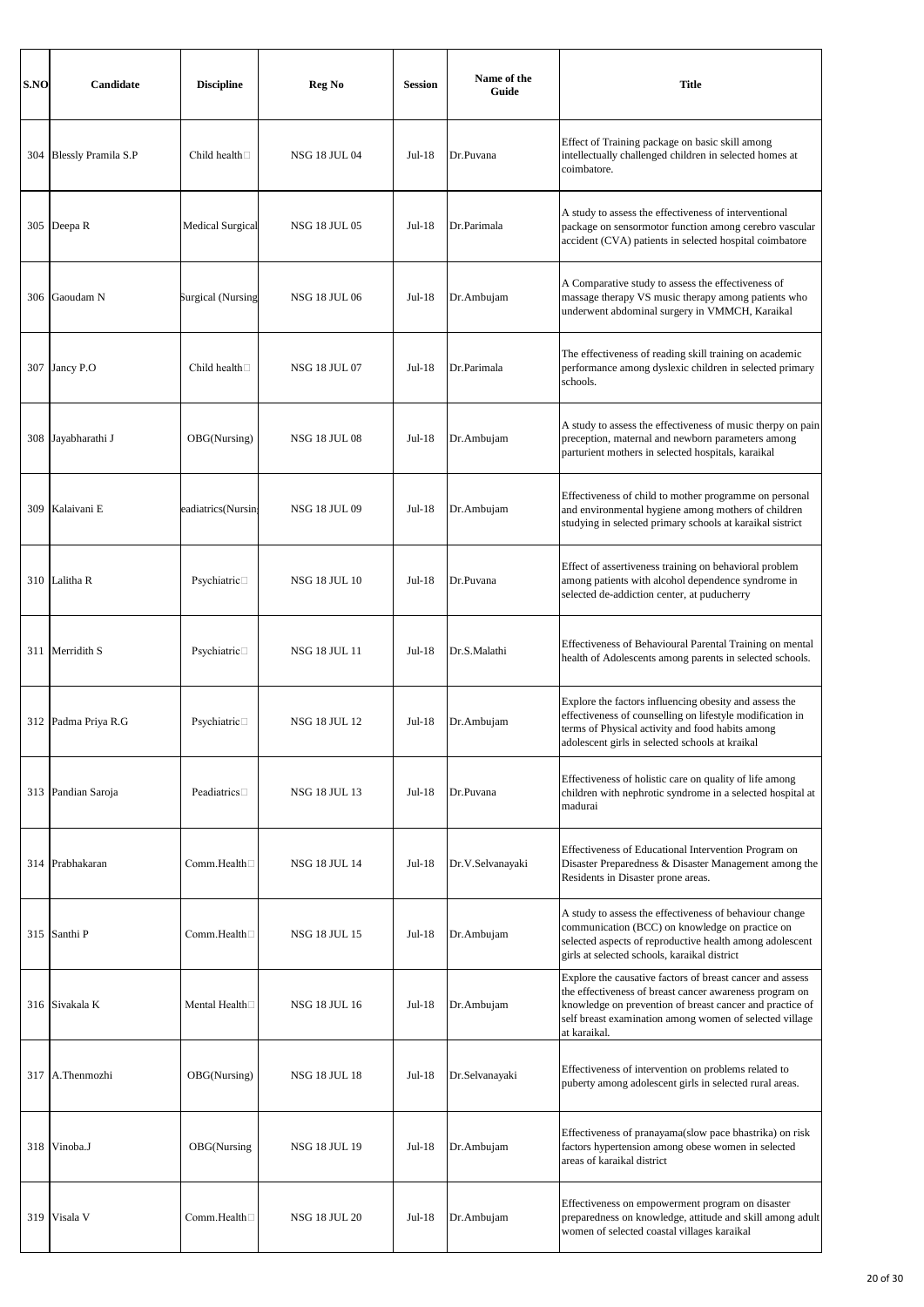| S.NO | Candidate                  | <b>Discipline</b>       | Reg No               | <b>Session</b> | Name of the<br>Guide | <b>Title</b>                                                                                                                                                                                                                                                |
|------|----------------------------|-------------------------|----------------------|----------------|----------------------|-------------------------------------------------------------------------------------------------------------------------------------------------------------------------------------------------------------------------------------------------------------|
| 304  | <b>Blessly Pramila S.P</b> | Child health $\square$  | NSG 18 JUL 04        | Jul-18         | Dr.Puvana            | Effect of Training package on basic skill among<br>intellectually challenged children in selected homes at<br>coimbatore.                                                                                                                                   |
| 305  | Deepa R                    | <b>Medical Surgical</b> | <b>NSG 18 JUL 05</b> | Jul-18         | Dr.Parimala          | A study to assess the effectiveness of interventional<br>package on sensormotor function among cerebro vascular<br>accident (CVA) patients in selected hospital coimbatore                                                                                  |
| 306  | Gaoudam N                  | Surgical (Nursing       | <b>NSG 18 JUL 06</b> | Jul-18         | Dr.Ambujam           | A Comparative study to assess the effectiveness of<br>massage therapy VS music therapy among patients who<br>underwent abdominal surgery in VMMCH, Karaikal                                                                                                 |
| 307  | Jancy P.O                  | Child health $\square$  | <b>NSG 18 JUL 07</b> | Jul-18         | Dr.Parimala          | The effectiveness of reading skill training on academic<br>performance among dyslexic children in selected primary<br>schools.                                                                                                                              |
| 308  | Jayabharathi J             | OBG(Nursing)            | <b>NSG 18 JUL 08</b> | $Jul-18$       | Dr.Ambujam           | A study to assess the effectiveness of music therpy on pain<br>preception, maternal and newborn parameters among<br>parturient mothers in selected hospitals, karaikal                                                                                      |
| 309  | Kalaivani E                | eadiatrics(Nursin;      | NSG 18 JUL 09        | Jul-18         | Dr.Ambujam           | Effectiveness of child to mother programme on personal<br>and environmental hygiene among mothers of children<br>studying in selected primary schools at karaikal sistrict                                                                                  |
|      | 310 Lalitha R              | Psychiatric□            | <b>NSG 18 JUL 10</b> | Jul-18         | Dr.Puvana            | Effect of assertiveness training on behavioral problem<br>among patients with alcohol dependence syndrome in<br>selected de-addiction center, at puducherry                                                                                                 |
| 311  | Merridith S                | Psychiatric□            | <b>NSG 18 JUL 11</b> | $Jul-18$       | Dr.S.Malathi         | Effectiveness of Behavioural Parental Training on mental<br>health of Adolescents among parents in selected schools.                                                                                                                                        |
|      | 312 Padma Priya R.G        | Psychiatric□            | <b>NSG 18 JUL 12</b> | Jul-18         | Dr.Ambujam           | Explore the factors influencing obesity and assess the<br>effectiveness of counselling on lifestyle modification in<br>terms of Physical activity and food habits among<br>adolescent girls in selected schools at kraikal                                  |
|      | 313 Pandian Saroja         | Peadiatrics $\square$   | <b>NSG 18 JUL 13</b> | $Jul-18$       | Dr.Puvana            | Effectiveness of holistic care on quality of life among<br>children with nephrotic syndrome in a selected hospital at<br>madurai                                                                                                                            |
| 314  | Prabhakaran                | Comm.Health□            | <b>NSG 18 JUL 14</b> | Jul-18         | Dr.V.Selvanayaki     | Effectiveness of Educational Intervention Program on<br>Disaster Preparedness & Disaster Management among the<br>Residents in Disaster prone areas.                                                                                                         |
| 315  | Santhi <sub>P</sub>        | Comm.Health□            | NSG 18 JUL 15        | $Jul-18$       | Dr.Ambujam           | A study to assess the effectiveness of behaviour change<br>communication (BCC) on knowledge on practice on<br>selected aspects of reproductive health among adolescent<br>girls at selected schools, karaikal district                                      |
|      | 316 Sivakala K             | Mental Health $\Box$    | NSG 18 JUL 16        | Jul-18         | Dr.Ambujam           | Explore the causative factors of breast cancer and assess<br>the effectiveness of breast cancer awareness program on<br>knowledge on prevention of breast cancer and practice of<br>self breast examination among women of selected village<br>at karaikal. |
| 317  | A.Thenmozhi                | OBG(Nursing)            | <b>NSG 18 JUL 18</b> | Jul-18         | Dr.Selvanayaki       | Effectiveness of intervention on problems related to<br>puberty among adolescent girls in selected rural areas.                                                                                                                                             |
| 318  | Vinoba.J                   | OBG(Nursing             | <b>NSG 18 JUL 19</b> | $Jul-18$       | Dr.Ambujam           | Effectiveness of pranayama(slow pace bhastrika) on risk<br>factors hypertension among obese women in selected<br>areas of karaikal district                                                                                                                 |
| 319  | Visala V                   | Comm.Health             | <b>NSG 18 JUL 20</b> | Jul-18         | Dr.Ambujam           | Effectiveness on empowerment program on disaster<br>preparedness on knowledge, attitude and skill among adult<br>women of selected coastal villages karaikal                                                                                                |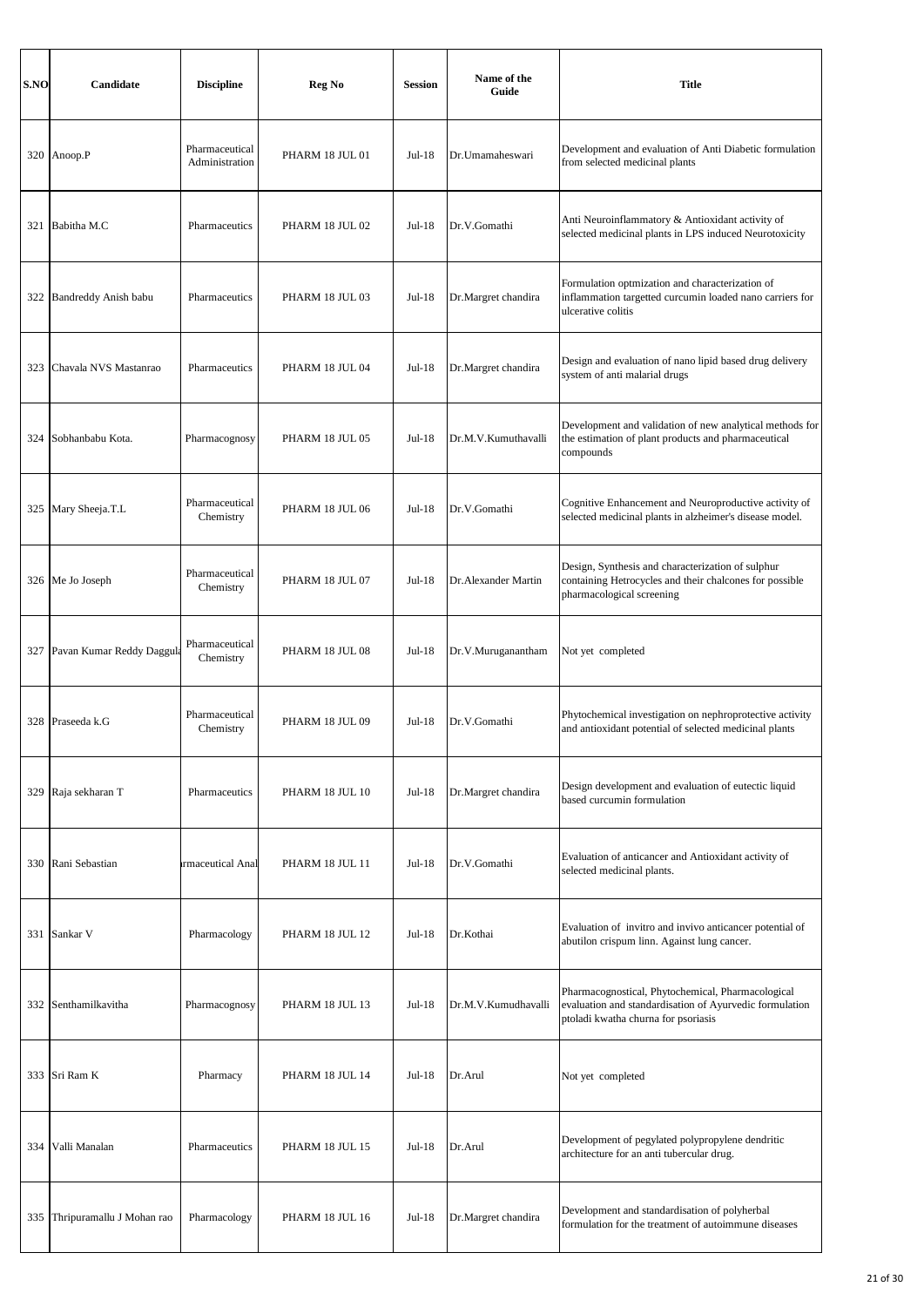| S.NO | Candidate                 | <b>Discipline</b>                | Reg No          | <b>Session</b> | Name of the<br>Guide | <b>Title</b>                                                                                                                                        |
|------|---------------------------|----------------------------------|-----------------|----------------|----------------------|-----------------------------------------------------------------------------------------------------------------------------------------------------|
|      | 320 Anoop.P               | Pharmaceutical<br>Administration | PHARM 18 JUL 01 | Jul-18         | Dr.Umamaheswari      | Development and evaluation of Anti Diabetic formulation<br>from selected medicinal plants                                                           |
| 321  | Babitha M.C               | Pharmaceutics                    | PHARM 18 JUL 02 | Jul-18         | Dr.V.Gomathi         | Anti Neuroinflammatory & Antioxidant activity of<br>selected medicinal plants in LPS induced Neurotoxicity                                          |
| 322  | Bandreddy Anish babu      | Pharmaceutics                    | PHARM 18 JUL 03 | $Jul-18$       | Dr.Margret chandira  | Formulation optmization and characterization of<br>inflammation targetted curcumin loaded nano carriers for<br>ulcerative colitis                   |
| 323  | Chavala NVS Mastanrao     | Pharmaceutics                    | PHARM 18 JUL 04 | Jul-18         | Dr.Margret chandira  | Design and evaluation of nano lipid based drug delivery<br>system of anti malarial drugs                                                            |
| 324  | Sobhanbabu Kota.          | Pharmacognosy                    | PHARM 18 JUL 05 | Jul-18         | Dr.M.V.Kumuthavalli  | Development and validation of new analytical methods for<br>the estimation of plant products and pharmaceutical<br>compounds                        |
|      | 325 Mary Sheeja.T.L       | Pharmaceutical<br>Chemistry      | PHARM 18 JUL 06 | Jul-18         | Dr.V.Gomathi         | Cognitive Enhancement and Neuroproductive activity of<br>selected medicinal plants in alzheimer's disease model.                                    |
|      | 326 Me Jo Joseph          | Pharmaceutical<br>Chemistry      | PHARM 18 JUL 07 | Jul-18         | Dr. Alexander Martin | Design, Synthesis and characterization of sulphur<br>containing Hetrocycles and their chalcones for possible<br>pharmacological screening           |
| 327  | Pavan Kumar Reddy Daggula | Pharmaceutical<br>Chemistry      | PHARM 18 JUL 08 | $Jul-18$       | Dr.V.Muruganantham   | Not yet completed                                                                                                                                   |
|      | 328 Praseeda k.G          | Pharmaceutical<br>Chemistry      | PHARM 18 JUL 09 | Jul-18         | Dr.V.Gomathi         | Phytochemical investigation on nephroprotective activity<br>and antioxidant potential of selected medicinal plants                                  |
| 329  | Raja sekharan T           | Pharmaceutics                    | PHARM 18 JUL 10 | Jul-18         | Dr.Margret chandira  | Design development and evaluation of eutectic liquid<br>based curcumin formulation                                                                  |
|      | 330 Rani Sebastian        | rmaceutical Anal                 | PHARM 18 JUL 11 | Jul-18         | Dr.V.Gomathi         | Evaluation of anticancer and Antioxidant activity of<br>selected medicinal plants.                                                                  |
|      | 331 Sankar V              | Pharmacology                     | PHARM 18 JUL 12 | Jul-18         | Dr.Kothai            | Evaluation of invitro and invivo anticancer potential of<br>abutilon crispum linn. Against lung cancer.                                             |
|      | 332 Senthamilkavitha      | Pharmacognosy                    | PHARM 18 JUL 13 | $Jul-18$       | Dr.M.V.Kumudhavalli  | Pharmacognostical, Phytochemical, Pharmacological<br>evaluation and standardisation of Ayurvedic formulation<br>ptoladi kwatha churna for psoriasis |
|      | 333 Sri Ram K             | Pharmacy                         | PHARM 18 JUL 14 | Jul-18         | Dr.Arul              | Not yet completed                                                                                                                                   |
| 334  | Valli Manalan             | Pharmaceutics                    | PHARM 18 JUL 15 | Jul-18         | Dr.Arul              | Development of pegylated polypropylene dendritic<br>architecture for an anti tubercular drug.                                                       |
| 335  | Thripuramallu J Mohan rao | Pharmacology                     | PHARM 18 JUL 16 | $Jul-18$       | Dr.Margret chandira  | Development and standardisation of polyherbal<br>formulation for the treatment of autoimmune diseases                                               |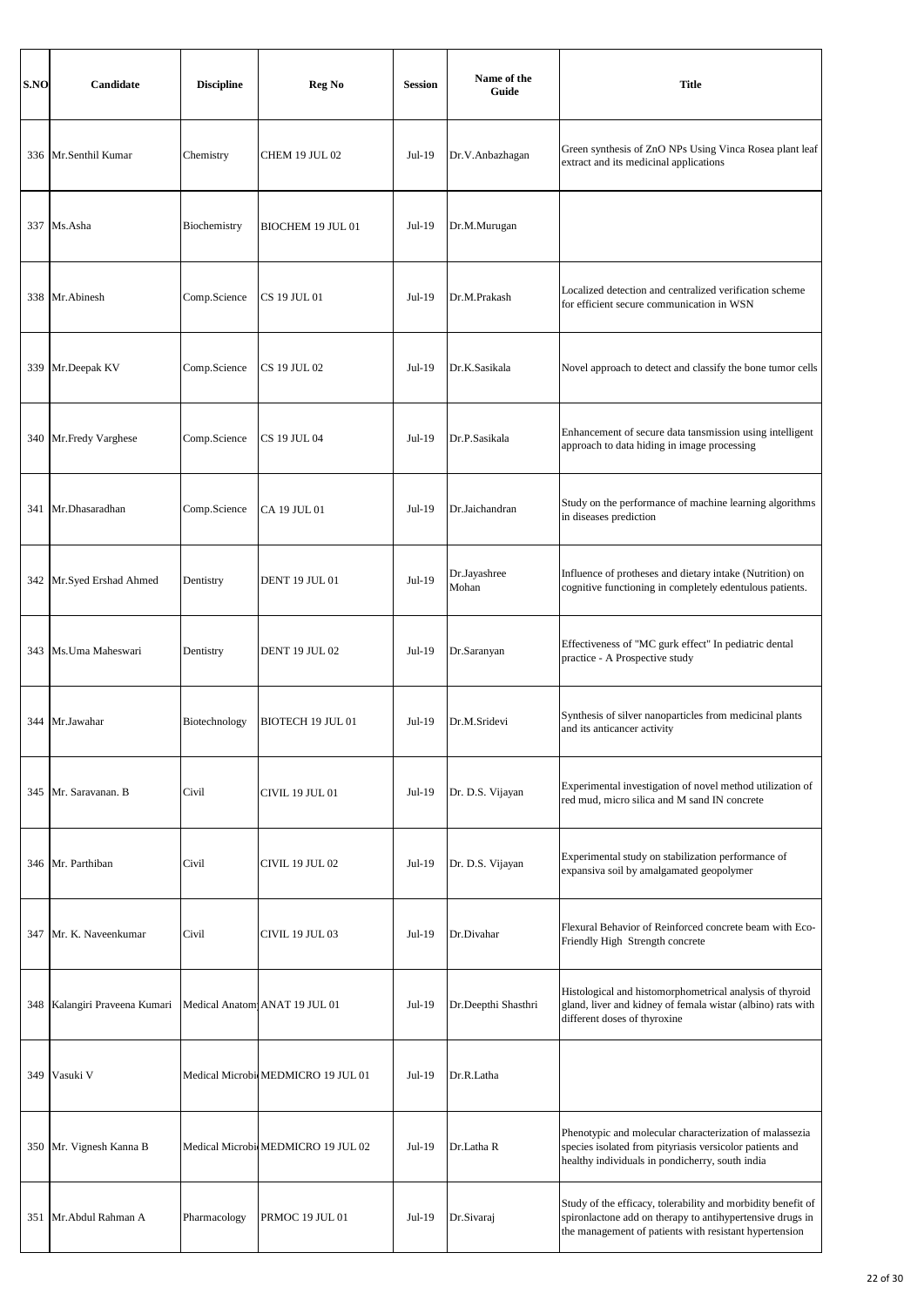| S.NO | Candidate                       | <b>Discipline</b> | Reg No                             | <b>Session</b> | Name of the<br>Guide  | <b>Title</b>                                                                                                                                                                        |
|------|---------------------------------|-------------------|------------------------------------|----------------|-----------------------|-------------------------------------------------------------------------------------------------------------------------------------------------------------------------------------|
|      | 336 Mr.Senthil Kumar            | Chemistry         | CHEM 19 JUL 02                     | Jul-19         | Dr.V.Anbazhagan       | Green synthesis of ZnO NPs Using Vinca Rosea plant leaf<br>extract and its medicinal applications                                                                                   |
|      | 337 Ms.Asha                     | Biochemistry      | BIOCHEM 19 JUL 01                  | Jul-19         | Dr.M.Murugan          |                                                                                                                                                                                     |
|      | 338 Mr. Abinesh                 | Comp.Science      | CS 19 JUL 01                       | $Jul-19$       | Dr.M.Prakash          | Localized detection and centralized verification scheme<br>for efficient secure communication in WSN                                                                                |
|      | 339 Mr.Deepak KV                | Comp.Science      | CS 19 JUL 02                       | Jul-19         | Dr.K.Sasikala         | Novel approach to detect and classify the bone tumor cells                                                                                                                          |
|      | 340 Mr.Fredy Varghese           | Comp.Science      | <b>CS 19 JUL 04</b>                | Jul-19         | Dr.P.Sasikala         | Enhancement of secure data tansmission using intelligent<br>approach to data hiding in image processing                                                                             |
|      | 341 Mr.Dhasaradhan              | Comp.Science      | CA 19 JUL 01                       | Jul-19         | Dr.Jaichandran        | Study on the performance of machine learning algorithms<br>in diseases prediction                                                                                                   |
|      | 342 Mr.Syed Ershad Ahmed        | Dentistry         | <b>DENT 19 JUL 01</b>              | Jul-19         | Dr.Jayashree<br>Mohan | Influence of protheses and dietary intake (Nutrition) on<br>cognitive functioning in completely edentulous patients.                                                                |
|      | 343 Ms. Uma Maheswari           | Dentistry         | <b>DENT 19 JUL 02</b>              | Jul-19         | Dr.Saranyan           | Effectiveness of "MC gurk effect" In pediatric dental<br>practice - A Prospective study                                                                                             |
|      | 344 Mr.Jawahar                  | Biotechnology     | <b>BIOTECH 19 JUL 01</b>           | Jul-19         | Dr.M.Sridevi          | Synthesis of silver nanoparticles from medicinal plants<br>and its anticancer activity                                                                                              |
|      | 345 Mr. Saravanan. B            | Civil             | <b>CIVIL 19 JUL 01</b>             | Jul-19         | Dr. D.S. Vijayan      | Experimental investigation of novel method utilization of<br>red mud, micro silica and M sand IN concrete                                                                           |
|      | 346 Mr. Parthiban               | Civil             | <b>CIVIL 19 JUL 02</b>             | Jul-19         | Dr. D.S. Vijayan      | Experimental study on stabilization performance of<br>expansiva soil by amalgamated geopolymer                                                                                      |
|      | 347 Mr. K. Naveenkumar          | Civil             | CIVIL 19 JUL 03                    | Jul-19         | Dr.Divahar            | Flexural Behavior of Reinforced concrete beam with Eco-<br>Friendly High Strength concrete                                                                                          |
|      | 348   Kalangiri Praveena Kumari |                   | Medical Anatom ANAT 19 JUL 01      | Jul-19         | Dr.Deepthi Shasthri   | Histological and histomorphometrical analysis of thyroid<br>gland, liver and kidney of femala wistar (albino) rats with<br>different doses of thyroxine                             |
| 349  | Vasuki V                        |                   | Medical MicrobicMEDMICRO 19 JUL 01 | Jul-19         | Dr.R.Latha            |                                                                                                                                                                                     |
|      | 350 Mr. Vignesh Kanna B         |                   | Medical MicrobicMEDMICRO 19 JUL 02 | Jul-19         | Dr.Latha R            | Phenotypic and molecular characterization of malassezia<br>species isolated from pityriasis versicolor patients and<br>healthy individuals in pondicherry, south india              |
|      | 351 Mr. Abdul Rahman A          | Pharmacology      | PRMOC 19 JUL 01                    | Jul-19         | Dr.Sivaraj            | Study of the efficacy, tolerability and morbidity benefit of<br>spironlactone add on therapy to antihypertensive drugs in<br>the management of patients with resistant hypertension |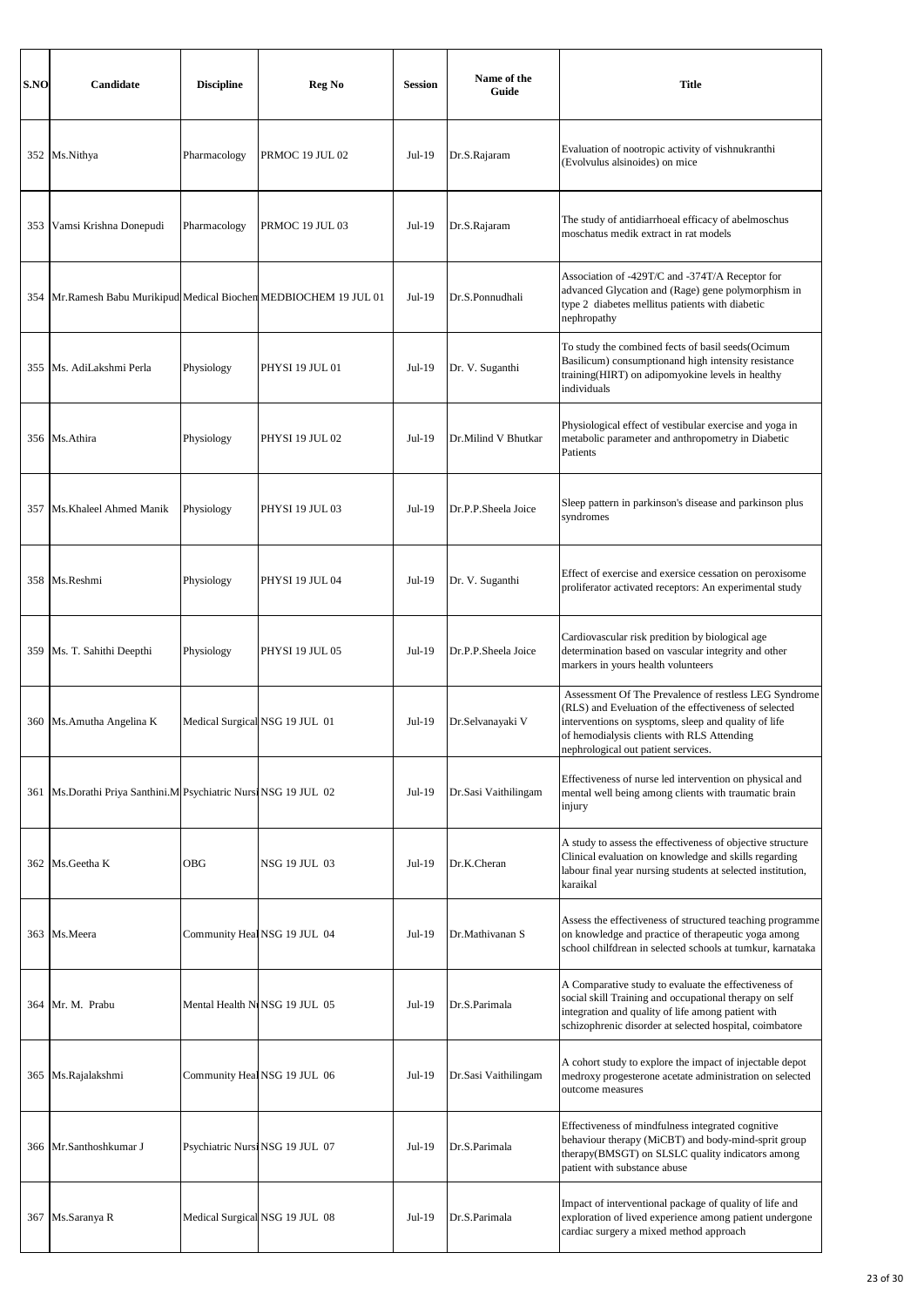| S.NO | Candidate                                                     | <b>Discipline</b>              | Reg No                          | <b>Session</b> | Name of the<br>Guide | <b>Title</b>                                                                                                                                                                                                                                                |
|------|---------------------------------------------------------------|--------------------------------|---------------------------------|----------------|----------------------|-------------------------------------------------------------------------------------------------------------------------------------------------------------------------------------------------------------------------------------------------------------|
|      | 352 Ms.Nithya                                                 | Pharmacology                   | PRMOC 19 JUL 02                 | $Jul-19$       | Dr.S.Rajaram         | Evaluation of nootropic activity of vishnukranthi<br>(Evolvulus alsinoides) on mice                                                                                                                                                                         |
| 353  | Vamsi Krishna Donepudi                                        | Pharmacology                   | PRMOC 19 JUL 03                 | Jul-19         | Dr.S.Rajaram         | The study of antidiarrhoeal efficacy of abelmoschus<br>moschatus medik extract in rat models                                                                                                                                                                |
| 354  | Mr.Ramesh Babu Murikipud Medical Biochen MEDBIOCHEM 19 JUL 01 |                                |                                 | Jul-19         | Dr.S.Ponnudhali      | Association of -429T/C and -374T/A Receptor for<br>advanced Glycation and (Rage) gene polymorphism in<br>type 2 diabetes mellitus patients with diabetic<br>nephropathy                                                                                     |
| 355  | Ms. AdiLakshmi Perla                                          | Physiology                     | PHYSI 19 JUL 01                 | Jul-19         | Dr. V. Suganthi      | To study the combined fects of basil seeds(Ocimum<br>Basilicum) consumptionand high intensity resistance<br>training(HIRT) on adipomyokine levels in healthy<br>individuals                                                                                 |
|      | 356 Ms.Athira                                                 | Physiology                     | <b>PHYSI 19 JUL 02</b>          | Jul-19         | Dr.Milind V Bhutkar  | Physiological effect of vestibular exercise and yoga in<br>metabolic parameter and anthropometry in Diabetic<br>Patients                                                                                                                                    |
|      | 357 Ms. Khaleel Ahmed Manik                                   | Physiology                     | PHYSI 19 JUL 03                 | $Jul-19$       | Dr.P.P.Sheela Joice  | Sleep pattern in parkinson's disease and parkinson plus<br>syndromes                                                                                                                                                                                        |
|      | 358 Ms.Reshmi                                                 | Physiology                     | PHYSI 19 JUL 04                 | Jul-19         | Dr. V. Suganthi      | Effect of exercise and exersice cessation on peroxisome<br>proliferator activated receptors: An experimental study                                                                                                                                          |
| 359  | Ms. T. Sahithi Deepthi                                        | Physiology                     | PHYSI 19 JUL 05                 | Jul-19         | Dr.P.P.Sheela Joice  | Cardiovascular risk predition by biological age<br>determination based on vascular integrity and other<br>markers in yours health volunteers                                                                                                                |
|      | 360 Ms. Amutha Angelina K                                     | Medical Surgical NSG 19 JUL 01 |                                 | Jul-19         | Dr.Selvanayaki V     | Assessment Of The Prevalence of restless LEG Syndrome<br>(RLS) and Eveluation of the effectiveness of selected<br>interventions on sysptoms, sleep and quality of life<br>of hemodialysis clients with RLS Attending<br>nephrological out patient services. |
| 361  | Ms.Dorathi Priya Santhini.M Psychiatric Nursi NSG 19 JUL 02   |                                |                                 | Jul-19         | Dr.Sasi Vaithilingam | Effectiveness of nurse led intervention on physical and<br>mental well being among clients with traumatic brain<br>injury                                                                                                                                   |
| 362  | Ms.Geetha K                                                   | <b>OBG</b>                     | NSG 19 JUL 03                   | $Jul-19$       | Dr.K.Cheran          | A study to assess the effectiveness of objective structure<br>Clinical evaluation on knowledge and skills regarding<br>labour final year nursing students at selected institution,<br>karaikal                                                              |
|      | 363 Ms.Meera                                                  |                                | Community HealNSG 19 JUL 04     | $Jul-19$       | Dr.Mathivanan S      | Assess the effectiveness of structured teaching programme<br>on knowledge and practice of therapeutic yoga among<br>school chilfdrean in selected schools at tumkur, karnataka                                                                              |
| 364  | Mr. M. Prabu                                                  |                                | Mental Health NuNSG 19 JUL 05   | $Jul-19$       | Dr.S.Parimala        | A Comparative study to evaluate the effectiveness of<br>social skill Training and occupational therapy on self<br>integration and quality of life among patient with<br>schizophrenic disorder at selected hospital, coimbatore                             |
| 365  | Ms.Rajalakshmi                                                |                                | Community Heal NSG 19 JUL 06    | Jul-19         | Dr.Sasi Vaithilingam | A cohort study to explore the impact of injectable depot<br>medroxy progesterone acetate administration on selected<br>outcome measures                                                                                                                     |
| 366  | Mr.Santhoshkumar J                                            |                                | Psychiatric Nursi NSG 19 JUL 07 | Jul-19         | Dr.S.Parimala        | Effectiveness of mindfulness integrated cognitive<br>behaviour therapy (MiCBT) and body-mind-sprit group<br>therapy(BMSGT) on SLSLC quality indicators among<br>patient with substance abuse                                                                |
|      | 367 Ms.Saranya R                                              |                                | Medical Surgical NSG 19 JUL 08  | $Jul-19$       | Dr.S.Parimala        | Impact of interventional package of quality of life and<br>exploration of lived experience among patient undergone<br>cardiac surgery a mixed method approach                                                                                               |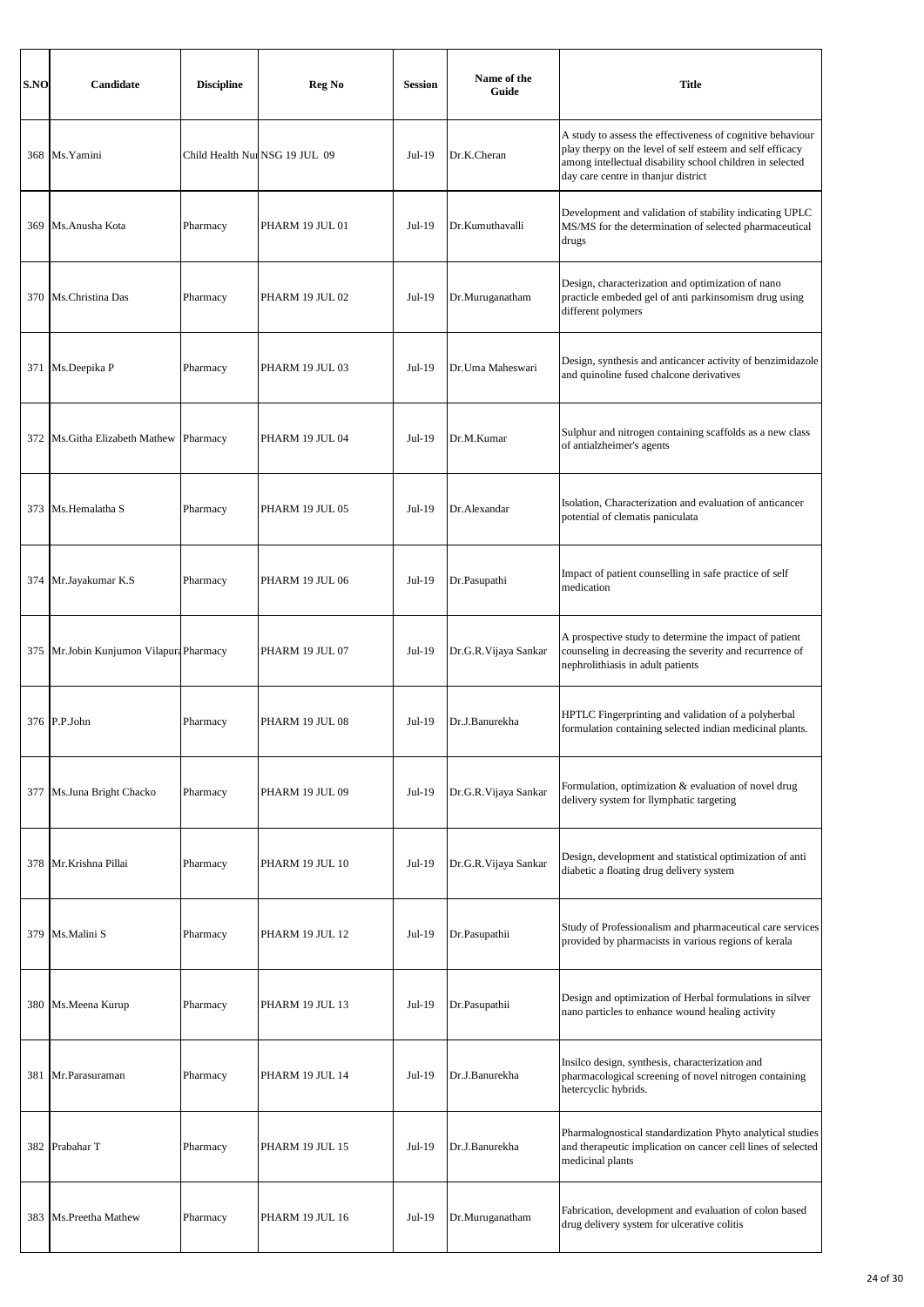| S.NO | Candidate                               | <b>Discipline</b> | <b>Reg No</b>                  | <b>Session</b> | Name of the<br>Guide | <b>Title</b>                                                                                                                                                                                                                |
|------|-----------------------------------------|-------------------|--------------------------------|----------------|----------------------|-----------------------------------------------------------------------------------------------------------------------------------------------------------------------------------------------------------------------------|
|      | 368 Ms. Yamini                          |                   | Child Health Nur NSG 19 JUL 09 | Jul-19         | Dr.K.Cheran          | A study to assess the effectiveness of cognitive behaviour<br>play therpy on the level of self esteem and self efficacy<br>among intellectual disability school children in selected<br>day care centre in thanjur district |
| 369  | Ms.Anusha Kota                          | Pharmacy          | PHARM 19 JUL 01                | $Jul-19$       | Dr.Kumuthavalli      | Development and validation of stability indicating UPLC<br>MS/MS for the determination of selected pharmaceutical<br>drugs                                                                                                  |
|      | 370 Ms.Christina Das                    | Pharmacy          | PHARM 19 JUL 02                | $Jul-19$       | Dr.Muruganatham      | Design, characterization and optimization of nano<br>practicle embeded gel of anti parkinsomism drug using<br>different polymers                                                                                            |
|      | 371 Ms.Deepika P                        | Pharmacy          | PHARM 19 JUL 03                | $Jul-19$       | Dr.Uma Maheswari     | Design, synthesis and anticancer activity of benzimidazole<br>and quinoline fused chalcone derivatives                                                                                                                      |
|      | 372   Ms. Githa Elizabeth Mathew        | Pharmacy          | PHARM 19 JUL 04                | Jul-19         | Dr.M.Kumar           | Sulphur and nitrogen containing scaffolds as a new class<br>of antialzheimer's agents                                                                                                                                       |
|      | 373 Ms.Hemalatha S                      | Pharmacy          | PHARM 19 JUL 05                | $Jul-19$       | Dr.Alexandar         | Isolation, Characterization and evaluation of anticancer<br>potential of clematis paniculata                                                                                                                                |
|      | 374 Mr.Jayakumar K.S                    | Pharmacy          | PHARM 19 JUL 06                | Jul-19         | Dr.Pasupathi         | Impact of patient counselling in safe practice of self<br>medication                                                                                                                                                        |
|      | 375 Mr.Jobin Kunjumon Vilapura Pharmacy |                   | PHARM 19 JUL 07                | $Jul-19$       | Dr.G.R.Vijaya Sankar | A prospective study to determine the impact of patient<br>counseling in decreasing the severity and recurrence of<br>nephrolithiasis in adult patients                                                                      |
|      | 376 P.P.John                            | Pharmacy          | PHARM 19 JUL 08                | $Jul-19$       | Dr.J.Banurekha       | HPTLC Fingerprinting and validation of a polyherbal<br>formulation containing selected indian medicinal plants.                                                                                                             |
| 377  | Ms.Juna Bright Chacko                   | Pharmacy          | PHARM 19 JUL 09                | Jul-19         | Dr.G.R.Vijaya Sankar | Formulation, optimization & evaluation of novel drug<br>delivery system for llymphatic targeting                                                                                                                            |
|      | 378 Mr.Krishna Pillai                   | Pharmacy          | PHARM 19 JUL 10                | $Jul-19$       | Dr.G.R.Vijaya Sankar | Design, development and statistical optimization of anti<br>diabetic a floating drug delivery system                                                                                                                        |
|      | 379 Ms.Malini S                         | Pharmacy          | PHARM 19 JUL 12                | Jul-19         | Dr.Pasupathii        | Study of Professionalism and pharmaceutical care services<br>provided by pharmacists in various regions of kerala                                                                                                           |
|      | 380 Ms.Meena Kurup                      | Pharmacy          | PHARM 19 JUL 13                | Jul-19         | Dr.Pasupathii        | Design and optimization of Herbal formulations in silver<br>nano particles to enhance wound healing activity                                                                                                                |
|      | 381 Mr.Parasuraman                      | Pharmacy          | PHARM 19 JUL 14                | Jul-19         | Dr.J.Banurekha       | Insilco design, synthesis, characterization and<br>pharmacological screening of novel nitrogen containing<br>hetercyclic hybrids.                                                                                           |
| 382  | Prabahar T                              | Pharmacy          | PHARM 19 JUL 15                | Jul-19         | Dr.J.Banurekha       | Pharmalognostical standardization Phyto analytical studies<br>and therapeutic implication on cancer cell lines of selected<br>medicinal plants                                                                              |
|      | 383 Ms.Preetha Mathew                   | Pharmacy          | PHARM 19 JUL 16                | Jul-19         | Dr.Muruganatham      | Fabrication, development and evaluation of colon based<br>drug delivery system for ulcerative colitis                                                                                                                       |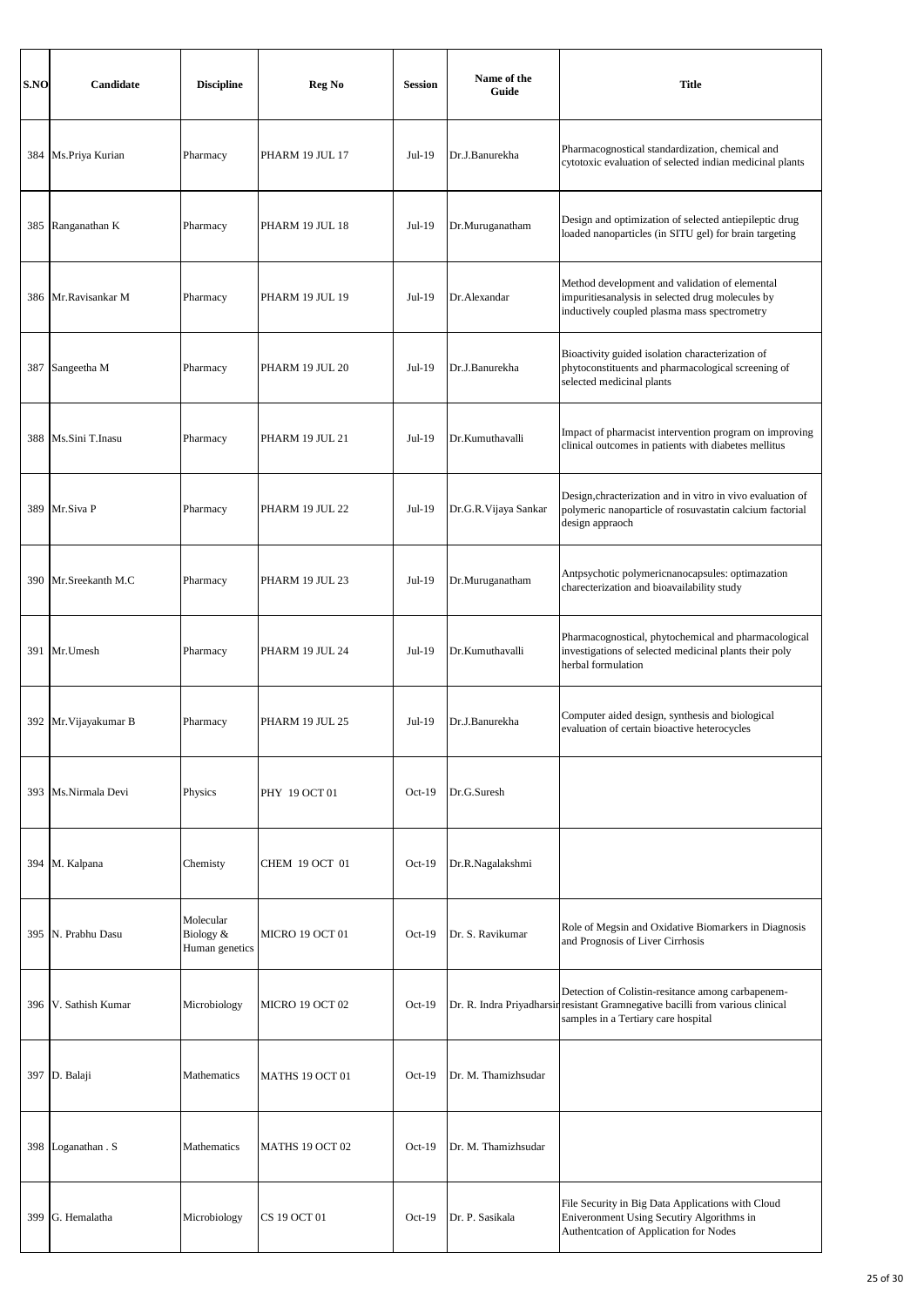| S.NO | Candidate             | <b>Discipline</b>                        | <b>Reg No</b>         | <b>Session</b> | Name of the<br>Guide      | <b>Title</b>                                                                                                                                       |
|------|-----------------------|------------------------------------------|-----------------------|----------------|---------------------------|----------------------------------------------------------------------------------------------------------------------------------------------------|
|      | 384 Ms.Priya Kurian   | Pharmacy                                 | PHARM 19 JUL 17       | Jul-19         | Dr.J.Banurekha            | Pharmacognostical standardization, chemical and<br>cytotoxic evaluation of selected indian medicinal plants                                        |
| 385  | Ranganathan K         | Pharmacy                                 | PHARM 19 JUL 18       | Jul-19         | Dr.Muruganatham           | Design and optimization of selected antiepileptic drug<br>loaded nanoparticles (in SITU gel) for brain targeting                                   |
|      | 386 Mr.Ravisankar M   | Pharmacy                                 | PHARM 19 JUL 19       | Jul-19         | Dr.Alexandar              | Method development and validation of elemental<br>impuritiesanalysis in selected drug molecules by<br>inductively coupled plasma mass spectrometry |
|      | 387 Sangeetha M       | Pharmacy                                 | PHARM 19 JUL 20       | $Jul-19$       | Dr.J.Banurekha            | Bioactivity guided isolation characterization of<br>phytoconstituents and pharmacological screening of<br>selected medicinal plants                |
|      | 388 Ms.Sini T.Inasu   | Pharmacy                                 | PHARM 19 JUL 21       | Jul-19         | Dr.Kumuthavalli           | Impact of pharmacist intervention program on improving<br>clinical outcomes in patients with diabetes mellitus                                     |
|      | 389 Mr.Siva P         | Pharmacy                                 | PHARM 19 JUL 22       | Jul-19         | Dr.G.R.Vijaya Sankar      | Design, chracterization and in vitro in vivo evaluation of<br>polymeric nanoparticle of rosuvastatin calcium factorial<br>design appraoch          |
|      | 390 Mr.Sreekanth M.C  | Pharmacy                                 | PHARM 19 JUL 23       | Jul-19         | Dr.Muruganatham           | Antpsychotic polymericnanocapsules: optimazation<br>charecterization and bioavailability study                                                     |
|      | 391 Mr.Umesh          | Pharmacy                                 | PHARM 19 JUL 24       | Jul-19         | Dr.Kumuthavalli           | Pharmacognostical, phytochemical and pharmacological<br>investigations of selected medicinal plants their poly<br>herbal formulation               |
|      | 392 Mr. Vijayakumar B | Pharmacy                                 | PHARM 19 JUL 25       | Jul-19         | Dr.J.Banurekha            | Computer aided design, synthesis and biological<br>evaluation of certain bioactive heterocycles                                                    |
| 393  | Ms.Nirmala Devi       | Physics                                  | PHY 19 OCT 01         | $Oct-19$       | Dr.G.Suresh               |                                                                                                                                                    |
|      | 394 M. Kalpana        | Chemisty                                 | <b>CHEM 19 OCT 01</b> | $Oct-19$       | Dr.R.Nagalakshmi          |                                                                                                                                                    |
|      | 395 N. Prabhu Dasu    | Molecular<br>Biology &<br>Human genetics | MICRO 19 OCT 01       | $Oct-19$       | Dr. S. Ravikumar          | Role of Megsin and Oxidative Biomarkers in Diagnosis<br>and Prognosis of Liver Cirrhosis                                                           |
|      | 396 V. Sathish Kumar  | Microbiology                             | MICRO 19 OCT 02       | $Oct-19$       | Dr. R. Indra Priyadharsir | Detection of Colistin-resitance among carbapenem-<br>resistant Gramnegative bacilli from various clinical<br>samples in a Tertiary care hospital   |
|      | 397 D. Balaji         | Mathematics                              | MATHS 19 OCT 01       | $Oct-19$       | Dr. M. Thamizhsudar       |                                                                                                                                                    |
| 398  | Loganathan . S        | Mathematics                              | MATHS 19 OCT 02       | $Oct-19$       | Dr. M. Thamizhsudar       |                                                                                                                                                    |
| 399  | G. Hemalatha          | Microbiology                             | CS 19 OCT 01          | $Oct-19$       | Dr. P. Sasikala           | File Security in Big Data Applications with Cloud<br>Eniveronment Using Secutiry Algorithms in<br>Authentcation of Application for Nodes           |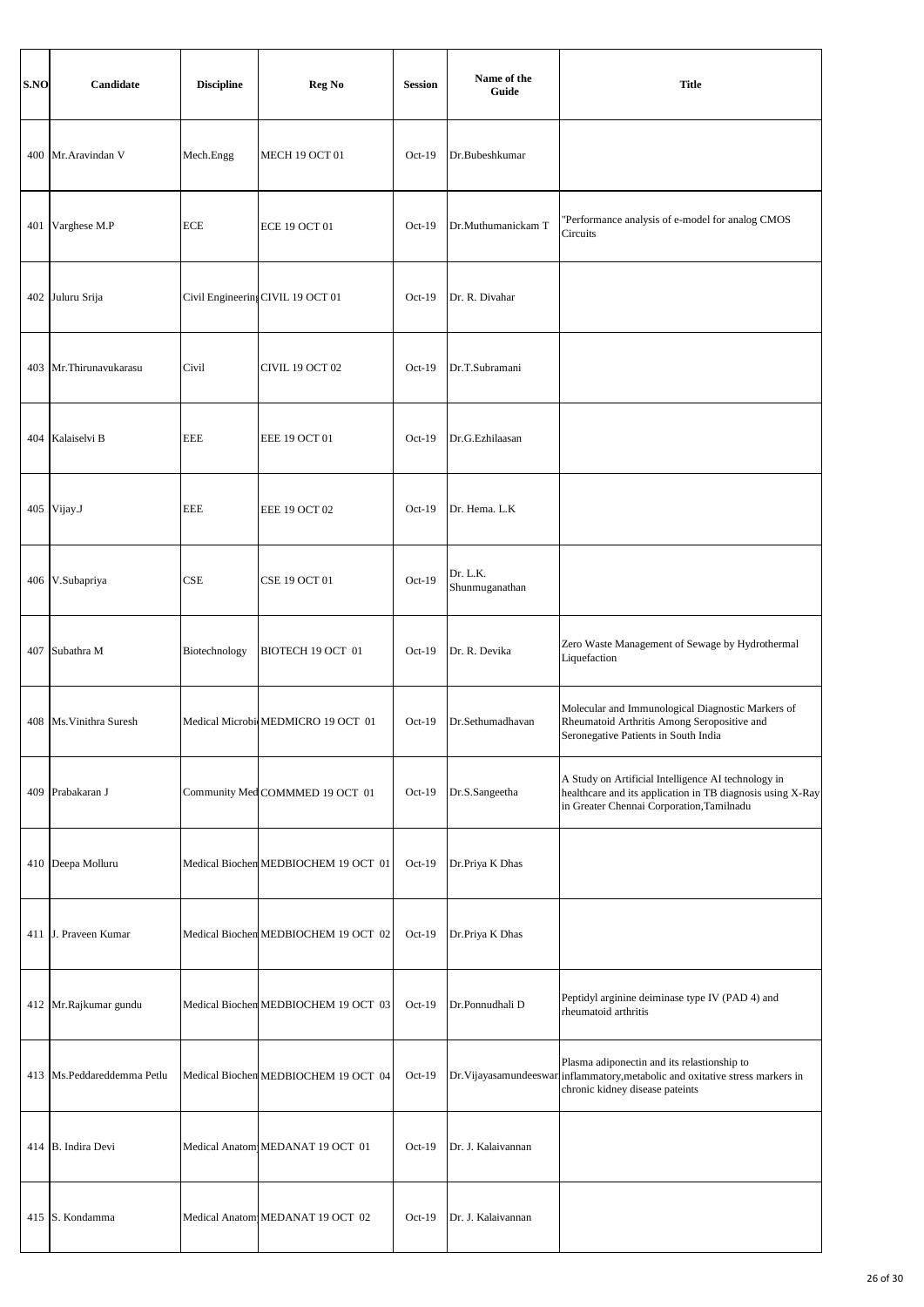| S.NO | Candidate                    | <b>Discipline</b> | Reg No                               | <b>Session</b> | Name of the<br>Guide       | <b>Title</b>                                                                                                                                                     |
|------|------------------------------|-------------------|--------------------------------------|----------------|----------------------------|------------------------------------------------------------------------------------------------------------------------------------------------------------------|
| 400  | Mr.Aravindan V               | Mech.Engg         | MECH 19 OCT 01                       | $Oct-19$       | Dr.Bubeshkumar             |                                                                                                                                                                  |
| 401  | Varghese M.P                 | <b>ECE</b>        | <b>ECE 19 OCT 01</b>                 | $Oct-19$       | Dr.Muthumanickam T         | 'Performance analysis of e-model for analog CMOS<br>Circuits                                                                                                     |
| 402  | Juluru Srija                 |                   | Civil Engineering CIVIL 19 OCT 01    | $Oct-19$       | Dr. R. Divahar             |                                                                                                                                                                  |
| 403  | Mr.Thirunavukarasu           | Civil             | CIVIL 19 OCT 02                      | $Oct-19$       | Dr.T.Subramani             |                                                                                                                                                                  |
| 404  | Kalaiselvi B                 | <b>EEE</b>        | <b>EEE 19 OCT 01</b>                 | $Oct-19$       | Dr.G.Ezhilaasan            |                                                                                                                                                                  |
| 405  | Vijay.J                      | <b>EEE</b>        | <b>EEE 19 OCT 02</b>                 | $Oct-19$       | Dr. Hema. L.K              |                                                                                                                                                                  |
| 406  | V.Subapriya                  | CSE               | CSE 19 OCT 01                        | $Oct-19$       | Dr. L.K.<br>Shunmuganathan |                                                                                                                                                                  |
| 407  | Subathra M                   | Biotechnology     | BIOTECH 19 OCT 01                    | $Oct-19$       | Dr. R. Devika              | Zero Waste Management of Sewage by Hydrothermal<br>Liquefaction                                                                                                  |
| 408  | Ms. Vinithra Suresh          |                   | Medical MicrobicMEDMICRO 19 OCT 01   | $Oct-19$       | Dr.Sethumadhavan           | Molecular and Immunological Diagnostic Markers of<br>Rheumatoid Arthritis Among Seropositive and<br>Seronegative Patients in South India                         |
| 409  | Prabakaran J                 |                   | Community Med COMMMED 19 OCT 01      | $Oct-19$       | Dr.S.Sangeetha             | A Study on Artificial Intelligence AI technology in<br>healthcare and its application in TB diagnosis using X-Ray<br>in Greater Chennai Corporation, Tamilnadu   |
| 410  | Deepa Molluru                |                   | Medical Biochen MEDBIOCHEM 19 OCT 01 | $Oct-19$       | Dr.Priya K Dhas            |                                                                                                                                                                  |
|      | 411 J. Praveen Kumar         |                   | Medical Biochen MEDBIOCHEM 19 OCT 02 | $Oct-19$       | Dr.Priya K Dhas            |                                                                                                                                                                  |
|      | 412 Mr.Rajkumar gundu        |                   | Medical Biochem MEDBIOCHEM 19 OCT 03 | $Oct-19$       | Dr.Ponnudhali D            | Peptidyl arginine deiminase type IV (PAD 4) and<br>rheumatoid arthritis                                                                                          |
|      | 413   Ms.Peddareddemma Petlu |                   | Medical Biochen MEDBIOCHEM 19 OCT 04 | $Oct-19$       |                            | Plasma adiponectin and its relastionship to<br>Dr. Vijayasamundeeswar inflammatory, metabolic and oxitative stress markers in<br>chronic kidney disease pateints |
|      | 414 B. Indira Devi           |                   | Medical Anatom MEDANAT 19 OCT 01     | $Oct-19$       | Dr. J. Kalaivannan         |                                                                                                                                                                  |
|      | 415 S. Kondamma              |                   | Medical Anatom MEDANAT 19 OCT 02     | $Oct-19$       | Dr. J. Kalaivannan         |                                                                                                                                                                  |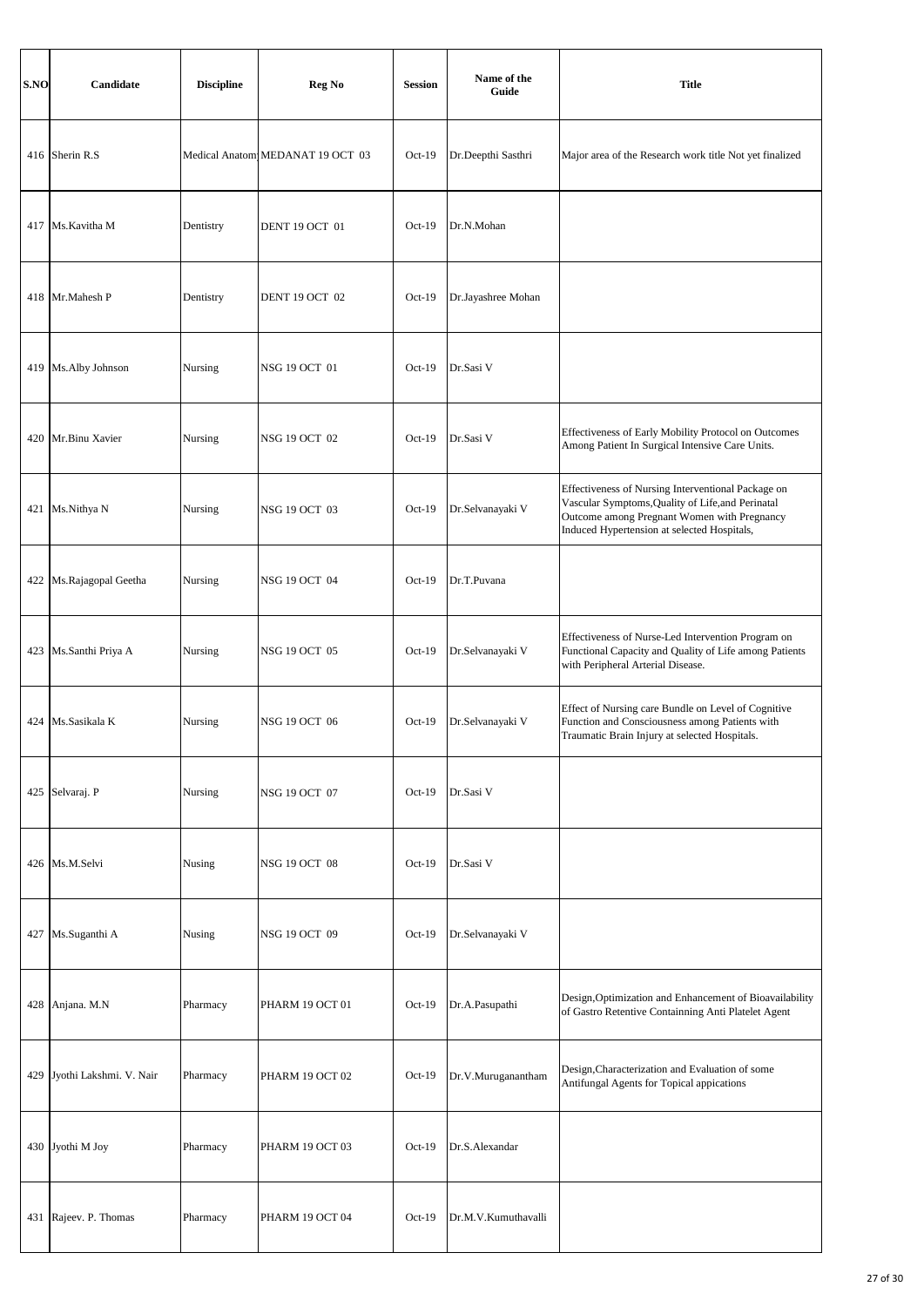| S.NO | Candidate                   | <b>Discipline</b> | Reg No                           | <b>Session</b> | Name of the<br>Guide | <b>Title</b>                                                                                                                                                                                          |
|------|-----------------------------|-------------------|----------------------------------|----------------|----------------------|-------------------------------------------------------------------------------------------------------------------------------------------------------------------------------------------------------|
|      | 416 Sherin R.S              |                   | Medical Anatom MEDANAT 19 OCT 03 | $Oct-19$       | Dr.Deepthi Sasthri   | Major area of the Research work title Not yet finalized                                                                                                                                               |
|      | 417 Ms. Kavitha M           | Dentistry         | <b>DENT 19 OCT 01</b>            | $Oct-19$       | Dr.N.Mohan           |                                                                                                                                                                                                       |
|      | 418 Mr.Mahesh P             | Dentistry         | <b>DENT 19 OCT 02</b>            | $Oct-19$       | Dr.Jayashree Mohan   |                                                                                                                                                                                                       |
|      | 419 Ms. Alby Johnson        | Nursing           | NSG 19 OCT 01                    | $Oct-19$       | Dr.Sasi V            |                                                                                                                                                                                                       |
|      | 420 Mr.Binu Xavier          | Nursing           | <b>NSG 19 OCT 02</b>             | $Oct-19$       | Dr.Sasi V            | Effectiveness of Early Mobility Protocol on Outcomes<br>Among Patient In Surgical Intensive Care Units.                                                                                               |
|      | 421 Ms.Nithya N             | Nursing           | NSG 19 OCT 03                    | $Oct-19$       | Dr.Selvanayaki V     | Effectiveness of Nursing Interventional Package on<br>Vascular Symptoms, Quality of Life, and Perinatal<br>Outcome among Pregnant Women with Pregnancy<br>Induced Hypertension at selected Hospitals, |
|      | 422 Ms.Rajagopal Geetha     | Nursing           | NSG 19 OCT 04                    | $Oct-19$       | Dr.T.Puvana          |                                                                                                                                                                                                       |
|      | 423 Ms.Santhi Priya A       | Nursing           | <b>NSG 19 OCT 05</b>             | $Oct-19$       | Dr.Selvanayaki V     | Effectiveness of Nurse-Led Intervention Program on<br>Functional Capacity and Quality of Life among Patients<br>with Peripheral Arterial Disease.                                                     |
|      | 424 Ms.Sasikala K           | Nursing           | NSG 19 OCT 06                    | $Oct-19$       | Dr.Selvanayaki V     | Effect of Nursing care Bundle on Level of Cognitive<br>Function and Consciousness among Patients with<br>Traumatic Brain Injury at selected Hospitals.                                                |
|      | 425 Selvaraj. P             | Nursing           | <b>NSG 19 OCT 07</b>             | $Oct-19$       | Dr.Sasi V            |                                                                                                                                                                                                       |
|      | 426 Ms.M.Selvi              | Nusing            | NSG 19 OCT 08                    | $Oct-19$       | Dr.Sasi V            |                                                                                                                                                                                                       |
|      | 427 Ms.Suganthi A           | Nusing            | <b>NSG 19 OCT 09</b>             | $Oct-19$       | Dr.Selvanayaki V     |                                                                                                                                                                                                       |
|      | 428 Anjana. M.N             | Pharmacy          | PHARM 19 OCT 01                  | $Oct-19$       | Dr.A.Pasupathi       | Design, Optimization and Enhancement of Bioavailability<br>of Gastro Retentive Containning Anti Platelet Agent                                                                                        |
|      | 429 Jyothi Lakshmi. V. Nair | Pharmacy          | PHARM 19 OCT 02                  | $Oct-19$       | Dr.V.Muruganantham   | Design, Characterization and Evaluation of some<br>Antifungal Agents for Topical appications                                                                                                          |
|      | 430 Jyothi M Joy            | Pharmacy          | PHARM 19 OCT 03                  | $Oct-19$       | Dr.S.Alexandar       |                                                                                                                                                                                                       |
|      | 431 Rajeev. P. Thomas       | Pharmacy          | PHARM 19 OCT 04                  | $Oct-19$       | Dr.M.V.Kumuthavalli  |                                                                                                                                                                                                       |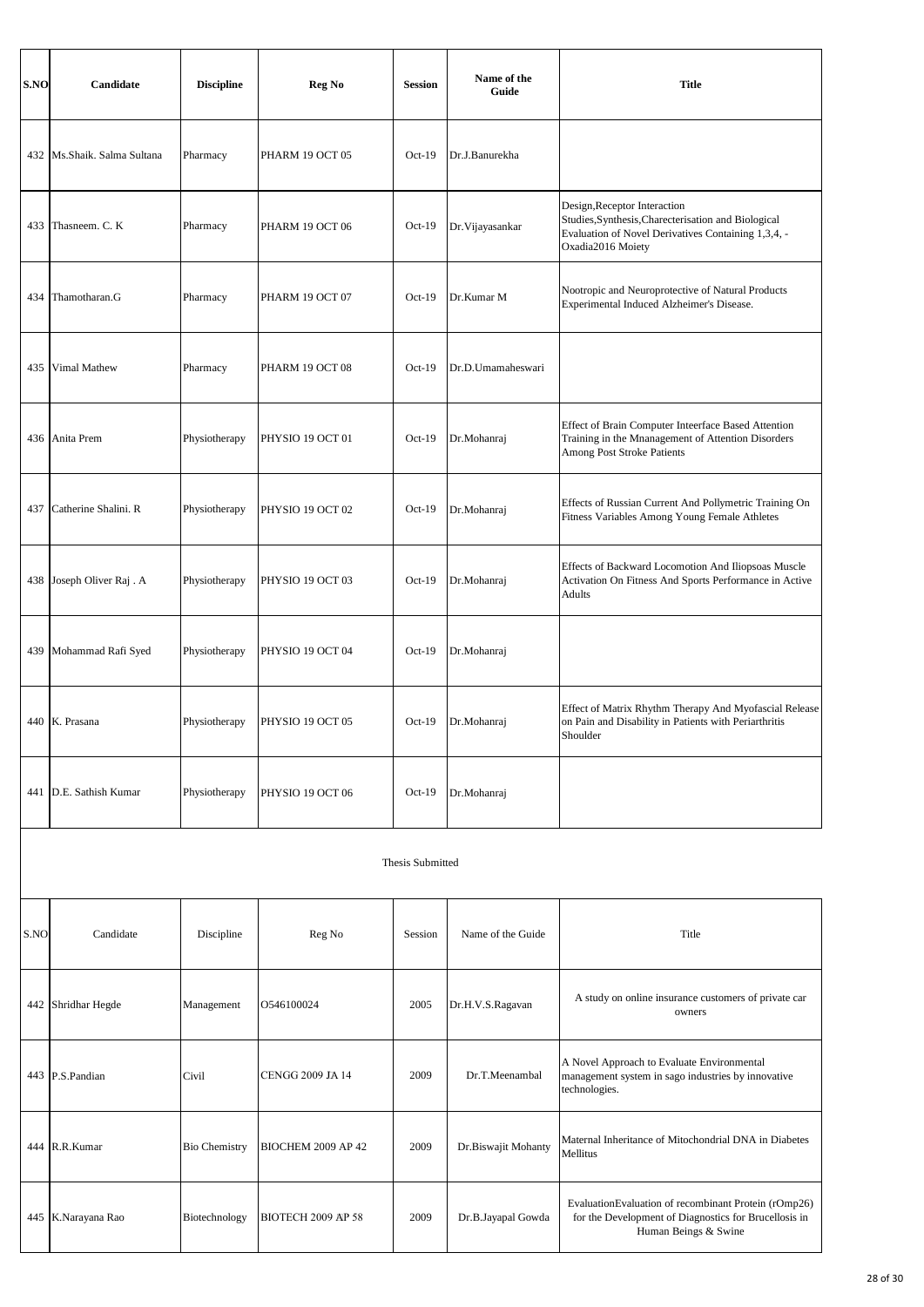| S.NO | Candidate                     | <b>Discipline</b>    | Reg No                    | <b>Session</b> | Name of the<br>Guide | <b>Title</b>                                                                                                                                                    |  |  |
|------|-------------------------------|----------------------|---------------------------|----------------|----------------------|-----------------------------------------------------------------------------------------------------------------------------------------------------------------|--|--|
|      | 432   Ms.Shaik. Salma Sultana | Pharmacy             | PHARM 19 OCT 05           | $Oct-19$       | Dr.J.Banurekha       |                                                                                                                                                                 |  |  |
|      | 433 Thasneem. C. K            | Pharmacy             | PHARM 19 OCT 06           | $Oct-19$       | Dr. Vijayasankar     | Design, Receptor Interaction<br>Studies, Synthesis, Charecterisation and Biological<br>Evaluation of Novel Derivatives Containing 1,3,4, -<br>Oxadia2016 Moiety |  |  |
| 434  | Thamotharan.G                 | Pharmacy             | PHARM 19 OCT 07           | $Oct-19$       | Dr.Kumar M           | Nootropic and Neuroprotective of Natural Products<br>Experimental Induced Alzheimer's Disease.                                                                  |  |  |
| 435  | Vimal Mathew                  | Pharmacy             | PHARM 19 OCT 08           | $Oct-19$       | Dr.D.Umamaheswari    |                                                                                                                                                                 |  |  |
|      | 436 Anita Prem                | Physiotherapy        | PHYSIO 19 OCT 01          | $Oct-19$       | Dr.Mohanraj          | Effect of Brain Computer Inteerface Based Attention<br>Training in the Mnanagement of Attention Disorders<br>Among Post Stroke Patients                         |  |  |
| 437  | Catherine Shalini. R          | Physiotherapy        | PHYSIO 19 OCT 02          | $Oct-19$       | Dr.Mohanraj          | Effects of Russian Current And Pollymetric Training On<br>Fitness Variables Among Young Female Athletes                                                         |  |  |
|      | 438 Joseph Oliver Raj . A     | Physiotherapy        | PHYSIO 19 OCT 03          | $Oct-19$       | Dr.Mohanraj          | Effects of Backward Locomotion And Iliopsoas Muscle<br>Activation On Fitness And Sports Performance in Active<br><b>Adults</b>                                  |  |  |
| 439  | Mohammad Rafi Syed            | Physiotherapy        | PHYSIO 19 OCT 04          | $Oct-19$       | Dr.Mohanraj          |                                                                                                                                                                 |  |  |
|      | 440 K. Prasana                | Physiotherapy        | PHYSIO 19 OCT 05          | $Oct-19$       | Dr.Mohanraj          | Effect of Matrix Rhythm Therapy And Myofascial Release<br>on Pain and Disability in Patients with Periarthritis<br>Shoulder                                     |  |  |
|      | 441 D.E. Sathish Kumar        | Physiotherapy        | PHYSIO 19 OCT 06          | $Oct-19$       | Dr.Mohanraj          |                                                                                                                                                                 |  |  |
|      | Thesis Submitted              |                      |                           |                |                      |                                                                                                                                                                 |  |  |
| S.NO | Candidate                     | Discipline           | Reg No                    | Session        | Name of the Guide    | Title                                                                                                                                                           |  |  |
|      | 442 Shridhar Hegde            | Management           | O546100024                | 2005           | Dr.H.V.S.Ragavan     | A study on online insurance customers of private car<br>owners                                                                                                  |  |  |
|      | 443 P.S.Pandian               | Civil                | <b>CENGG 2009 JA 14</b>   | 2009           | Dr.T.Meenambal       | A Novel Approach to Evaluate Environmental<br>management system in sago industries by innovative<br>technologies.                                               |  |  |
|      | 444 R.R.Kumar                 | <b>Bio Chemistry</b> | <b>BIOCHEM 2009 AP 42</b> | 2009           | Dr.Biswajit Mohanty  | Maternal Inheritance of Mitochondrial DNA in Diabetes<br>Mellitus                                                                                               |  |  |
| 445  | K.Narayana Rao                | Biotechnology        | <b>BIOTECH 2009 AP 58</b> | 2009           | Dr.B.Jayapal Gowda   | EvaluationEvaluation of recombinant Protein (rOmp26)<br>for the Development of Diagnostics for Brucellosis in<br>Human Beings & Swine                           |  |  |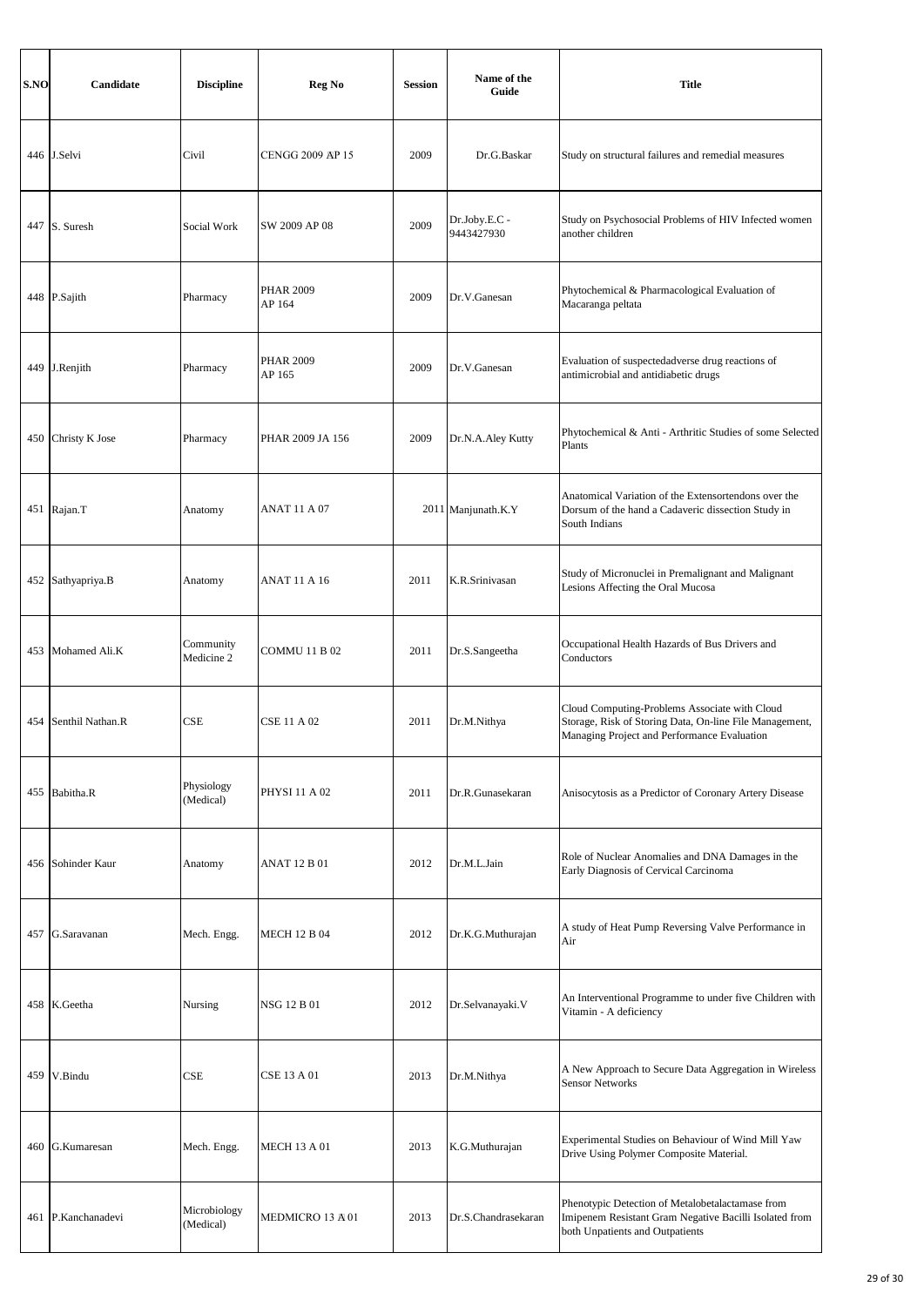| S.NO | Candidate            | <b>Discipline</b>         | Reg No                     | <b>Session</b> | Name of the<br>Guide        | <b>Title</b>                                                                                                                                            |
|------|----------------------|---------------------------|----------------------------|----------------|-----------------------------|---------------------------------------------------------------------------------------------------------------------------------------------------------|
|      | 446 J.Selvi          | Civil                     | <b>CENGG 2009 AP 15</b>    | 2009           | Dr.G.Baskar                 | Study on structural failures and remedial measures                                                                                                      |
|      | 447 S. Suresh        | Social Work               | SW 2009 AP 08              | 2009           | Dr.Joby.E.C -<br>9443427930 | Study on Psychosocial Problems of HIV Infected women<br>another children                                                                                |
|      | 448 P.Sajith         | Pharmacy                  | <b>PHAR 2009</b><br>AP 164 | 2009           | Dr.V.Ganesan                | Phytochemical & Pharmacological Evaluation of<br>Macaranga peltata                                                                                      |
|      | 449 J.Renjith        | Pharmacy                  | <b>PHAR 2009</b><br>AP 165 | 2009           | Dr.V.Ganesan                | Evaluation of suspectedadverse drug reactions of<br>antimicrobial and antidiabetic drugs                                                                |
|      | 450 Christy K Jose   | Pharmacy                  | PHAR 2009 JA 156           | 2009           | Dr.N.A.Aley Kutty           | Phytochemical & Anti - Arthritic Studies of some Selected<br>Plants                                                                                     |
|      | 451 Rajan.T          | Anatomy                   | ANAT 11 A 07               |                | 2011 Manjunath.K.Y          | Anatomical Variation of the Extensortendons over the<br>Dorsum of the hand a Cadaveric dissection Study in<br>South Indians                             |
|      | 452 Sathyapriya.B    | Anatomy                   | ANAT 11 A 16               | 2011           | K.R.Srinivasan              | Study of Micronuclei in Premalignant and Malignant<br>Lesions Affecting the Oral Mucosa                                                                 |
| 453  | Mohamed Ali.K        | Community<br>Medicine 2   | COMMU 11 B 02              | 2011           | Dr.S.Sangeetha              | Occupational Health Hazards of Bus Drivers and<br>Conductors                                                                                            |
|      | 454 Senthil Nathan.R | CSE                       | CSE 11 A 02                | 2011           | Dr.M.Nithya                 | Cloud Computing-Problems Associate with Cloud<br>Storage, Risk of Storing Data, On-line File Management,<br>Managing Project and Performance Evaluation |
|      | 455 Babitha.R        | Physiology<br>(Medical)   | PHYSI 11 A 02              | 2011           | Dr.R.Gunasekaran            | Anisocytosis as a Predictor of Coronary Artery Disease                                                                                                  |
|      | 456 Sohinder Kaur    | Anatomy                   | ANAT 12 B 01               | 2012           | Dr.M.L.Jain                 | Role of Nuclear Anomalies and DNA Damages in the<br>Early Diagnosis of Cervical Carcinoma                                                               |
|      | 457 G.Saravanan      | Mech. Engg.               | <b>MECH 12 B 04</b>        | 2012           | Dr.K.G.Muthurajan           | A study of Heat Pump Reversing Valve Performance in<br>Air                                                                                              |
|      | 458 K.Geetha         | Nursing                   | NSG 12 B 01                | 2012           | Dr.Selvanayaki.V            | An Interventional Programme to under five Children with<br>Vitamin - A deficiency                                                                       |
| 459  | V.Bindu              | CSE                       | <b>CSE 13 A 01</b>         | 2013           | Dr.M.Nithya                 | A New Approach to Secure Data Aggregation in Wireless<br><b>Sensor Networks</b>                                                                         |
|      | 460 G.Kumaresan      | Mech. Engg.               | <b>MECH 13 A 01</b>        | 2013           | K.G.Muthurajan              | Experimental Studies on Behaviour of Wind Mill Yaw<br>Drive Using Polymer Composite Material.                                                           |
|      | 461 P.Kanchanadevi   | Microbiology<br>(Medical) | MEDMICRO 13 A 01           | 2013           | Dr.S.Chandrasekaran         | Phenotypic Detection of Metalobetalactamase from<br>Imipenem Resistant Gram Negative Bacilli Isolated from<br>both Unpatients and Outpatients           |